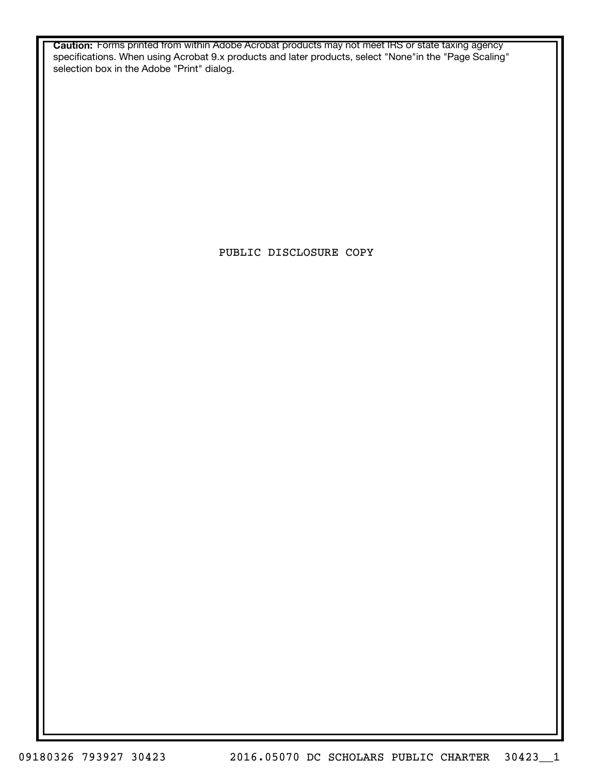**Caution:** Forms printed from within Adobe Acrobat products may not meet IRS or state taxing agency specifications. When using Acrobat 9.x products and later products, select "None"in the "Page Scaling" selection box in the Adobe "Print" dialog.

PUBLIC DISCLOSURE COPY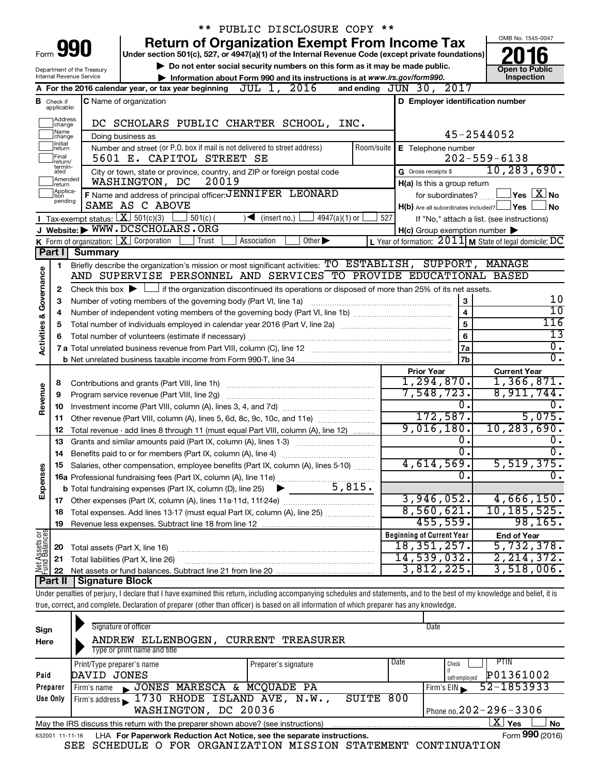|                         |                                  |                                                                 | ** PUBLIC DISCLOSURE COPY **                                                                                                                                                                                     |            |                                                     |                                                                    |
|-------------------------|----------------------------------|-----------------------------------------------------------------|------------------------------------------------------------------------------------------------------------------------------------------------------------------------------------------------------------------|------------|-----------------------------------------------------|--------------------------------------------------------------------|
|                         |                                  |                                                                 | <b>Return of Organization Exempt From Income Tax</b>                                                                                                                                                             |            |                                                     | OMB No. 1545-0047                                                  |
| Form                    |                                  | 990                                                             | Under section 501(c), 527, or 4947(a)(1) of the Internal Revenue Code (except private foundations)                                                                                                               |            |                                                     |                                                                    |
|                         |                                  | Department of the Treasury                                      | Do not enter social security numbers on this form as it may be made public.                                                                                                                                      |            |                                                     | <b>Open to Public</b>                                              |
|                         |                                  | <b>Internal Revenue Service</b>                                 | Information about Form 990 and its instructions is at www.irs.gov/form990.                                                                                                                                       |            |                                                     | Inspection                                                         |
|                         |                                  |                                                                 | A For the 2016 calendar year, or tax year beginning $JUL$ 1, $2016$                                                                                                                                              |            | and ending JUN 30, 2017                             |                                                                    |
|                         | <b>B</b> Check if<br>applicable: |                                                                 | C Name of organization                                                                                                                                                                                           |            | D Employer identification number                    |                                                                    |
|                         | Address                          |                                                                 | DC SCHOLARS PUBLIC CHARTER SCHOOL, INC.                                                                                                                                                                          |            |                                                     |                                                                    |
|                         | change<br>1Name<br>change        |                                                                 | Doing business as                                                                                                                                                                                                |            |                                                     | 45-2544052                                                         |
|                         | Initial<br>return                |                                                                 | Number and street (or P.O. box if mail is not delivered to street address)                                                                                                                                       | Room/suite | E Telephone number                                  |                                                                    |
|                         | Final<br>lreturn/                |                                                                 | 5601 E. CAPITOL STREET SE                                                                                                                                                                                        |            |                                                     | $202 - 559 - 6138$                                                 |
|                         | termin-<br>ated                  |                                                                 | City or town, state or province, country, and ZIP or foreign postal code                                                                                                                                         |            | G Gross receipts \$                                 | 10, 283, 690.                                                      |
|                         | Amended<br>return                |                                                                 | 20019<br>WASHINGTON, DC                                                                                                                                                                                          |            | H(a) Is this a group return                         |                                                                    |
|                         | Applica-<br>tion                 |                                                                 | F Name and address of principal officer: JENNIFER LEONARD                                                                                                                                                        |            | for subordinates?                                   | $\sqrt{\mathsf{Yes}\mathord{\;\mathbb{X}}\mathord{\;\mathsf{No}}}$ |
|                         | pending                          |                                                                 | SAME AS C ABOVE                                                                                                                                                                                                  |            | $H(b)$ Are all subordinates included? $\Box$ Yes    | No                                                                 |
|                         |                                  | Tax-exempt status: $X \ 501(c)(3)$                              | $4947(a)(1)$ or<br>$501(c)$ (<br>$\sqrt{\frac{1}{1}}$ (insert no.)                                                                                                                                               | 527        |                                                     | If "No," attach a list. (see instructions)                         |
|                         |                                  |                                                                 | J Website: WWW.DCSCHOLARS.ORG                                                                                                                                                                                    |            | $H(c)$ Group exemption number $\blacktriangleright$ |                                                                    |
|                         |                                  | <b>K</b> Form of organization: $\boxed{\textbf{X}}$ Corporation | Other $\blacktriangleright$<br>Trust<br>Association                                                                                                                                                              |            |                                                     | L Year of formation: $2011$ M State of legal domicile: DC          |
|                         |                                  | Part I   Summary                                                |                                                                                                                                                                                                                  |            |                                                     |                                                                    |
|                         | 1.                               |                                                                 | Briefly describe the organization's mission or most significant activities: TO ESTABLISH, SUPPORT, MANAGE                                                                                                        |            |                                                     |                                                                    |
|                         |                                  |                                                                 | AND SUPERVISE PERSONNEL AND SERVICES TO PROVIDE EDUCATIONAL BASED                                                                                                                                                |            |                                                     |                                                                    |
| Governance              | 2                                |                                                                 | Check this box $\blacktriangleright$ $\Box$ if the organization discontinued its operations or disposed of more than 25% of its net assets.<br>Number of voting members of the governing body (Part VI, line 1a) |            | 3                                                   | 10                                                                 |
|                         | З                                |                                                                 | 10                                                                                                                                                                                                               |            |                                                     |                                                                    |
|                         | 4                                |                                                                 | 116                                                                                                                                                                                                              |            |                                                     |                                                                    |
|                         | 5<br>6                           |                                                                 |                                                                                                                                                                                                                  |            | 5<br>6                                              | $\overline{13}$                                                    |
| <b>Activities &amp;</b> |                                  |                                                                 |                                                                                                                                                                                                                  |            | 7a                                                  | Ο.                                                                 |
|                         |                                  |                                                                 |                                                                                                                                                                                                                  |            | 7b                                                  | σ.                                                                 |
|                         |                                  |                                                                 |                                                                                                                                                                                                                  |            | <b>Prior Year</b>                                   | <b>Current Year</b>                                                |
|                         | 8                                |                                                                 |                                                                                                                                                                                                                  |            | 1,294,870.                                          | 1,366,871.                                                         |
|                         | 9                                |                                                                 |                                                                                                                                                                                                                  |            | 7,548,723.                                          | 8,911,744.                                                         |
| Revenue                 | 10                               |                                                                 |                                                                                                                                                                                                                  |            | 0.                                                  | 0.                                                                 |
|                         | 11                               |                                                                 | Other revenue (Part VIII, column (A), lines 5, 6d, 8c, 9c, 10c, and 11e)                                                                                                                                         |            | 172,587.                                            | 5,075.                                                             |
|                         | 12                               |                                                                 | Total revenue - add lines 8 through 11 (must equal Part VIII, column (A), line 12)                                                                                                                               |            | 9,016,180.                                          | 10, 283, 690.                                                      |
|                         | 13                               |                                                                 | Grants and similar amounts paid (Part IX, column (A), lines 1-3)<br><u> 1986 - Jan Stein Stein Stein Stein Stein Stein Stein Stein Stein Stein Stein Stein Stein Stein Stein Stein S</u>                         |            | 0.                                                  |                                                                    |
|                         | 14                               |                                                                 | Benefits paid to or for members (Part IX, column (A), line 4)                                                                                                                                                    |            | σ.                                                  | σ.                                                                 |
|                         |                                  |                                                                 | 15 Salaries, other compensation, employee benefits (Part IX, column (A), lines 5-10)                                                                                                                             |            | $4,614,569$ .                                       | 5,519,375.                                                         |
| Expenses                |                                  |                                                                 |                                                                                                                                                                                                                  |            | 0.                                                  | о.                                                                 |
|                         |                                  |                                                                 |                                                                                                                                                                                                                  |            | 3,946,052.                                          | 4,666,150.                                                         |
|                         | 17                               |                                                                 |                                                                                                                                                                                                                  |            | 8,560,621.                                          | 10, 185, 525.                                                      |
|                         | 18                               |                                                                 | Total expenses. Add lines 13-17 (must equal Part IX, column (A), line 25)                                                                                                                                        |            | 455,559.                                            | 98, 165.                                                           |
|                         | 19                               |                                                                 |                                                                                                                                                                                                                  |            | <b>Beginning of Current Year</b>                    | <b>End of Year</b>                                                 |
| Net Assets or           | 20                               | Total assets (Part X, line 16)                                  |                                                                                                                                                                                                                  |            | 18, 351, 257.                                       | 5,732,378.                                                         |
|                         | 21                               |                                                                 | Total liabilities (Part X, line 26)                                                                                                                                                                              |            | 14,539,032.                                         | 2, 214, 372.                                                       |
|                         | 22                               |                                                                 |                                                                                                                                                                                                                  |            | 3,812,225.                                          | 3,518,006.                                                         |
|                         | Part II                          | Signature Block                                                 |                                                                                                                                                                                                                  |            |                                                     |                                                                    |
|                         |                                  |                                                                 | Under penalties of perjury, I declare that I have examined this return, including accompanying schedules and statements, and to the best of my knowledge and belief, it is                                       |            |                                                     |                                                                    |
|                         |                                  |                                                                 | true, correct, and complete. Declaration of preparer (other than officer) is based on all information of which preparer has any knowledge.                                                                       |            |                                                     |                                                                    |

| Sign<br>Here    | Signature of officer<br>ELLENBOGEN,<br>ANDREW<br>Type or print name and title     | CURRENT TREASURER    |      | Date                             |
|-----------------|-----------------------------------------------------------------------------------|----------------------|------|----------------------------------|
|                 | Print/Type preparer's name                                                        | Preparer's signature | Date | PTIN<br>Check                    |
| Paid            | DAVID JONES                                                                       |                      |      | P01361002<br>self-emploved       |
| Preparer        | JONES MARESCA & MCQUADE PA<br>Firm's name                                         |                      |      | 52-1853933<br>Firm's EIN         |
| Use Only        | Firm's address 1730 RHODE ISLAND AVE, N.W.,                                       | SUITE                | 800  |                                  |
|                 | WASHINGTON, DC 20036                                                              |                      |      | Phone no. $202 - 296 - 3306$     |
|                 | May the IRS discuss this return with the preparer shown above? (see instructions) |                      |      | $\mathbf{X}$<br>Yes<br><b>No</b> |
| 632001 11-11-16 | LHA For Paperwork Reduction Act Notice, see the separate instructions.            |                      |      | Form 990 (2016)                  |

SEE SCHEDULE O FOR ORGANIZATION MISSION STATEMENT CONTINUATION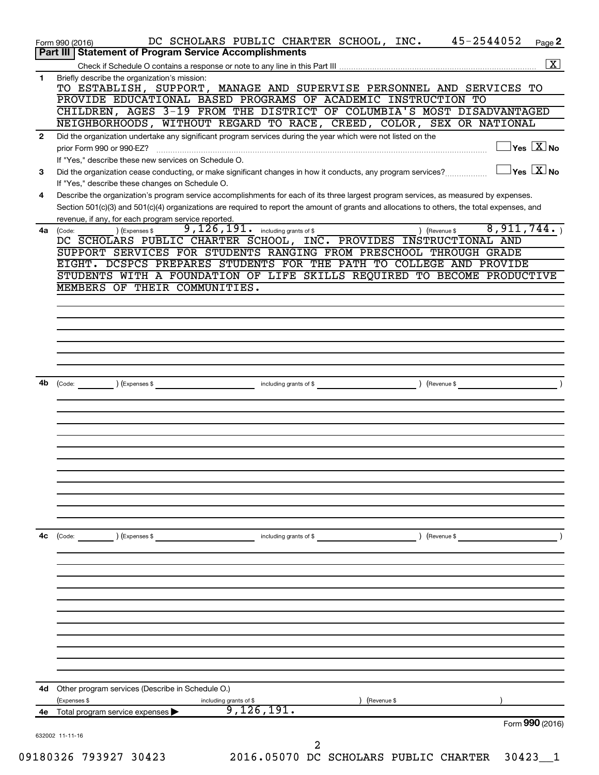|              | DC SCHOLARS PUBLIC CHARTER SCHOOL, INC. 45-2544052<br>Form 990 (2016)<br>Page 2<br>Part III   Statement of Program Service Accomplishments        |
|--------------|---------------------------------------------------------------------------------------------------------------------------------------------------|
|              | $\boxed{\text{X}}$                                                                                                                                |
| 1            | Briefly describe the organization's mission:                                                                                                      |
|              | TO ESTABLISH, SUPPORT, MANAGE AND SUPERVISE PERSONNEL AND SERVICES TO                                                                             |
|              | PROVIDE EDUCATIONAL BASED PROGRAMS OF ACADEMIC INSTRUCTION TO                                                                                     |
|              | CHILDREN, AGES 3-19 FROM THE DISTRICT OF COLUMBIA'S MOST DISADVANTAGED                                                                            |
|              | NEIGHBORHOODS, WITHOUT REGARD TO RACE, CREED, COLOR, SEX OR NATIONAL                                                                              |
| $\mathbf{2}$ | Did the organization undertake any significant program services during the year which were not listed on the                                      |
|              | $\exists$ Yes $\boxed{\text{X}}$ No<br>If "Yes." describe these new services on Schedule O.                                                       |
| 3            | $\Box$ Yes $~\boxed{\text{X}}$ No<br>Did the organization cease conducting, or make significant changes in how it conducts, any program services? |
|              | If "Yes," describe these changes on Schedule O.                                                                                                   |
| 4            | Describe the organization's program service accomplishments for each of its three largest program services, as measured by expenses.              |
|              | Section 501(c)(3) and 501(c)(4) organizations are required to report the amount of grants and allocations to others, the total expenses, and      |
|              | revenue, if any, for each program service reported.                                                                                               |
|              | $9,126,191$ $\cdot$ including grants of \$<br>8,911,744.<br>) (Expenses \$<br>4a (Code:<br>) (Revenue \$                                          |
|              | DC SCHOLARS PUBLIC CHARTER SCHOOL, INC. PROVIDES INSTRUCTIONAL AND<br>SUPPORT SERVICES FOR STUDENTS RANGING FROM PRESCHOOL THROUGH GRADE          |
|              | EIGHT. DCSPCS PREPARES STUDENTS FOR THE PATH TO COLLEGE AND PROVIDE                                                                               |
|              | STUDENTS WITH A FOUNDATION OF LIFE SKILLS REQUIRED TO BECOME PRODUCTIVE                                                                           |
|              | MEMBERS OF THEIR COMMUNITIES.                                                                                                                     |
|              |                                                                                                                                                   |
|              |                                                                                                                                                   |
|              |                                                                                                                                                   |
|              |                                                                                                                                                   |
|              |                                                                                                                                                   |
|              |                                                                                                                                                   |
| 4b           | (Code: ) (Expenses \$                                                                                                                             |
|              | including grants of \$ (Revenue \$)                                                                                                               |
|              |                                                                                                                                                   |
|              |                                                                                                                                                   |
|              |                                                                                                                                                   |
|              |                                                                                                                                                   |
|              |                                                                                                                                                   |
|              |                                                                                                                                                   |
|              |                                                                                                                                                   |
|              |                                                                                                                                                   |
|              |                                                                                                                                                   |
|              |                                                                                                                                                   |
| 4с           | (Code: ) (Expenses \$<br>$\frac{1}{2}$ including grants of \$                                                                                     |
|              |                                                                                                                                                   |
|              |                                                                                                                                                   |
|              |                                                                                                                                                   |
|              |                                                                                                                                                   |
|              |                                                                                                                                                   |
|              |                                                                                                                                                   |
|              |                                                                                                                                                   |
|              |                                                                                                                                                   |
|              |                                                                                                                                                   |
|              |                                                                                                                                                   |
|              |                                                                                                                                                   |
|              | 4d Other program services (Describe in Schedule O.)                                                                                               |
|              | (Expenses \$<br>) (Revenue \$<br>including grants of \$<br>9, $126$ , $191.$                                                                      |
| 4e           | Total program service expenses                                                                                                                    |
|              | Form 990 (2016)                                                                                                                                   |
|              | 632002 11-11-16                                                                                                                                   |
|              | 09180326 793927 30423<br>2016.05070 DC SCHOLARS PUBLIC CHARTER 30423_1                                                                            |
|              |                                                                                                                                                   |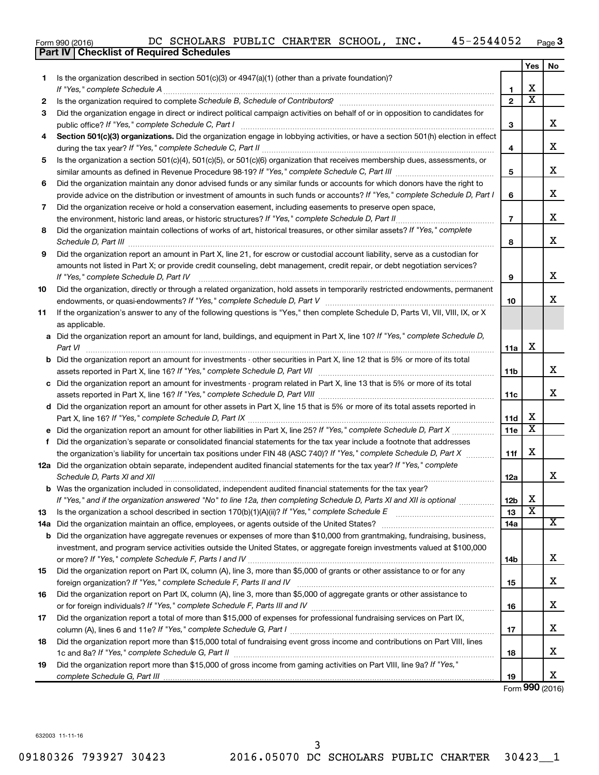|  | Form 990 (2016) |  |
|--|-----------------|--|

|     | Part IV   Checklist of Required Schedules                                                                                                                            |                 |                         |    |
|-----|----------------------------------------------------------------------------------------------------------------------------------------------------------------------|-----------------|-------------------------|----|
|     |                                                                                                                                                                      |                 | Yes                     | No |
| 1.  | Is the organization described in section 501(c)(3) or $4947(a)(1)$ (other than a private foundation)?                                                                |                 |                         |    |
|     |                                                                                                                                                                      | 1               | х                       |    |
| 2   | Is the organization required to complete Schedule B, Schedule of Contributors? [11] [12] the organization required to complete Schedule B, Schedule of Contributors? | $\mathbf{2}$    | $\overline{\text{x}}$   |    |
| 3   | Did the organization engage in direct or indirect political campaign activities on behalf of or in opposition to candidates for                                      |                 |                         |    |
|     |                                                                                                                                                                      | 3               |                         | х  |
| 4   | Section 501(c)(3) organizations. Did the organization engage in lobbying activities, or have a section 501(h) election in effect                                     |                 |                         | х  |
|     |                                                                                                                                                                      | 4               |                         |    |
| 5   | Is the organization a section 501(c)(4), 501(c)(5), or 501(c)(6) organization that receives membership dues, assessments, or                                         | 5               |                         | х  |
| 6   | Did the organization maintain any donor advised funds or any similar funds or accounts for which donors have the right to                                            |                 |                         |    |
|     | provide advice on the distribution or investment of amounts in such funds or accounts? If "Yes," complete Schedule D, Part I                                         | 6               |                         | х  |
| 7   | Did the organization receive or hold a conservation easement, including easements to preserve open space,                                                            |                 |                         |    |
|     | the environment, historic land areas, or historic structures? If "Yes," complete Schedule D, Part II                                                                 | $\overline{7}$  |                         | x  |
| 8   | Did the organization maintain collections of works of art, historical treasures, or other similar assets? If "Yes," complete                                         |                 |                         |    |
|     |                                                                                                                                                                      | 8               |                         | x  |
| 9   | Did the organization report an amount in Part X, line 21, for escrow or custodial account liability, serve as a custodian for                                        |                 |                         |    |
|     | amounts not listed in Part X; or provide credit counseling, debt management, credit repair, or debt negotiation services?                                            | 9               |                         | х  |
| 10  | Did the organization, directly or through a related organization, hold assets in temporarily restricted endowments, permanent                                        |                 |                         |    |
|     |                                                                                                                                                                      | 10              |                         | х  |
| 11  | If the organization's answer to any of the following questions is "Yes," then complete Schedule D, Parts VI, VII, VIII, IX, or X                                     |                 |                         |    |
|     | as applicable.                                                                                                                                                       |                 |                         |    |
| а   | Did the organization report an amount for land, buildings, and equipment in Part X, line 10? If "Yes," complete Schedule D,                                          |                 |                         |    |
|     | Part VI                                                                                                                                                              | 11a             | х                       |    |
| b   | Did the organization report an amount for investments - other securities in Part X, line 12 that is 5% or more of its total                                          |                 |                         |    |
|     |                                                                                                                                                                      | 11b             |                         | х  |
| с   | Did the organization report an amount for investments - program related in Part X, line 13 that is 5% or more of its total                                           |                 |                         |    |
|     |                                                                                                                                                                      | 11c             |                         | х  |
|     | d Did the organization report an amount for other assets in Part X, line 15 that is 5% or more of its total assets reported in                                       |                 |                         |    |
|     |                                                                                                                                                                      | 11d             | х                       |    |
|     | Did the organization report an amount for other liabilities in Part X, line 25? If "Yes," complete Schedule D, Part X                                                | 11e             | $\overline{\text{x}}$   |    |
| е   |                                                                                                                                                                      |                 |                         |    |
| f   | Did the organization's separate or consolidated financial statements for the tax year include a footnote that addresses                                              |                 | х                       |    |
|     | the organization's liability for uncertain tax positions under FIN 48 (ASC 740)? If "Yes," complete Schedule D, Part X                                               | 11f             |                         |    |
|     | 12a Did the organization obtain separate, independent audited financial statements for the tax year? If "Yes," complete                                              |                 |                         |    |
|     | Schedule D, Parts XI and XII                                                                                                                                         | 12a             |                         | x  |
|     | <b>b</b> Was the organization included in consolidated, independent audited financial statements for the tax year?                                                   |                 |                         |    |
|     | If "Yes," and if the organization answered "No" to line 12a, then completing Schedule D, Parts XI and XII is optional                                                | 12 <sub>b</sub> | х                       |    |
| 13  |                                                                                                                                                                      | 13              | $\overline{\textbf{x}}$ |    |
| 14a |                                                                                                                                                                      | 14a             |                         | x  |
| b   | Did the organization have aggregate revenues or expenses of more than \$10,000 from grantmaking, fundraising, business,                                              |                 |                         |    |
|     | investment, and program service activities outside the United States, or aggregate foreign investments valued at \$100,000                                           |                 |                         |    |
|     |                                                                                                                                                                      | 14b             |                         | х  |
| 15  | Did the organization report on Part IX, column (A), line 3, more than \$5,000 of grants or other assistance to or for any                                            |                 |                         |    |
|     |                                                                                                                                                                      | 15              |                         | х  |
| 16  | Did the organization report on Part IX, column (A), line 3, more than \$5,000 of aggregate grants or other assistance to                                             |                 |                         |    |
|     |                                                                                                                                                                      | 16              |                         | х  |
| 17  | Did the organization report a total of more than \$15,000 of expenses for professional fundraising services on Part IX,                                              |                 |                         |    |
|     |                                                                                                                                                                      | 17              |                         | х  |
| 18  | Did the organization report more than \$15,000 total of fundraising event gross income and contributions on Part VIII, lines                                         |                 |                         |    |
|     |                                                                                                                                                                      | 18              |                         | х  |
| 19  | Did the organization report more than \$15,000 of gross income from gaming activities on Part VIII, line 9a? If "Yes,"                                               |                 |                         |    |
|     |                                                                                                                                                                      | 19              |                         | X  |

Form (2016) **990**

632003 11-11-16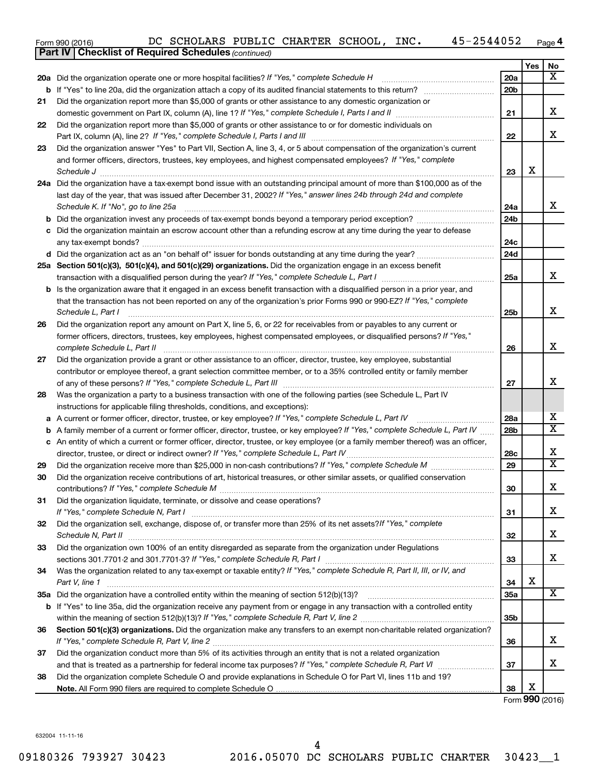| Form 990 (2016) |  | DC SCHOLARS PUBLIC CHARTER SCHOOL, |  |  |  | INC. | -2544052 | Page |  |
|-----------------|--|------------------------------------|--|--|--|------|----------|------|--|
|-----------------|--|------------------------------------|--|--|--|------|----------|------|--|

|    | <b>Part IV   Checklist of Required Schedules (continued)</b>                                                                                                                                         |                 |     |                         |
|----|------------------------------------------------------------------------------------------------------------------------------------------------------------------------------------------------------|-----------------|-----|-------------------------|
|    |                                                                                                                                                                                                      |                 | Yes | No                      |
|    | 20a Did the organization operate one or more hospital facilities? If "Yes," complete Schedule H                                                                                                      | 20a             |     | x                       |
|    |                                                                                                                                                                                                      | 20 <sub>b</sub> |     |                         |
| 21 | Did the organization report more than \$5,000 of grants or other assistance to any domestic organization or                                                                                          |                 |     |                         |
|    |                                                                                                                                                                                                      | 21              |     | х                       |
| 22 | Did the organization report more than \$5,000 of grants or other assistance to or for domestic individuals on                                                                                        |                 |     |                         |
|    |                                                                                                                                                                                                      | 22              |     | x                       |
| 23 | Did the organization answer "Yes" to Part VII, Section A, line 3, 4, or 5 about compensation of the organization's current                                                                           |                 |     |                         |
|    | and former officers, directors, trustees, key employees, and highest compensated employees? If "Yes," complete                                                                                       |                 |     |                         |
|    | Schedule J <b>Example 2 Contract 2 Contract 2 Contract 2 Contract 2 Contract 2 Contract 2 Contract 2 Contract 2 Contract 2 Contract 2 Contract 2 Contract 2 Contract 2 Contract 2 Contract 2 Con</b> | 23              | X   |                         |
|    | 24a Did the organization have a tax-exempt bond issue with an outstanding principal amount of more than \$100,000 as of the                                                                          |                 |     |                         |
|    | last day of the year, that was issued after December 31, 2002? If "Yes," answer lines 24b through 24d and complete                                                                                   |                 |     |                         |
|    | Schedule K. If "No", go to line 25a                                                                                                                                                                  | 24a             |     | x                       |
| b  |                                                                                                                                                                                                      | 24 <sub>b</sub> |     |                         |
|    | Did the organization maintain an escrow account other than a refunding escrow at any time during the year to defease                                                                                 |                 |     |                         |
|    |                                                                                                                                                                                                      | 24c             |     |                         |
|    |                                                                                                                                                                                                      | 24d             |     |                         |
|    | 25a Section 501(c)(3), 501(c)(4), and 501(c)(29) organizations. Did the organization engage in an excess benefit                                                                                     |                 |     |                         |
|    |                                                                                                                                                                                                      | 25a             |     | x                       |
|    | <b>b</b> Is the organization aware that it engaged in an excess benefit transaction with a disqualified person in a prior year, and                                                                  |                 |     |                         |
|    | that the transaction has not been reported on any of the organization's prior Forms 990 or 990-EZ? If "Yes," complete                                                                                |                 |     |                         |
|    | Schedule L, Part I                                                                                                                                                                                   | 25b             |     | х                       |
| 26 | Did the organization report any amount on Part X, line 5, 6, or 22 for receivables from or payables to any current or                                                                                |                 |     |                         |
|    | former officers, directors, trustees, key employees, highest compensated employees, or disqualified persons? If "Yes,"                                                                               |                 |     |                         |
|    | complete Schedule L, Part II                                                                                                                                                                         | 26              |     | х                       |
| 27 | Did the organization provide a grant or other assistance to an officer, director, trustee, key employee, substantial                                                                                 |                 |     |                         |
|    | contributor or employee thereof, a grant selection committee member, or to a 35% controlled entity or family member                                                                                  |                 |     |                         |
|    |                                                                                                                                                                                                      | 27              |     | х                       |
| 28 | Was the organization a party to a business transaction with one of the following parties (see Schedule L, Part IV                                                                                    |                 |     |                         |
|    | instructions for applicable filing thresholds, conditions, and exceptions):                                                                                                                          |                 |     |                         |
| а  | A current or former officer, director, trustee, or key employee? If "Yes," complete Schedule L, Part IV                                                                                              | 28a             |     | x                       |
| b  | A family member of a current or former officer, director, trustee, or key employee? If "Yes," complete Schedule L, Part IV                                                                           | 28b             |     | X                       |
|    | c An entity of which a current or former officer, director, trustee, or key employee (or a family member thereof) was an officer,                                                                    |                 |     |                         |
|    | director, trustee, or direct or indirect owner? If "Yes," complete Schedule L, Part IV                                                                                                               | 28c             |     | X                       |
| 29 |                                                                                                                                                                                                      | 29              |     | $\overline{\textbf{X}}$ |
| 30 | Did the organization receive contributions of art, historical treasures, or other similar assets, or qualified conservation                                                                          |                 |     |                         |
|    |                                                                                                                                                                                                      | 30              |     | Χ                       |
| 31 | Did the organization liquidate, terminate, or dissolve and cease operations?                                                                                                                         |                 |     |                         |
|    |                                                                                                                                                                                                      | 31              |     | x                       |
| 32 | Did the organization sell, exchange, dispose of, or transfer more than 25% of its net assets? If "Yes," complete                                                                                     |                 |     |                         |
|    |                                                                                                                                                                                                      | 32              |     | x                       |
| 33 | Did the organization own 100% of an entity disregarded as separate from the organization under Regulations                                                                                           |                 |     |                         |
|    |                                                                                                                                                                                                      | 33              |     | x                       |
| 34 | Was the organization related to any tax-exempt or taxable entity? If "Yes," complete Schedule R, Part II, III, or IV, and                                                                            |                 |     |                         |
|    | Part V, line 1                                                                                                                                                                                       | 34              | X   |                         |
|    |                                                                                                                                                                                                      | 35a             |     | х                       |
|    | b If "Yes" to line 35a, did the organization receive any payment from or engage in any transaction with a controlled entity                                                                          |                 |     |                         |
|    |                                                                                                                                                                                                      | 35b             |     |                         |
| 36 | Section 501(c)(3) organizations. Did the organization make any transfers to an exempt non-charitable related organization?                                                                           |                 |     |                         |
|    |                                                                                                                                                                                                      | 36              |     | х                       |
| 37 | Did the organization conduct more than 5% of its activities through an entity that is not a related organization                                                                                     |                 |     |                         |
|    |                                                                                                                                                                                                      | 37              |     | x                       |
| 38 | Did the organization complete Schedule O and provide explanations in Schedule O for Part VI, lines 11b and 19?                                                                                       |                 |     |                         |
|    |                                                                                                                                                                                                      | 38              | X   |                         |

Form (2016) **990**

632004 11-11-16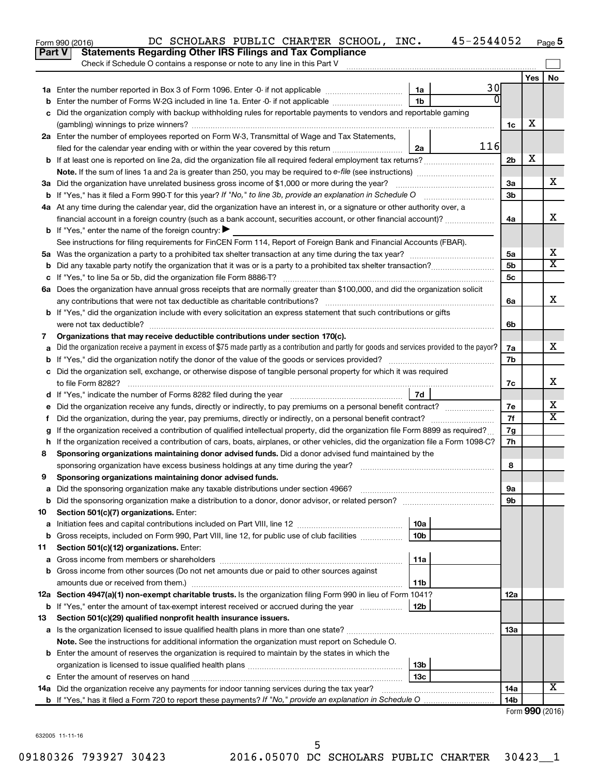|    | 45-2544052<br>DC SCHOLARS PUBLIC CHARTER SCHOOL, INC.<br>Form 990 (2016)                                                                        |                 |                 | Page 5    |
|----|-------------------------------------------------------------------------------------------------------------------------------------------------|-----------------|-----------------|-----------|
|    | <b>Statements Regarding Other IRS Filings and Tax Compliance</b><br><b>Part V</b>                                                               |                 |                 |           |
|    | Check if Schedule O contains a response or note to any line in this Part V                                                                      |                 |                 |           |
|    |                                                                                                                                                 |                 | Yes             | <b>No</b> |
|    | 30<br>1a                                                                                                                                        |                 |                 |           |
|    | 0<br>1 <sub>b</sub><br>Enter the number of Forms W-2G included in line 1a. Enter -0- if not applicable                                          |                 |                 |           |
|    | Did the organization comply with backup withholding rules for reportable payments to vendors and reportable gaming                              |                 |                 |           |
|    |                                                                                                                                                 | 1c              | х               |           |
|    | 2a Enter the number of employees reported on Form W-3, Transmittal of Wage and Tax Statements,                                                  |                 |                 |           |
|    | 116<br>filed for the calendar year ending with or within the year covered by this return<br>2a                                                  |                 |                 |           |
|    |                                                                                                                                                 | 2 <sub>b</sub>  | х               |           |
|    |                                                                                                                                                 |                 |                 |           |
|    |                                                                                                                                                 | За              |                 | х         |
|    |                                                                                                                                                 | 3 <sub>b</sub>  |                 |           |
|    | 4a At any time during the calendar year, did the organization have an interest in, or a signature or other authority over, a                    |                 |                 |           |
|    | financial account in a foreign country (such as a bank account, securities account, or other financial account)?                                | 4a              |                 | x         |
|    | <b>b</b> If "Yes," enter the name of the foreign country: $\blacktriangleright$                                                                 |                 |                 |           |
|    | See instructions for filing requirements for FinCEN Form 114, Report of Foreign Bank and Financial Accounts (FBAR).                             |                 |                 |           |
|    |                                                                                                                                                 | 5a              |                 | х         |
|    |                                                                                                                                                 | 5 <sub>b</sub>  |                 | X         |
|    |                                                                                                                                                 | 5c              |                 |           |
|    | 6a Does the organization have annual gross receipts that are normally greater than \$100,000, and did the organization solicit                  |                 |                 |           |
|    |                                                                                                                                                 | 6a              |                 | x         |
|    | <b>b</b> If "Yes," did the organization include with every solicitation an express statement that such contributions or gifts                   |                 |                 |           |
|    |                                                                                                                                                 | 6b              |                 |           |
| 7  | Organizations that may receive deductible contributions under section 170(c).                                                                   |                 |                 |           |
|    | Did the organization receive a payment in excess of \$75 made partly as a contribution and partly for goods and services provided to the payor? | 7a              |                 | х         |
|    |                                                                                                                                                 | 7b              |                 |           |
|    | c Did the organization sell, exchange, or otherwise dispose of tangible personal property for which it was required                             |                 |                 |           |
|    |                                                                                                                                                 | 7с              |                 | х         |
|    | 7d                                                                                                                                              |                 |                 |           |
|    |                                                                                                                                                 | 7е              |                 | х         |
| f. | Did the organization, during the year, pay premiums, directly or indirectly, on a personal benefit contract?                                    | 7f              |                 | х         |
|    | If the organization received a contribution of qualified intellectual property, did the organization file Form 8899 as required?                | 7g              |                 |           |
| h  | If the organization received a contribution of cars, boats, airplanes, or other vehicles, did the organization file a Form 1098-C?              | 7h              |                 |           |
| 8  | Sponsoring organizations maintaining donor advised funds. Did a donor advised fund maintained by the                                            |                 |                 |           |
|    |                                                                                                                                                 | 8               |                 |           |
|    | Sponsoring organizations maintaining donor advised funds.                                                                                       |                 |                 |           |
| а  | Did the sponsoring organization make any taxable distributions under section 4966?                                                              | 9а              |                 |           |
| b  |                                                                                                                                                 | 9b              |                 |           |
| 10 | Section 501(c)(7) organizations. Enter:                                                                                                         |                 |                 |           |
| а  | 10a                                                                                                                                             |                 |                 |           |
| b  | Gross receipts, included on Form 990, Part VIII, line 12, for public use of club facilities<br>10b                                              |                 |                 |           |
| 11 | Section 501(c)(12) organizations. Enter:                                                                                                        |                 |                 |           |
| а  | 11a                                                                                                                                             |                 |                 |           |
| b  | Gross income from other sources (Do not net amounts due or paid to other sources against                                                        |                 |                 |           |
|    | amounts due or received from them.)<br>11b                                                                                                      |                 |                 |           |
|    | 12a Section 4947(a)(1) non-exempt charitable trusts. Is the organization filing Form 990 in lieu of Form 1041?                                  | 12a             |                 |           |
|    | 12b<br><b>b</b> If "Yes," enter the amount of tax-exempt interest received or accrued during the year                                           |                 |                 |           |
| 13 | Section 501(c)(29) qualified nonprofit health insurance issuers.                                                                                |                 |                 |           |
| а  |                                                                                                                                                 | 13a             |                 |           |
|    | Note. See the instructions for additional information the organization must report on Schedule O.                                               |                 |                 |           |
|    | <b>b</b> Enter the amount of reserves the organization is required to maintain by the states in which the                                       |                 |                 |           |
|    | 13b                                                                                                                                             |                 |                 |           |
| c  | 13c                                                                                                                                             |                 |                 |           |
|    | 14a Did the organization receive any payments for indoor tanning services during the tax year?                                                  | 14a             |                 | х         |
|    |                                                                                                                                                 | 14 <sub>b</sub> |                 |           |
|    |                                                                                                                                                 |                 | Form 990 (2016) |           |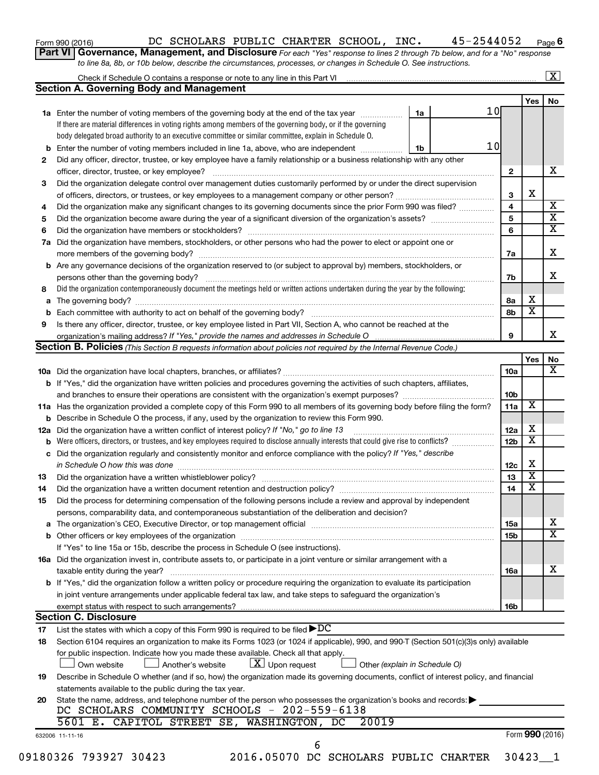| Form 990 (2016) |  |
|-----------------|--|
|-----------------|--|

### Form 990 (2016)  $\,$ DC SCHOLARS PUBLIC CHARTER SCHOOL, INC.  $\,$  45-2544052  $\,$  Page

**6**

**Part VI** Governance, Management, and Disclosure For each "Yes" response to lines 2 through 7b below, and for a "No" response *to line 8a, 8b, or 10b below, describe the circumstances, processes, or changes in Schedule O. See instructions.*

|    | Check if Schedule O contains a response or note to any line in this Part VI [11] [12] [12] Check if Schedule O contains a response or note to any line in this Part VI                                                         |    |                 |                 |                         | $\boxed{\text{X}}$      |
|----|--------------------------------------------------------------------------------------------------------------------------------------------------------------------------------------------------------------------------------|----|-----------------|-----------------|-------------------------|-------------------------|
|    | <b>Section A. Governing Body and Management</b>                                                                                                                                                                                |    |                 |                 |                         |                         |
|    |                                                                                                                                                                                                                                |    |                 |                 | Yes                     | No                      |
|    | 1a Enter the number of voting members of the governing body at the end of the tax year                                                                                                                                         | 1a | 10 <sub>l</sub> |                 |                         |                         |
|    | If there are material differences in voting rights among members of the governing body, or if the governing                                                                                                                    |    |                 |                 |                         |                         |
|    | body delegated broad authority to an executive committee or similar committee, explain in Schedule O.                                                                                                                          |    |                 |                 |                         |                         |
| b  | Enter the number of voting members included in line 1a, above, who are independent                                                                                                                                             | 1b | 10              |                 |                         |                         |
| 2  | Did any officer, director, trustee, or key employee have a family relationship or a business relationship with any other                                                                                                       |    |                 |                 |                         |                         |
|    | officer, director, trustee, or key employee?                                                                                                                                                                                   |    |                 | $\mathbf{2}$    |                         | x                       |
| 3  | Did the organization delegate control over management duties customarily performed by or under the direct supervision                                                                                                          |    |                 |                 |                         |                         |
|    |                                                                                                                                                                                                                                |    |                 | 3               | X                       |                         |
| 4  | Did the organization make any significant changes to its governing documents since the prior Form 990 was filed?                                                                                                               |    |                 | 4               |                         | $\overline{\mathbf{X}}$ |
| 5  |                                                                                                                                                                                                                                |    |                 | 5               |                         | $\overline{\mathbf{x}}$ |
| 6  |                                                                                                                                                                                                                                |    |                 | 6               |                         | $\overline{\mathbf{x}}$ |
| 7a | Did the organization have members, stockholders, or other persons who had the power to elect or appoint one or                                                                                                                 |    |                 |                 |                         |                         |
|    |                                                                                                                                                                                                                                |    |                 | 7a              |                         | Х                       |
| b  | Are any governance decisions of the organization reserved to (or subject to approval by) members, stockholders, or                                                                                                             |    |                 |                 |                         |                         |
|    |                                                                                                                                                                                                                                |    |                 | 7b              |                         | х                       |
| 8  | Did the organization contemporaneously document the meetings held or written actions undertaken during the year by the following:                                                                                              |    |                 |                 |                         |                         |
| а  |                                                                                                                                                                                                                                |    |                 | 8а              | х                       |                         |
|    |                                                                                                                                                                                                                                |    |                 | 8b              | $\overline{\mathbf{x}}$ |                         |
| 9  | Is there any officer, director, trustee, or key employee listed in Part VII, Section A, who cannot be reached at the                                                                                                           |    |                 |                 |                         |                         |
|    |                                                                                                                                                                                                                                |    |                 | 9               |                         | x                       |
|    | Section B. Policies (This Section B requests information about policies not required by the Internal Revenue Code.)                                                                                                            |    |                 |                 |                         |                         |
|    |                                                                                                                                                                                                                                |    |                 |                 | Yes                     | No                      |
|    |                                                                                                                                                                                                                                |    |                 | <b>10a</b>      |                         | х                       |
|    | <b>b</b> If "Yes," did the organization have written policies and procedures governing the activities of such chapters, affiliates,                                                                                            |    |                 |                 |                         |                         |
|    |                                                                                                                                                                                                                                |    |                 | 10b             |                         |                         |
|    | 11a Has the organization provided a complete copy of this Form 990 to all members of its governing body before filing the form?                                                                                                |    |                 | 11a             | X                       |                         |
|    | <b>b</b> Describe in Schedule O the process, if any, used by the organization to review this Form 990.                                                                                                                         |    |                 |                 |                         |                         |
|    | 12a Did the organization have a written conflict of interest policy? If "No," go to line 13                                                                                                                                    |    |                 | 12a             | х                       |                         |
|    | Were officers, directors, or trustees, and key employees required to disclose annually interests that could give rise to conflicts?                                                                                            |    |                 | 12 <sub>b</sub> | $\overline{\textbf{x}}$ |                         |
| с  | Did the organization regularly and consistently monitor and enforce compliance with the policy? If "Yes," describe                                                                                                             |    |                 |                 |                         |                         |
|    | in Schedule O how this was done manufactured and continuum and contact the was done manufactured and contact t                                                                                                                 |    |                 | 12c             | х                       |                         |
| 13 |                                                                                                                                                                                                                                |    |                 | 13              | $\overline{\textbf{x}}$ |                         |
| 14 |                                                                                                                                                                                                                                |    |                 | 14              | $\overline{\textbf{x}}$ |                         |
| 15 | Did the process for determining compensation of the following persons include a review and approval by independent                                                                                                             |    |                 |                 |                         |                         |
|    | persons, comparability data, and contemporaneous substantiation of the deliberation and decision?                                                                                                                              |    |                 |                 |                         |                         |
| а  | The organization's CEO, Executive Director, or top management official [111] [12] manument content or organization's CEO, Executive Director, or top management official [11] manument content or or or or or or or or or or o |    |                 | 15a             |                         | х                       |
|    |                                                                                                                                                                                                                                |    |                 | 15b             |                         | $\mathbf x$             |
|    | If "Yes" to line 15a or 15b, describe the process in Schedule O (see instructions).                                                                                                                                            |    |                 |                 |                         |                         |
|    | 16a Did the organization invest in, contribute assets to, or participate in a joint venture or similar arrangement with a                                                                                                      |    |                 |                 |                         |                         |
|    | taxable entity during the year?                                                                                                                                                                                                |    |                 | 16a             |                         | x                       |
|    | b If "Yes," did the organization follow a written policy or procedure requiring the organization to evaluate its participation                                                                                                 |    |                 |                 |                         |                         |
|    |                                                                                                                                                                                                                                |    |                 |                 |                         |                         |
|    | in joint venture arrangements under applicable federal tax law, and take steps to safeguard the organization's                                                                                                                 |    |                 |                 |                         |                         |
|    | exempt status with respect to such arrangements?<br><b>Section C. Disclosure</b>                                                                                                                                               |    |                 | 16b             |                         |                         |
| 17 | List the states with which a copy of this Form 990 is required to be filed $\blacktriangleright DC$                                                                                                                            |    |                 |                 |                         |                         |
| 18 | Section 6104 requires an organization to make its Forms 1023 (or 1024 if applicable), 990, and 990-T (Section 501(c)(3)s only) available                                                                                       |    |                 |                 |                         |                         |
|    |                                                                                                                                                                                                                                |    |                 |                 |                         |                         |
|    | for public inspection. Indicate how you made these available. Check all that apply.<br>$\lfloor x \rfloor$ Upon request                                                                                                        |    |                 |                 |                         |                         |
|    | Another's website<br>Other (explain in Schedule O)<br>Own website                                                                                                                                                              |    |                 |                 |                         |                         |
| 19 | Describe in Schedule O whether (and if so, how) the organization made its governing documents, conflict of interest policy, and financial                                                                                      |    |                 |                 |                         |                         |
|    | statements available to the public during the tax year.                                                                                                                                                                        |    |                 |                 |                         |                         |
| 20 | State the name, address, and telephone number of the person who possesses the organization's books and records:                                                                                                                |    |                 |                 |                         |                         |
|    | DC SCHOLARS COMMUNITY SCHOOLS - 202-559-6138                                                                                                                                                                                   |    |                 |                 |                         |                         |
|    | 5601 E. CAPITOL STREET SE, WASHINGTON, DC<br>20019                                                                                                                                                                             |    |                 |                 |                         |                         |
|    | 632006 11-11-16                                                                                                                                                                                                                |    |                 |                 | Form 990 (2016)         |                         |
|    | 6                                                                                                                                                                                                                              |    |                 |                 |                         |                         |
|    | 09180326 793927 30423<br>2016.05070 DC SCHOLARS PUBLIC CHARTER                                                                                                                                                                 |    |                 |                 | $30423 - 1$             |                         |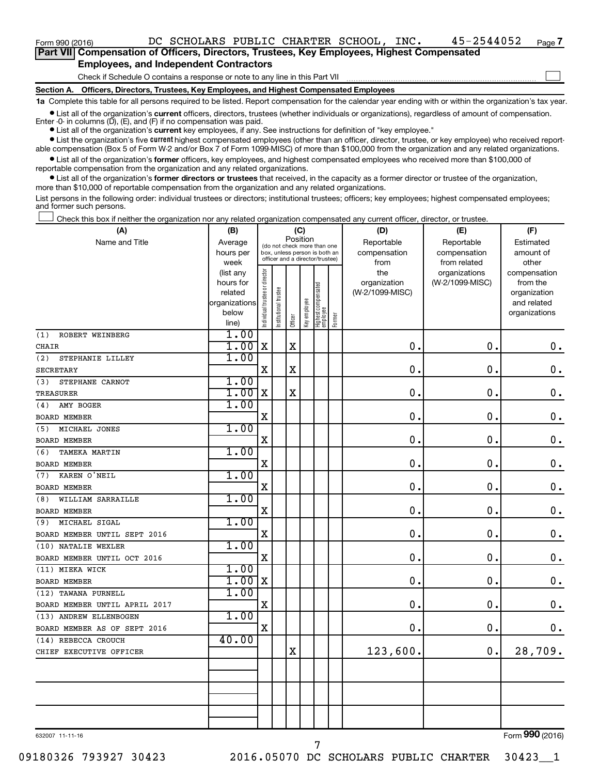$\Box$ 

| Part VII Compensation of Officers, Directors, Trustees, Key Employees, Highest Compensated |  |  |
|--------------------------------------------------------------------------------------------|--|--|
| <b>Employees, and Independent Contractors</b>                                              |  |  |

Check if Schedule O contains a response or note to any line in this Part VII

**Section A. Officers, Directors, Trustees, Key Employees, and Highest Compensated Employees**

**1a**  Complete this table for all persons required to be listed. Report compensation for the calendar year ending with or within the organization's tax year.

**•** List all of the organization's current officers, directors, trustees (whether individuals or organizations), regardless of amount of compensation. Enter -0- in columns  $(D)$ ,  $(E)$ , and  $(F)$  if no compensation was paid.

**•** List all of the organization's **current** key employees, if any. See instructions for definition of "key employee."

**•** List the organization's five current highest compensated employees (other than an officer, director, trustee, or key employee) who received reportable compensation (Box 5 of Form W-2 and/or Box 7 of Form 1099-MISC) of more than \$100,000 from the organization and any related organizations.

**•** List all of the organization's former officers, key employees, and highest compensated employees who received more than \$100,000 of reportable compensation from the organization and any related organizations.

**•** List all of the organization's former directors or trustees that received, in the capacity as a former director or trustee of the organization, more than \$10,000 of reportable compensation from the organization and any related organizations.

List persons in the following order: individual trustees or directors; institutional trustees; officers; key employees; highest compensated employees; and former such persons.

Check this box if neither the organization nor any related organization compensated any current officer, director, or trustee.  $\Box$ 

| (A)                           | (B)                  |                                |                       | (C)                                                              |              |                                 |              | (D)             | (E)             | (F)                         |
|-------------------------------|----------------------|--------------------------------|-----------------------|------------------------------------------------------------------|--------------|---------------------------------|--------------|-----------------|-----------------|-----------------------------|
| Name and Title                | Average              | (do not check more than one    |                       |                                                                  | Position     |                                 |              | Reportable      | Reportable      | Estimated                   |
|                               | hours per            |                                |                       | box, unless person is both an<br>officer and a director/trustee) |              |                                 | compensation | compensation    | amount of       |                             |
|                               | week                 |                                |                       |                                                                  |              |                                 |              | from            | from related    | other                       |
|                               | (list any            |                                |                       |                                                                  |              |                                 |              | the             | organizations   | compensation                |
|                               | hours for<br>related |                                |                       |                                                                  |              |                                 |              | organization    | (W-2/1099-MISC) | from the                    |
|                               | organizations        |                                |                       |                                                                  |              |                                 |              | (W-2/1099-MISC) |                 | organization<br>and related |
|                               | below                |                                |                       |                                                                  |              |                                 |              |                 |                 | organizations               |
|                               | line)                | Individual trustee or director | Institutional trustee | Officer                                                          | Key employee | Highest compensated<br>employee | Former       |                 |                 |                             |
| ROBERT WEINBERG<br>(1)        | 1.00                 |                                |                       |                                                                  |              |                                 |              |                 |                 |                             |
| <b>CHAIR</b>                  | 1.00                 | X                              |                       | $\mathbf X$                                                      |              |                                 |              | 0.              | О.              | $\boldsymbol{0}$ .          |
| (2)<br>STEPHANIE LILLEY       | 1.00                 |                                |                       |                                                                  |              |                                 |              |                 |                 |                             |
| <b>SECRETARY</b>              |                      | $\rm X$                        |                       | $\rm X$                                                          |              |                                 |              | 0.              | $\mathbf 0$ .   | $\mathbf 0$ .               |
| STEPHANE CARNOT<br>(3)        | 1.00                 |                                |                       |                                                                  |              |                                 |              |                 |                 |                             |
| <b>TREASURER</b>              | 1.00                 | X                              |                       | $\mathbf X$                                                      |              |                                 |              | 0.              | $\mathbf 0$ .   | $\mathbf 0$ .               |
| AMY BOGER<br>(4)              | 1.00                 |                                |                       |                                                                  |              |                                 |              |                 |                 |                             |
| BOARD MEMBER                  |                      | $\mathbf X$                    |                       |                                                                  |              |                                 |              | 0.              | $\mathbf 0$ .   | $\mathbf 0$ .               |
| MICHAEL JONES<br>(5)          | 1.00                 |                                |                       |                                                                  |              |                                 |              |                 |                 |                             |
| BOARD MEMBER                  |                      | $\mathbf X$                    |                       |                                                                  |              |                                 |              | 0.              | $\mathbf 0$ .   | $\mathbf 0$ .               |
| <b>TAMEKA MARTIN</b><br>(6)   | 1.00                 |                                |                       |                                                                  |              |                                 |              |                 |                 |                             |
| BOARD MEMBER                  |                      | X                              |                       |                                                                  |              |                                 |              | 0.              | $\mathbf 0$ .   | $\mathbf 0$ .               |
| KAREN O'NEIL<br>(7)           | 1.00                 |                                |                       |                                                                  |              |                                 |              |                 |                 |                             |
| <b>BOARD MEMBER</b>           |                      | $\mathbf X$                    |                       |                                                                  |              |                                 |              | 0.              | О.              | $\boldsymbol{0}$ .          |
| WILLIAM SARRAILLE<br>(8)      | 1.00                 |                                |                       |                                                                  |              |                                 |              |                 |                 |                             |
| <b>BOARD MEMBER</b>           |                      | $\mathbf X$                    |                       |                                                                  |              |                                 |              | 0.              | О.              | $\mathbf 0$ .               |
| MICHAEL SIGAL<br>(9)          | 1.00                 |                                |                       |                                                                  |              |                                 |              |                 |                 |                             |
| BOARD MEMBER UNTIL SEPT 2016  |                      | X                              |                       |                                                                  |              |                                 |              | 0.              | $\mathbf 0$ .   | $\mathbf 0$ .               |
| (10) NATALIE WEXLER           | 1.00                 |                                |                       |                                                                  |              |                                 |              |                 |                 |                             |
| BOARD MEMBER UNTIL OCT 2016   |                      | X                              |                       |                                                                  |              |                                 |              | $\mathbf 0$ .   | $\mathbf 0$ .   | $\mathbf 0$ .               |
| (11) MIEKA WICK               | 1.00                 |                                |                       |                                                                  |              |                                 |              |                 |                 |                             |
| <b>BOARD MEMBER</b>           | 1.00                 | X                              |                       |                                                                  |              |                                 |              | $\mathbf 0$ .   | $\mathbf 0$ .   | $0$ .                       |
| (12) TAWANA PURNELL           | 1.00                 |                                |                       |                                                                  |              |                                 |              |                 |                 |                             |
| BOARD MEMBER UNTIL APRIL 2017 |                      | X                              |                       |                                                                  |              |                                 |              | $\mathbf 0$ .   | О.              | $\mathbf 0$ .               |
| (13) ANDREW ELLENBOGEN        | 1.00                 |                                |                       |                                                                  |              |                                 |              |                 |                 |                             |
| BOARD MEMBER AS OF SEPT 2016  |                      | $\mathbf X$                    |                       |                                                                  |              |                                 |              | 0.              | $\mathbf 0$ .   | $\mathbf 0$ .               |
| (14) REBECCA CROUCH           | 40.00                |                                |                       |                                                                  |              |                                 |              |                 |                 |                             |
| CHIEF EXECUTIVE OFFICER       |                      |                                |                       | X                                                                |              |                                 |              | 123,600.        | 0.              | 28,709.                     |
|                               |                      |                                |                       |                                                                  |              |                                 |              |                 |                 |                             |
|                               |                      |                                |                       |                                                                  |              |                                 |              |                 |                 |                             |
|                               |                      |                                |                       |                                                                  |              |                                 |              |                 |                 |                             |
|                               |                      |                                |                       |                                                                  |              |                                 |              |                 |                 |                             |
|                               |                      |                                |                       |                                                                  |              |                                 |              |                 |                 |                             |
|                               |                      |                                |                       |                                                                  |              |                                 |              |                 |                 |                             |

632007 11-11-16

7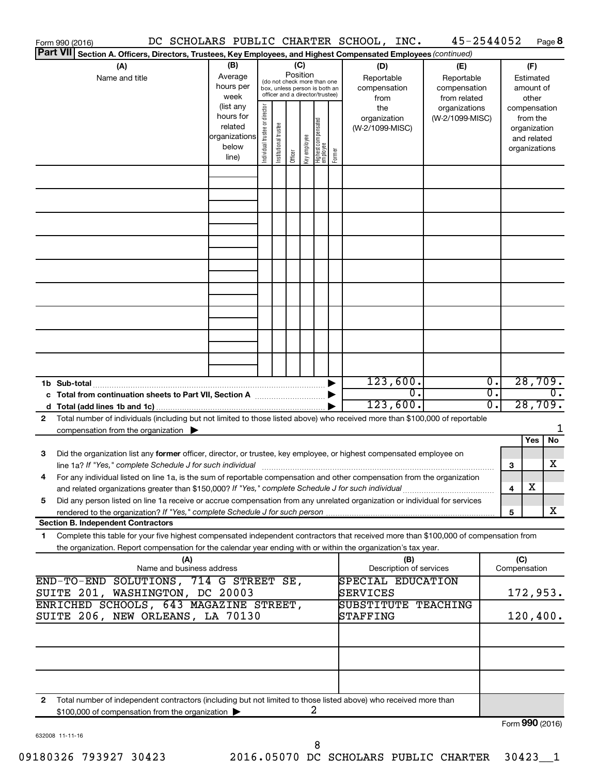| Form 990 (2016)                                                                                                                                                                                                                |                           |                                |                       |          |              |                                   |        | DC SCHOLARS PUBLIC CHARTER SCHOOL, INC. | 45-2544052      |                  |                 |                             | Page 8           |
|--------------------------------------------------------------------------------------------------------------------------------------------------------------------------------------------------------------------------------|---------------------------|--------------------------------|-----------------------|----------|--------------|-----------------------------------|--------|-----------------------------------------|-----------------|------------------|-----------------|-----------------------------|------------------|
| <b>Part VII</b><br>Section A. Officers, Directors, Trustees, Key Employees, and Highest Compensated Employees (continued)                                                                                                      |                           |                                |                       |          |              |                                   |        |                                         |                 |                  |                 |                             |                  |
| (A)                                                                                                                                                                                                                            | (B)                       |                                |                       | (C)      |              |                                   |        | (D)                                     | (E)             |                  |                 | (F)                         |                  |
| Name and title                                                                                                                                                                                                                 | Average                   |                                |                       | Position |              | (do not check more than one       |        | Reportable                              | Reportable      |                  |                 | Estimated                   |                  |
|                                                                                                                                                                                                                                | hours per                 |                                |                       |          |              | box, unless person is both an     |        | compensation                            | compensation    |                  |                 | amount of                   |                  |
|                                                                                                                                                                                                                                | week                      |                                |                       |          |              | officer and a director/trustee)   |        | from                                    | from related    |                  |                 | other                       |                  |
|                                                                                                                                                                                                                                | (list any<br>hours for    |                                |                       |          |              |                                   |        | the                                     | organizations   |                  |                 | compensation                |                  |
|                                                                                                                                                                                                                                | related                   |                                |                       |          |              |                                   |        | organization                            | (W-2/1099-MISC) |                  |                 | from the                    |                  |
|                                                                                                                                                                                                                                | organizations             |                                |                       |          |              |                                   |        | (W-2/1099-MISC)                         |                 |                  |                 | organization<br>and related |                  |
|                                                                                                                                                                                                                                | below                     |                                |                       |          |              |                                   |        |                                         |                 |                  |                 | organizations               |                  |
|                                                                                                                                                                                                                                | line)                     | Individual trustee or director | Institutional trustee | Officer  | Key employee | Highest compensated<br>  employee | Former |                                         |                 |                  |                 |                             |                  |
|                                                                                                                                                                                                                                |                           |                                |                       |          |              |                                   |        |                                         |                 |                  |                 |                             |                  |
|                                                                                                                                                                                                                                |                           |                                |                       |          |              |                                   |        |                                         |                 |                  |                 |                             |                  |
|                                                                                                                                                                                                                                |                           |                                |                       |          |              |                                   |        |                                         |                 |                  |                 |                             |                  |
|                                                                                                                                                                                                                                |                           |                                |                       |          |              |                                   |        |                                         |                 |                  |                 |                             |                  |
|                                                                                                                                                                                                                                |                           |                                |                       |          |              |                                   |        |                                         |                 |                  |                 |                             |                  |
|                                                                                                                                                                                                                                |                           |                                |                       |          |              |                                   |        |                                         |                 |                  |                 |                             |                  |
|                                                                                                                                                                                                                                |                           |                                |                       |          |              |                                   |        |                                         |                 |                  |                 |                             |                  |
|                                                                                                                                                                                                                                |                           |                                |                       |          |              |                                   |        |                                         |                 |                  |                 |                             |                  |
|                                                                                                                                                                                                                                |                           |                                |                       |          |              |                                   |        |                                         |                 |                  |                 |                             |                  |
|                                                                                                                                                                                                                                |                           |                                |                       |          |              |                                   |        |                                         |                 |                  |                 |                             |                  |
|                                                                                                                                                                                                                                |                           |                                |                       |          |              |                                   |        |                                         |                 |                  |                 |                             |                  |
|                                                                                                                                                                                                                                |                           |                                |                       |          |              |                                   |        |                                         |                 |                  |                 |                             |                  |
|                                                                                                                                                                                                                                |                           |                                |                       |          |              |                                   |        |                                         |                 |                  |                 |                             |                  |
|                                                                                                                                                                                                                                |                           |                                |                       |          |              |                                   |        |                                         |                 |                  |                 |                             |                  |
|                                                                                                                                                                                                                                |                           |                                |                       |          |              |                                   |        |                                         |                 |                  |                 |                             |                  |
|                                                                                                                                                                                                                                |                           |                                |                       |          |              |                                   |        |                                         |                 |                  |                 |                             |                  |
|                                                                                                                                                                                                                                |                           |                                |                       |          |              |                                   |        |                                         |                 |                  |                 |                             |                  |
| 1b Sub-total                                                                                                                                                                                                                   |                           |                                |                       |          |              |                                   |        | 123,600.                                |                 | $\overline{0}$ . |                 | 28,709.                     |                  |
|                                                                                                                                                                                                                                |                           |                                |                       |          |              |                                   |        | $\overline{0}$ .                        |                 | $\overline{0}$ . |                 |                             | $\overline{0}$ . |
|                                                                                                                                                                                                                                |                           |                                |                       |          |              |                                   |        | 123,600.                                |                 | 0.               |                 | 28,709.                     |                  |
| Total number of individuals (including but not limited to those listed above) who received more than \$100,000 of reportable<br>2                                                                                              |                           |                                |                       |          |              |                                   |        |                                         |                 |                  |                 |                             |                  |
| compensation from the organization $\blacktriangleright$                                                                                                                                                                       |                           |                                |                       |          |              |                                   |        |                                         |                 |                  |                 |                             | 1                |
|                                                                                                                                                                                                                                |                           |                                |                       |          |              |                                   |        |                                         |                 |                  |                 | Yes                         | No               |
| Did the organization list any former officer, director, or trustee, key employee, or highest compensated employee on<br>3                                                                                                      |                           |                                |                       |          |              |                                   |        |                                         |                 |                  |                 |                             |                  |
| line 1a? If "Yes," complete Schedule J for such individual manufacture content to the set of the set of the such that the set of the set of the set of the set of the set of the set of the set of the set of the set of the s |                           |                                |                       |          |              |                                   |        |                                         |                 |                  | З               |                             | х                |
| For any individual listed on line 1a, is the sum of reportable compensation and other compensation from the organization                                                                                                       |                           |                                |                       |          |              |                                   |        |                                         |                 |                  |                 |                             |                  |
| and related organizations greater than \$150,000? If "Yes," complete Schedule J for such individual                                                                                                                            |                           |                                |                       |          |              |                                   |        |                                         |                 |                  | 4               | х                           |                  |
| Did any person listed on line 1a receive or accrue compensation from any unrelated organization or individual for services<br>5                                                                                                |                           |                                |                       |          |              |                                   |        |                                         |                 |                  |                 |                             |                  |
|                                                                                                                                                                                                                                |                           |                                |                       |          |              |                                   |        |                                         |                 |                  | 5               |                             | x                |
| <b>Section B. Independent Contractors</b>                                                                                                                                                                                      |                           |                                |                       |          |              |                                   |        |                                         |                 |                  |                 |                             |                  |
| Complete this table for your five highest compensated independent contractors that received more than \$100,000 of compensation from<br>1                                                                                      |                           |                                |                       |          |              |                                   |        |                                         |                 |                  |                 |                             |                  |
| the organization. Report compensation for the calendar year ending with or within the organization's tax year.                                                                                                                 |                           |                                |                       |          |              |                                   |        |                                         |                 |                  |                 |                             |                  |
|                                                                                                                                                                                                                                | (A)                       |                                |                       |          |              |                                   |        | (B)                                     |                 |                  | (C)             |                             |                  |
|                                                                                                                                                                                                                                | Name and business address |                                |                       |          |              |                                   |        | Description of services                 |                 |                  | Compensation    |                             |                  |
| END-TO-END SOLUTIONS, 714 G STREET SE,                                                                                                                                                                                         |                           |                                |                       |          |              |                                   |        | SPECIAL EDUCATION                       |                 |                  |                 |                             |                  |
| SUITE 201, WASHINGTON, DC 20003                                                                                                                                                                                                |                           |                                |                       |          |              |                                   |        | SERVICES                                |                 |                  |                 | 172,953.                    |                  |
| ENRICHED SCHOOLS, 643 MAGAZINE STREET,                                                                                                                                                                                         |                           |                                |                       |          |              |                                   |        | <b>SUBSTITUTE TEACHING</b>              |                 |                  |                 |                             |                  |
| SUITE 206, NEW ORLEANS, LA 70130                                                                                                                                                                                               |                           |                                |                       |          |              |                                   |        | STAFFING                                |                 |                  |                 | 120,400.                    |                  |
|                                                                                                                                                                                                                                |                           |                                |                       |          |              |                                   |        |                                         |                 |                  |                 |                             |                  |
|                                                                                                                                                                                                                                |                           |                                |                       |          |              |                                   |        |                                         |                 |                  |                 |                             |                  |
|                                                                                                                                                                                                                                |                           |                                |                       |          |              |                                   |        |                                         |                 |                  |                 |                             |                  |
|                                                                                                                                                                                                                                |                           |                                |                       |          |              |                                   |        |                                         |                 |                  |                 |                             |                  |
|                                                                                                                                                                                                                                |                           |                                |                       |          |              |                                   |        |                                         |                 |                  |                 |                             |                  |
| Total number of independent contractors (including but not limited to those listed above) who received more than<br>2                                                                                                          |                           |                                |                       |          |              |                                   |        |                                         |                 |                  |                 |                             |                  |
| \$100,000 of compensation from the organization                                                                                                                                                                                |                           |                                |                       |          |              | 2                                 |        |                                         |                 |                  |                 |                             |                  |
|                                                                                                                                                                                                                                |                           |                                |                       |          |              |                                   |        |                                         |                 |                  | Form 990 (2016) |                             |                  |

632008 11-11-16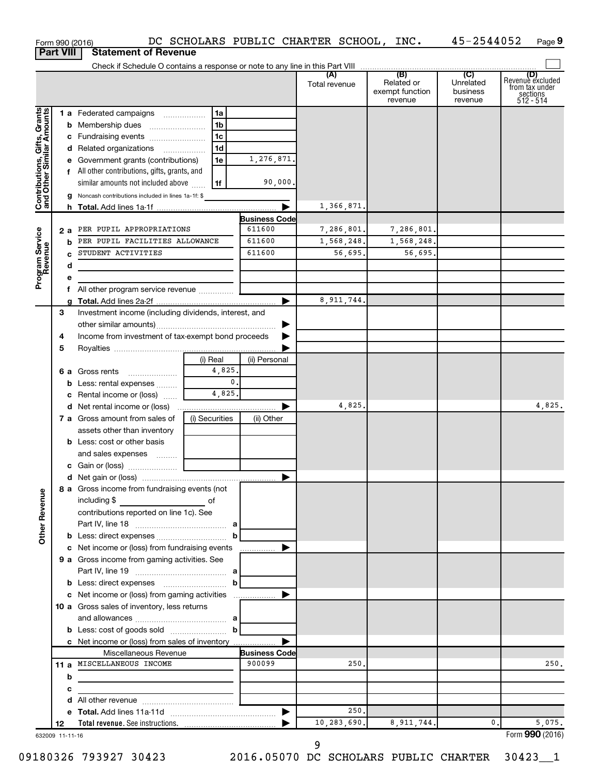|                                                           | Form 990 (2016)  |                                                                                     |                |                                | DC SCHOLARS PUBLIC CHARTER SCHOOL, INC. |                                          | 45-2544052                              | Page 9                                                             |
|-----------------------------------------------------------|------------------|-------------------------------------------------------------------------------------|----------------|--------------------------------|-----------------------------------------|------------------------------------------|-----------------------------------------|--------------------------------------------------------------------|
|                                                           | <b>Part VIII</b> | <b>Statement of Revenue</b>                                                         |                |                                |                                         |                                          |                                         |                                                                    |
|                                                           |                  |                                                                                     |                |                                |                                         | (B)                                      |                                         |                                                                    |
|                                                           |                  |                                                                                     |                |                                | (A)<br>Total revenue                    | Related or<br>exempt function<br>revenue | (C)<br>Unrelated<br>business<br>revenue | (D)<br>Revenue excluded<br>from tax under<br>sections<br>512 - 514 |
| Contributions, Gifts, Grants<br>and Other Similar Amounts |                  | 1 a Federated campaigns                                                             | 1a             |                                |                                         |                                          |                                         |                                                                    |
|                                                           |                  | <b>b</b> Membership dues                                                            | 1b             |                                |                                         |                                          |                                         |                                                                    |
|                                                           |                  | c Fundraising events                                                                | 1c             |                                |                                         |                                          |                                         |                                                                    |
|                                                           |                  | d Related organizations                                                             | 1 <sub>d</sub> |                                |                                         |                                          |                                         |                                                                    |
|                                                           |                  | e Government grants (contributions)                                                 | 1e             | 1,276,871.                     |                                         |                                          |                                         |                                                                    |
|                                                           |                  | f All other contributions, gifts, grants, and<br>similar amounts not included above | 1f             | 90,000.                        |                                         |                                          |                                         |                                                                    |
|                                                           |                  | g Noncash contributions included in lines 1a-1f: \$                                 |                |                                |                                         |                                          |                                         |                                                                    |
|                                                           |                  |                                                                                     |                |                                | 1,366,871.                              |                                          |                                         |                                                                    |
|                                                           |                  |                                                                                     |                | <b>Business Code</b>           |                                         |                                          |                                         |                                                                    |
|                                                           | 2 a              | PER PUPIL APPROPRIATIONS                                                            |                | 611600                         | 7,286,801.                              | 7,286,801.                               |                                         |                                                                    |
|                                                           | b                | PER PUPIL FACILITIES ALLOWANCE                                                      |                | 611600                         | 1,568,248.                              | 1,568,248.                               |                                         |                                                                    |
|                                                           | C.               | STUDENT ACTIVITIES                                                                  |                | 611600                         | 56,695.                                 | 56,695.                                  |                                         |                                                                    |
|                                                           | d                |                                                                                     |                |                                |                                         |                                          |                                         |                                                                    |
| Program Service<br>Revenue                                | е                |                                                                                     |                |                                |                                         |                                          |                                         |                                                                    |
|                                                           | f                | All other program service revenue                                                   |                |                                |                                         |                                          |                                         |                                                                    |
|                                                           | a                |                                                                                     |                |                                | 8,911,744.                              |                                          |                                         |                                                                    |
|                                                           | З                | Investment income (including dividends, interest, and                               |                |                                |                                         |                                          |                                         |                                                                    |
|                                                           | 4                | Income from investment of tax-exempt bond proceeds                                  |                |                                |                                         |                                          |                                         |                                                                    |
|                                                           | 5                |                                                                                     |                |                                |                                         |                                          |                                         |                                                                    |
|                                                           |                  |                                                                                     | (i) Real       | (ii) Personal                  |                                         |                                          |                                         |                                                                    |
|                                                           |                  | <b>6 a</b> Gross rents                                                              | 4,825.         |                                |                                         |                                          |                                         |                                                                    |
|                                                           |                  | <b>b</b> Less: rental expenses                                                      | $\mathbf{0}$ . |                                |                                         |                                          |                                         |                                                                    |
|                                                           |                  | c Rental income or (loss)                                                           | 4,825.         |                                |                                         |                                          |                                         |                                                                    |
|                                                           |                  |                                                                                     |                |                                | 4,825,                                  |                                          |                                         | 4,825.                                                             |
|                                                           |                  | 7 a Gross amount from sales of                                                      | (i) Securities | (ii) Other                     |                                         |                                          |                                         |                                                                    |
|                                                           |                  | assets other than inventory                                                         |                |                                |                                         |                                          |                                         |                                                                    |
|                                                           |                  | <b>b</b> Less: cost or other basis                                                  |                |                                |                                         |                                          |                                         |                                                                    |
|                                                           |                  | and sales expenses                                                                  |                |                                |                                         |                                          |                                         |                                                                    |
|                                                           |                  |                                                                                     |                |                                |                                         |                                          |                                         |                                                                    |
|                                                           |                  | 8 a Gross income from fundraising events (not                                       |                |                                |                                         |                                          |                                         |                                                                    |
| <b>Other Revenue</b>                                      |                  | including \$                                                                        |                |                                |                                         |                                          |                                         |                                                                    |
|                                                           |                  | contributions reported on line 1c). See                                             |                |                                |                                         |                                          |                                         |                                                                    |
|                                                           |                  |                                                                                     |                |                                |                                         |                                          |                                         |                                                                    |
|                                                           |                  | c Net income or (loss) from fundraising events                                      |                |                                |                                         |                                          |                                         |                                                                    |
|                                                           |                  | 9 a Gross income from gaming activities. See                                        |                |                                |                                         |                                          |                                         |                                                                    |
|                                                           |                  |                                                                                     |                |                                |                                         |                                          |                                         |                                                                    |
|                                                           |                  |                                                                                     |                |                                |                                         |                                          |                                         |                                                                    |
|                                                           |                  |                                                                                     |                |                                |                                         |                                          |                                         |                                                                    |
|                                                           |                  | <b>10 a</b> Gross sales of inventory, less returns                                  |                |                                |                                         |                                          |                                         |                                                                    |
|                                                           |                  |                                                                                     |                |                                |                                         |                                          |                                         |                                                                    |
|                                                           |                  | <b>b</b> Less: cost of goods sold $\ldots$ $\ldots$ <b>b</b>                        |                |                                |                                         |                                          |                                         |                                                                    |
|                                                           |                  | c Net income or (loss) from sales of inventory                                      |                |                                |                                         |                                          |                                         |                                                                    |
|                                                           |                  | Miscellaneous Revenue<br>11 a MISCELLANEOUS INCOME                                  |                | <b>Business Code</b><br>900099 | 250.                                    |                                          |                                         | 250.                                                               |
|                                                           | b                |                                                                                     |                |                                |                                         |                                          |                                         |                                                                    |
|                                                           | с                | the control of the control of the control of the control of the control of          |                |                                |                                         |                                          |                                         |                                                                    |
|                                                           | d                |                                                                                     |                |                                |                                         |                                          |                                         |                                                                    |
|                                                           |                  |                                                                                     |                |                                | 250,                                    |                                          |                                         |                                                                    |
|                                                           | 12               |                                                                                     |                |                                | 10,283,690.                             | 8, 911, 744.                             | 0.                                      | 5,075.                                                             |
|                                                           | 632009 11-11-16  |                                                                                     |                |                                |                                         |                                          |                                         | Form 990 (2016)                                                    |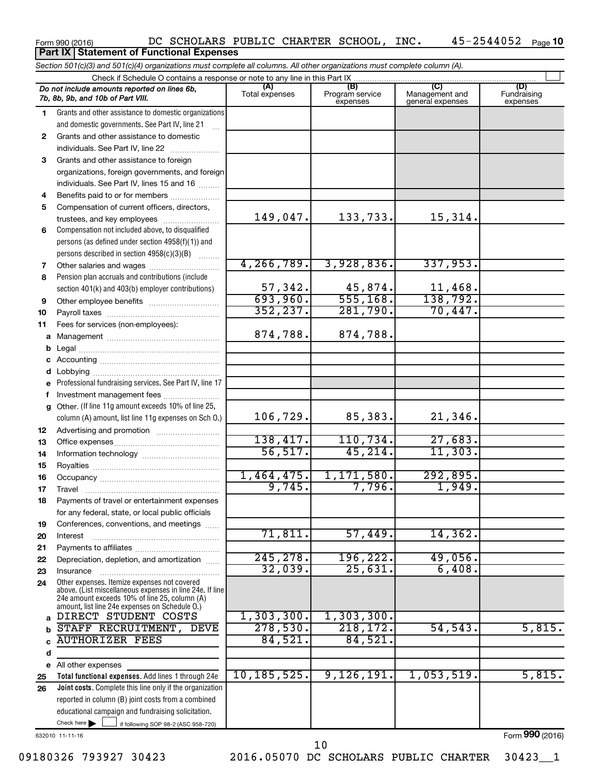### Form 990 (2016) DC SCHOLARS PUBLIC CHARTER SCHOOL,INC**.** 45-2544052 <sub>Page</sub> 10 **Part IX Statement of Functional Expenses**

|          | Section 501(c)(3) and 501(c)(4) organizations must complete all columns. All other organizations must complete column (A). |                       |                                    |                                           |                                |
|----------|----------------------------------------------------------------------------------------------------------------------------|-----------------------|------------------------------------|-------------------------------------------|--------------------------------|
|          | Check if Schedule O contains a response or note to any line in this Part IX                                                |                       |                                    |                                           |                                |
|          | Do not include amounts reported on lines 6b,<br>7b, 8b, 9b, and 10b of Part VIII.                                          | (A)<br>Total expenses | (B)<br>Program service<br>expenses | (C)<br>Management and<br>general expenses | (D)<br>Fundraising<br>expenses |
| 1        | Grants and other assistance to domestic organizations                                                                      |                       |                                    |                                           |                                |
|          | and domestic governments. See Part IV, line 21                                                                             |                       |                                    |                                           |                                |
| 2        | Grants and other assistance to domestic                                                                                    |                       |                                    |                                           |                                |
|          | individuals. See Part IV, line 22                                                                                          |                       |                                    |                                           |                                |
| 3        | Grants and other assistance to foreign                                                                                     |                       |                                    |                                           |                                |
|          | organizations, foreign governments, and foreign                                                                            |                       |                                    |                                           |                                |
|          | individuals. See Part IV, lines 15 and 16                                                                                  |                       |                                    |                                           |                                |
| 4        | Benefits paid to or for members                                                                                            |                       |                                    |                                           |                                |
| 5        | Compensation of current officers, directors,                                                                               |                       |                                    |                                           |                                |
|          | trustees, and key employees                                                                                                | 149,047.              | 133,733.                           | 15,314.                                   |                                |
| 6        | Compensation not included above, to disqualified                                                                           |                       |                                    |                                           |                                |
|          | persons (as defined under section 4958(f)(1)) and                                                                          |                       |                                    |                                           |                                |
|          | persons described in section 4958(c)(3)(B)                                                                                 |                       |                                    |                                           |                                |
| 7        |                                                                                                                            | 4, 266, 789.          | 3,928,836.                         | 337,953.                                  |                                |
| 8        | Pension plan accruals and contributions (include                                                                           |                       |                                    |                                           |                                |
|          | section 401(k) and 403(b) employer contributions)                                                                          | 57,342.               | 45,874.                            | 11,468.                                   |                                |
| 9        |                                                                                                                            | 693,960.              | 555, 168.                          | 138,792.                                  |                                |
| 10       |                                                                                                                            | 352, 237.             | 281,790.                           | 70,447.                                   |                                |
| 11       | Fees for services (non-employees):                                                                                         |                       |                                    |                                           |                                |
| a        |                                                                                                                            | 874,788.              | 874,788.                           |                                           |                                |
| b        |                                                                                                                            |                       |                                    |                                           |                                |
| С        |                                                                                                                            |                       |                                    |                                           |                                |
|          |                                                                                                                            |                       |                                    |                                           |                                |
| е        | Professional fundraising services. See Part IV, line 17                                                                    |                       |                                    |                                           |                                |
| f        | Investment management fees                                                                                                 |                       |                                    |                                           |                                |
|          | g Other. (If line 11g amount exceeds 10% of line 25,                                                                       |                       |                                    |                                           |                                |
|          | column (A) amount, list line 11g expenses on Sch O.)                                                                       | 106, 729.             | 85,383.                            | 21,346.                                   |                                |
| 12       |                                                                                                                            | 138,417.              |                                    |                                           |                                |
| 13       |                                                                                                                            | 56, 517.              | 110,734.<br>45, 214.               | 27,683.<br>11,303.                        |                                |
| 14       |                                                                                                                            |                       |                                    |                                           |                                |
| 15       |                                                                                                                            | 1,464,475.            | 1,171,580.                         | 292,895.                                  |                                |
| 16       |                                                                                                                            | 9,745.                | 7,796.                             | 1,949.                                    |                                |
| 17       |                                                                                                                            |                       |                                    |                                           |                                |
| 18       | Payments of travel or entertainment expenses                                                                               |                       |                                    |                                           |                                |
|          | for any federal, state, or local public officials                                                                          |                       |                                    |                                           |                                |
| 19       | Conferences, conventions, and meetings                                                                                     | 71,811.               | 57,449.                            | 14, 362.                                  |                                |
| 20       | Interest                                                                                                                   |                       |                                    |                                           |                                |
| 21       | Depreciation, depletion, and amortization                                                                                  | 245, 278.             | 196,222.                           | 49,056.                                   |                                |
| 22<br>23 | Insurance                                                                                                                  | 32,039.               | $\overline{25,631}$                | 6,408.                                    |                                |
| 24       | Other expenses. Itemize expenses not covered                                                                               |                       |                                    |                                           |                                |
|          | above. (List miscellaneous expenses in line 24e. If line<br>24e amount exceeds 10% of line 25, column (A)                  |                       |                                    |                                           |                                |
|          | amount, list line 24e expenses on Schedule O.)                                                                             |                       |                                    |                                           |                                |
| a        | DIRECT STUDENT COSTS                                                                                                       | 1,303,300.            | 1, 303, 300.                       |                                           |                                |
| b        | STAFF RECRUITMENT, DEVE                                                                                                    | 278,530.              | 218, 172.                          | 54, 543.                                  | 5,815.                         |
| C        | <b>AUTHORIZER FEES</b>                                                                                                     | 84,521.               | 84,521.                            |                                           |                                |
| d        |                                                                                                                            |                       |                                    |                                           |                                |
|          | e All other expenses                                                                                                       | 10, 185, 525.         | 9,126,191.                         | 1,053,519.                                | 5,815.                         |
| 25       | Total functional expenses. Add lines 1 through 24e                                                                         |                       |                                    |                                           |                                |
| 26       | <b>Joint costs.</b> Complete this line only if the organization                                                            |                       |                                    |                                           |                                |
|          | reported in column (B) joint costs from a combined                                                                         |                       |                                    |                                           |                                |
|          | educational campaign and fundraising solicitation.<br>Check here $\blacktriangleright$                                     |                       |                                    |                                           |                                |
|          | if following SOP 98-2 (ASC 958-720)                                                                                        |                       |                                    |                                           |                                |

632010 11-11-16

Form (2016) **990**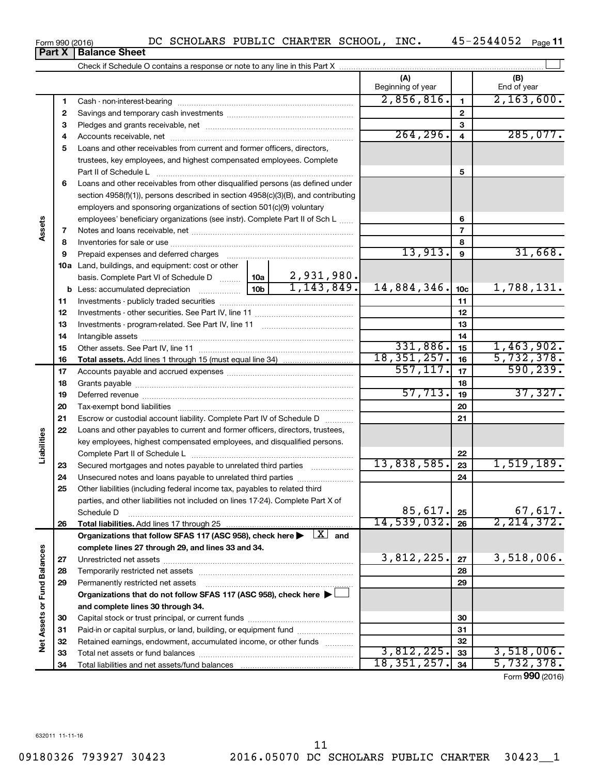632011 11-11-16

|      | DC SCHOLARS PUBLIC CHARTER SCHOOL, INC. |  |  | 45-2544052 |
|------|-----------------------------------------|--|--|------------|
| heet |                                         |  |  |            |

|                             |          |                                                                                                                                                          |                 |                            | (A)<br>Beginning of year |                  | (B)<br>End of year |
|-----------------------------|----------|----------------------------------------------------------------------------------------------------------------------------------------------------------|-----------------|----------------------------|--------------------------|------------------|--------------------|
|                             | 1        |                                                                                                                                                          |                 |                            | 2,856,816.               | $\mathbf{1}$     | 2, 163, 600.       |
|                             | 2        |                                                                                                                                                          |                 |                            |                          | $\mathbf{2}$     |                    |
|                             | з        |                                                                                                                                                          |                 | 3                          |                          |                  |                    |
|                             | 4        |                                                                                                                                                          | 264, 296.       | $\overline{\mathbf{4}}$    | 285,077.                 |                  |                    |
|                             | 5        | Loans and other receivables from current and former officers, directors,                                                                                 |                 |                            |                          |                  |                    |
|                             |          | trustees, key employees, and highest compensated employees. Complete                                                                                     |                 |                            |                          |                  |                    |
|                             |          | Part II of Schedule L                                                                                                                                    |                 |                            |                          | 5                |                    |
|                             | 6        | Loans and other receivables from other disqualified persons (as defined under                                                                            |                 |                            |                          |                  |                    |
|                             |          | section 4958(f)(1)), persons described in section 4958(c)(3)(B), and contributing                                                                        |                 |                            |                          |                  |                    |
|                             |          | employers and sponsoring organizations of section 501(c)(9) voluntary                                                                                    |                 |                            |                          |                  |                    |
|                             |          | employees' beneficiary organizations (see instr). Complete Part II of Sch L                                                                              |                 |                            |                          | 6                |                    |
| Assets                      | 7        |                                                                                                                                                          |                 |                            |                          | 7                |                    |
|                             | 8        |                                                                                                                                                          |                 |                            |                          | 8                |                    |
|                             | 9        | Prepaid expenses and deferred charges                                                                                                                    |                 |                            | 13,913.                  | $\boldsymbol{9}$ | 31,668.            |
|                             |          | <b>10a</b> Land, buildings, and equipment: cost or other                                                                                                 |                 |                            |                          |                  |                    |
|                             |          | basis. Complete Part VI of Schedule D  10a                                                                                                               | 10 <sub>b</sub> | 2,931,980.<br>1, 143, 849. |                          |                  |                    |
|                             |          | <b>b</b> Less: accumulated depreciation <i></i>                                                                                                          | 14,884,346.     | 10 <sub>c</sub>            | 1,788,131.               |                  |                    |
|                             | 11       |                                                                                                                                                          |                 |                            |                          | 11               |                    |
|                             | 12       |                                                                                                                                                          |                 | 12                         |                          |                  |                    |
|                             | 13       |                                                                                                                                                          |                 | 13                         |                          |                  |                    |
|                             | 14       |                                                                                                                                                          |                 | 14                         |                          |                  |                    |
|                             | 15       |                                                                                                                                                          |                 |                            | 331,886.                 | 15               | 1,463,902.         |
|                             | 16       |                                                                                                                                                          |                 |                            | 18, 351, 257.            | 16               | 5,732,378.         |
|                             | 17       |                                                                                                                                                          | 557, 117.       | 17                         | 590, 239.                |                  |                    |
|                             | 18       |                                                                                                                                                          | 57,713.         | 18                         | 37,327.                  |                  |                    |
|                             | 19       |                                                                                                                                                          |                 |                            | 19                       |                  |                    |
|                             | 20       |                                                                                                                                                          |                 |                            |                          | 20               |                    |
|                             | 21<br>22 | Escrow or custodial account liability. Complete Part IV of Schedule D                                                                                    |                 |                            |                          | 21               |                    |
| Liabilities                 |          | Loans and other payables to current and former officers, directors, trustees,<br>key employees, highest compensated employees, and disqualified persons. |                 |                            |                          |                  |                    |
|                             |          |                                                                                                                                                          |                 |                            |                          | 22               |                    |
|                             | 23       | Secured mortgages and notes payable to unrelated third parties                                                                                           |                 |                            | 13,838,585.              | 23               | 1,519,189.         |
|                             | 24       | Unsecured notes and loans payable to unrelated third parties                                                                                             |                 |                            |                          | 24               |                    |
|                             | 25       | Other liabilities (including federal income tax, payables to related third                                                                               |                 |                            |                          |                  |                    |
|                             |          | parties, and other liabilities not included on lines 17-24). Complete Part X of                                                                          |                 |                            |                          |                  |                    |
|                             |          | Schedule D                                                                                                                                               |                 |                            | 85,617.                  | 25               | 67,617.            |
|                             | 26       |                                                                                                                                                          |                 |                            | 14,539,032.              | 26               | 2, 214, 372.       |
|                             |          | Organizations that follow SFAS 117 (ASC 958), check here $\blacktriangleright \begin{array}{c} \boxed{X} \end{array}$ and                                |                 |                            |                          |                  |                    |
|                             |          | complete lines 27 through 29, and lines 33 and 34.                                                                                                       |                 |                            |                          |                  |                    |
|                             | 27       |                                                                                                                                                          |                 |                            | 3,812,225.               | 27               | 3,518,006.         |
|                             | 28       |                                                                                                                                                          |                 |                            |                          | 28               |                    |
|                             | 29       | Permanently restricted net assets                                                                                                                        |                 |                            |                          | 29               |                    |
|                             |          | Organizations that do not follow SFAS 117 (ASC 958), check here $\blacktriangleright$                                                                    |                 |                            |                          |                  |                    |
|                             |          | and complete lines 30 through 34.                                                                                                                        |                 |                            |                          |                  |                    |
|                             | 30       |                                                                                                                                                          |                 |                            |                          | 30               |                    |
|                             | 31       | Paid-in or capital surplus, or land, building, or equipment fund                                                                                         |                 |                            |                          | 31               |                    |
| Net Assets or Fund Balances | 32       | Retained earnings, endowment, accumulated income, or other funds                                                                                         |                 |                            |                          | 32               |                    |
|                             | 33       |                                                                                                                                                          |                 |                            | 3,812,225.               | 33               | 3,518,006.         |
|                             | 34       |                                                                                                                                                          |                 |                            | 18, 351, 257.            | 34               | 5,732,378.         |
|                             |          |                                                                                                                                                          |                 |                            |                          |                  | Form 990 (2016)    |

Form 990 (2016) **Part X Balance Sheet**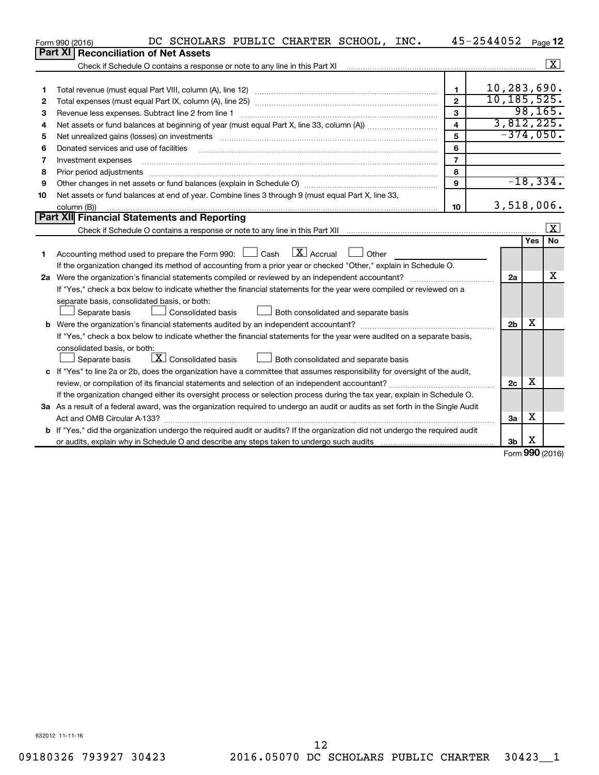|    | DC SCHOLARS PUBLIC CHARTER SCHOOL, INC.<br>Form 990 (2016)                                                                                                                                                                    |                | 45-2544052     |          | Page 12                 |  |  |  |  |  |
|----|-------------------------------------------------------------------------------------------------------------------------------------------------------------------------------------------------------------------------------|----------------|----------------|----------|-------------------------|--|--|--|--|--|
|    | Part XI<br><b>Reconciliation of Net Assets</b>                                                                                                                                                                                |                |                |          |                         |  |  |  |  |  |
|    | Check if Schedule O contains a response or note to any line in this Part XI                                                                                                                                                   |                |                |          | $\overline{\mathbf{x}}$ |  |  |  |  |  |
|    |                                                                                                                                                                                                                               |                |                |          |                         |  |  |  |  |  |
| 1  |                                                                                                                                                                                                                               | $\blacksquare$ | 10,283,690.    |          |                         |  |  |  |  |  |
| 2  |                                                                                                                                                                                                                               | $\mathfrak{p}$ | 10, 185, 525.  | 98, 165. |                         |  |  |  |  |  |
| 3  | 3<br>Revenue less expenses. Subtract line 2 from line 1                                                                                                                                                                       |                |                |          |                         |  |  |  |  |  |
| 4  | $\overline{\mathbf{4}}$                                                                                                                                                                                                       |                |                |          |                         |  |  |  |  |  |
| 5  | Net unrealized gains (losses) on investments [11] matter in the content of the state of the state of the state of the state of the state of the state of the state of the state of the state of the state of the state of the | 5              | $-374,050.$    |          |                         |  |  |  |  |  |
| 6  | Donated services and use of facilities                                                                                                                                                                                        | 6              |                |          |                         |  |  |  |  |  |
| 7  | Investment expenses                                                                                                                                                                                                           | $\overline{7}$ |                |          |                         |  |  |  |  |  |
| 8  | Prior period adjustments                                                                                                                                                                                                      | 8              |                |          |                         |  |  |  |  |  |
| 9  | Other changes in net assets or fund balances (explain in Schedule O) manufactured controller than grow of the state of the controller controller controller controller controller controller controller controller controller | 9              |                |          | $-18, 334.$             |  |  |  |  |  |
| 10 | Net assets or fund balances at end of year. Combine lines 3 through 9 (must equal Part X, line 33,                                                                                                                            |                |                |          |                         |  |  |  |  |  |
|    | column (B))                                                                                                                                                                                                                   | 10             | $3,518,006$ .  |          |                         |  |  |  |  |  |
|    | Part XII Financial Statements and Reporting                                                                                                                                                                                   |                |                |          |                         |  |  |  |  |  |
|    |                                                                                                                                                                                                                               |                |                |          | $\mathbf{x}$            |  |  |  |  |  |
|    |                                                                                                                                                                                                                               |                |                | Yes      | <b>No</b>               |  |  |  |  |  |
| 1  | $\boxed{\text{X}}$ Accrual<br>Accounting method used to prepare the Form 990: $\Box$ Cash<br>Other                                                                                                                            |                |                |          |                         |  |  |  |  |  |
|    | If the organization changed its method of accounting from a prior year or checked "Other," explain in Schedule O.                                                                                                             |                |                |          |                         |  |  |  |  |  |
|    |                                                                                                                                                                                                                               |                | 2a             |          | х                       |  |  |  |  |  |
|    | If "Yes," check a box below to indicate whether the financial statements for the year were compiled or reviewed on a                                                                                                          |                |                |          |                         |  |  |  |  |  |
|    | separate basis, consolidated basis, or both:                                                                                                                                                                                  |                |                |          |                         |  |  |  |  |  |
|    | Both consolidated and separate basis<br>Separate basis<br>Consolidated basis                                                                                                                                                  |                |                |          |                         |  |  |  |  |  |
|    |                                                                                                                                                                                                                               |                | 2 <sub>b</sub> | х        |                         |  |  |  |  |  |
|    | If "Yes," check a box below to indicate whether the financial statements for the year were audited on a separate basis,                                                                                                       |                |                |          |                         |  |  |  |  |  |
|    | consolidated basis, or both:                                                                                                                                                                                                  |                |                |          |                         |  |  |  |  |  |
|    | $\lfloor x \rfloor$ Consolidated basis<br>Both consolidated and separate basis<br>Separate basis                                                                                                                              |                |                |          |                         |  |  |  |  |  |
|    | c If "Yes" to line 2a or 2b, does the organization have a committee that assumes responsibility for oversight of the audit,                                                                                                   |                |                |          |                         |  |  |  |  |  |
|    | review, or compilation of its financial statements and selection of an independent accountant?                                                                                                                                |                |                |          |                         |  |  |  |  |  |
|    | If the organization changed either its oversight process or selection process during the tax year, explain in Schedule O.                                                                                                     |                |                |          |                         |  |  |  |  |  |
|    | 3a As a result of a federal award, was the organization required to undergo an audit or audits as set forth in the Single Audit                                                                                               |                |                | х        |                         |  |  |  |  |  |
|    |                                                                                                                                                                                                                               |                | За             |          |                         |  |  |  |  |  |
|    | b If "Yes," did the organization undergo the required audit or audits? If the organization did not undergo the required audit                                                                                                 |                |                | X        |                         |  |  |  |  |  |
|    |                                                                                                                                                                                                                               |                | 3 <sub>b</sub> | ההה      |                         |  |  |  |  |  |

Form (2016) **990**

632012 11-11-16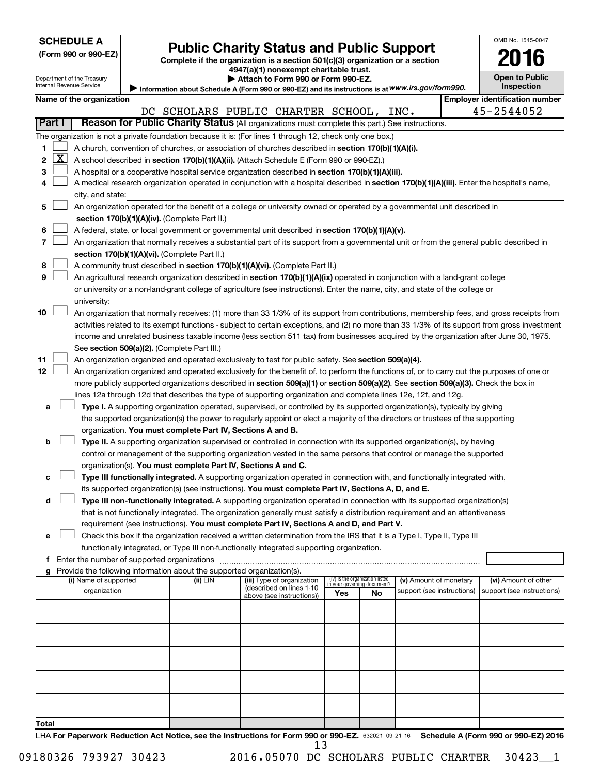|  | <b>SCHEDULE A</b> |  |
|--|-------------------|--|
|  |                   |  |

Department of the Treasury Internal Revenue Service

I

# Form 990 or 990-EZ) **Public Charity Status and Public Support**<br>
Complete if the organization is a section 501(c)(3) organization or a section<br> **2016**

**4947(a)(1) nonexempt charitable trust. | Attach to Form 990 or Form 990-EZ.** 

| --                    | . . |
|-----------------------|-----|
| <b>Open to Public</b> |     |
| Inspection            |     |

OMB No. 1545-0047

| Information about Schedule A (Form 990 or 990-EZ) and its instructions is at WWW.irs.gov/form990. |
|---------------------------------------------------------------------------------------------------|
|---------------------------------------------------------------------------------------------------|

|             |                                                                                                                                                                                                                      | Name of the organization                                                                                                                                                                                                                                                                                                                                                                                                                                                                                                                                        |  |                                                                                                                                                                                               |  |                                                        |     |                                                                |                            |  | <b>Employer identification number</b>                                                                                                         |
|-------------|----------------------------------------------------------------------------------------------------------------------------------------------------------------------------------------------------------------------|-----------------------------------------------------------------------------------------------------------------------------------------------------------------------------------------------------------------------------------------------------------------------------------------------------------------------------------------------------------------------------------------------------------------------------------------------------------------------------------------------------------------------------------------------------------------|--|-----------------------------------------------------------------------------------------------------------------------------------------------------------------------------------------------|--|--------------------------------------------------------|-----|----------------------------------------------------------------|----------------------------|--|-----------------------------------------------------------------------------------------------------------------------------------------------|
|             |                                                                                                                                                                                                                      |                                                                                                                                                                                                                                                                                                                                                                                                                                                                                                                                                                 |  | DC SCHOLARS PUBLIC CHARTER SCHOOL, INC.                                                                                                                                                       |  |                                                        |     |                                                                |                            |  | 45-2544052                                                                                                                                    |
| Part I      |                                                                                                                                                                                                                      |                                                                                                                                                                                                                                                                                                                                                                                                                                                                                                                                                                 |  | Reason for Public Charity Status (All organizations must complete this part.) See instructions.                                                                                               |  |                                                        |     |                                                                |                            |  |                                                                                                                                               |
| 1<br>2<br>з | <u>x  </u>                                                                                                                                                                                                           | The organization is not a private foundation because it is: (For lines 1 through 12, check only one box.)<br>A church, convention of churches, or association of churches described in section 170(b)(1)(A)(i).<br>A school described in section 170(b)(1)(A)(ii). (Attach Schedule E (Form 990 or 990-EZ).)<br>A hospital or a cooperative hospital service organization described in section 170(b)(1)(A)(iii).<br>A medical research organization operated in conjunction with a hospital described in section 170(b)(1)(A)(iii). Enter the hospital's name, |  |                                                                                                                                                                                               |  |                                                        |     |                                                                |                            |  |                                                                                                                                               |
|             |                                                                                                                                                                                                                      | city, and state:                                                                                                                                                                                                                                                                                                                                                                                                                                                                                                                                                |  |                                                                                                                                                                                               |  |                                                        |     |                                                                |                            |  |                                                                                                                                               |
| 5           |                                                                                                                                                                                                                      | An organization operated for the benefit of a college or university owned or operated by a governmental unit described in                                                                                                                                                                                                                                                                                                                                                                                                                                       |  |                                                                                                                                                                                               |  |                                                        |     |                                                                |                            |  |                                                                                                                                               |
|             |                                                                                                                                                                                                                      | section 170(b)(1)(A)(iv). (Complete Part II.)<br>A federal, state, or local government or governmental unit described in section 170(b)(1)(A)(v).                                                                                                                                                                                                                                                                                                                                                                                                               |  |                                                                                                                                                                                               |  |                                                        |     |                                                                |                            |  |                                                                                                                                               |
|             |                                                                                                                                                                                                                      |                                                                                                                                                                                                                                                                                                                                                                                                                                                                                                                                                                 |  |                                                                                                                                                                                               |  |                                                        |     |                                                                |                            |  | An organization that normally receives a substantial part of its support from a governmental unit or from the general public described in     |
|             |                                                                                                                                                                                                                      | section 170(b)(1)(A)(vi). (Complete Part II.)                                                                                                                                                                                                                                                                                                                                                                                                                                                                                                                   |  |                                                                                                                                                                                               |  |                                                        |     |                                                                |                            |  |                                                                                                                                               |
| 8           |                                                                                                                                                                                                                      | A community trust described in section 170(b)(1)(A)(vi). (Complete Part II.)                                                                                                                                                                                                                                                                                                                                                                                                                                                                                    |  |                                                                                                                                                                                               |  |                                                        |     |                                                                |                            |  |                                                                                                                                               |
| 9           |                                                                                                                                                                                                                      | An agricultural research organization described in section 170(b)(1)(A)(ix) operated in conjunction with a land-grant college                                                                                                                                                                                                                                                                                                                                                                                                                                   |  |                                                                                                                                                                                               |  |                                                        |     |                                                                |                            |  |                                                                                                                                               |
|             |                                                                                                                                                                                                                      | or university or a non-land-grant college of agriculture (see instructions). Enter the name, city, and state of the college or                                                                                                                                                                                                                                                                                                                                                                                                                                  |  |                                                                                                                                                                                               |  |                                                        |     |                                                                |                            |  |                                                                                                                                               |
|             |                                                                                                                                                                                                                      | university:                                                                                                                                                                                                                                                                                                                                                                                                                                                                                                                                                     |  |                                                                                                                                                                                               |  |                                                        |     |                                                                |                            |  |                                                                                                                                               |
| 10          |                                                                                                                                                                                                                      |                                                                                                                                                                                                                                                                                                                                                                                                                                                                                                                                                                 |  |                                                                                                                                                                                               |  |                                                        |     |                                                                |                            |  | An organization that normally receives: (1) more than 33 1/3% of its support from contributions, membership fees, and gross receipts from     |
|             |                                                                                                                                                                                                                      |                                                                                                                                                                                                                                                                                                                                                                                                                                                                                                                                                                 |  |                                                                                                                                                                                               |  |                                                        |     |                                                                |                            |  | activities related to its exempt functions - subject to certain exceptions, and (2) no more than 33 1/3% of its support from gross investment |
|             |                                                                                                                                                                                                                      |                                                                                                                                                                                                                                                                                                                                                                                                                                                                                                                                                                 |  |                                                                                                                                                                                               |  |                                                        |     |                                                                |                            |  | income and unrelated business taxable income (less section 511 tax) from businesses acquired by the organization after June 30, 1975.         |
|             |                                                                                                                                                                                                                      | See section 509(a)(2). (Complete Part III.)                                                                                                                                                                                                                                                                                                                                                                                                                                                                                                                     |  |                                                                                                                                                                                               |  |                                                        |     |                                                                |                            |  |                                                                                                                                               |
| 11          |                                                                                                                                                                                                                      | An organization organized and operated exclusively to test for public safety. See section 509(a)(4).                                                                                                                                                                                                                                                                                                                                                                                                                                                            |  |                                                                                                                                                                                               |  |                                                        |     |                                                                |                            |  |                                                                                                                                               |
| 12          |                                                                                                                                                                                                                      |                                                                                                                                                                                                                                                                                                                                                                                                                                                                                                                                                                 |  |                                                                                                                                                                                               |  |                                                        |     |                                                                |                            |  | An organization organized and operated exclusively for the benefit of, to perform the functions of, or to carry out the purposes of one or    |
|             |                                                                                                                                                                                                                      | more publicly supported organizations described in section 509(a)(1) or section 509(a)(2). See section 509(a)(3). Check the box in                                                                                                                                                                                                                                                                                                                                                                                                                              |  |                                                                                                                                                                                               |  |                                                        |     |                                                                |                            |  |                                                                                                                                               |
|             |                                                                                                                                                                                                                      | lines 12a through 12d that describes the type of supporting organization and complete lines 12e, 12f, and 12g.                                                                                                                                                                                                                                                                                                                                                                                                                                                  |  |                                                                                                                                                                                               |  |                                                        |     |                                                                |                            |  |                                                                                                                                               |
| а           |                                                                                                                                                                                                                      |                                                                                                                                                                                                                                                                                                                                                                                                                                                                                                                                                                 |  | Type I. A supporting organization operated, supervised, or controlled by its supported organization(s), typically by giving                                                                   |  |                                                        |     |                                                                |                            |  |                                                                                                                                               |
|             |                                                                                                                                                                                                                      |                                                                                                                                                                                                                                                                                                                                                                                                                                                                                                                                                                 |  | the supported organization(s) the power to regularly appoint or elect a majority of the directors or trustees of the supporting<br>organization. You must complete Part IV, Sections A and B. |  |                                                        |     |                                                                |                            |  |                                                                                                                                               |
| b           |                                                                                                                                                                                                                      |                                                                                                                                                                                                                                                                                                                                                                                                                                                                                                                                                                 |  | Type II. A supporting organization supervised or controlled in connection with its supported organization(s), by having                                                                       |  |                                                        |     |                                                                |                            |  |                                                                                                                                               |
|             |                                                                                                                                                                                                                      |                                                                                                                                                                                                                                                                                                                                                                                                                                                                                                                                                                 |  | control or management of the supporting organization vested in the same persons that control or manage the supported                                                                          |  |                                                        |     |                                                                |                            |  |                                                                                                                                               |
|             |                                                                                                                                                                                                                      |                                                                                                                                                                                                                                                                                                                                                                                                                                                                                                                                                                 |  | organization(s). You must complete Part IV, Sections A and C.                                                                                                                                 |  |                                                        |     |                                                                |                            |  |                                                                                                                                               |
| с           |                                                                                                                                                                                                                      |                                                                                                                                                                                                                                                                                                                                                                                                                                                                                                                                                                 |  | Type III functionally integrated. A supporting organization operated in connection with, and functionally integrated with,                                                                    |  |                                                        |     |                                                                |                            |  |                                                                                                                                               |
|             |                                                                                                                                                                                                                      |                                                                                                                                                                                                                                                                                                                                                                                                                                                                                                                                                                 |  | its supported organization(s) (see instructions). You must complete Part IV, Sections A, D, and E.                                                                                            |  |                                                        |     |                                                                |                            |  |                                                                                                                                               |
| d           |                                                                                                                                                                                                                      |                                                                                                                                                                                                                                                                                                                                                                                                                                                                                                                                                                 |  | Type III non-functionally integrated. A supporting organization operated in connection with its supported organization(s)                                                                     |  |                                                        |     |                                                                |                            |  |                                                                                                                                               |
|             |                                                                                                                                                                                                                      |                                                                                                                                                                                                                                                                                                                                                                                                                                                                                                                                                                 |  | that is not functionally integrated. The organization generally must satisfy a distribution requirement and an attentiveness                                                                  |  |                                                        |     |                                                                |                            |  |                                                                                                                                               |
|             |                                                                                                                                                                                                                      |                                                                                                                                                                                                                                                                                                                                                                                                                                                                                                                                                                 |  | requirement (see instructions). You must complete Part IV, Sections A and D, and Part V.                                                                                                      |  |                                                        |     |                                                                |                            |  |                                                                                                                                               |
| е           |                                                                                                                                                                                                                      |                                                                                                                                                                                                                                                                                                                                                                                                                                                                                                                                                                 |  |                                                                                                                                                                                               |  |                                                        |     |                                                                |                            |  |                                                                                                                                               |
|             | Check this box if the organization received a written determination from the IRS that it is a Type I, Type II, Type III<br>functionally integrated, or Type III non-functionally integrated supporting organization. |                                                                                                                                                                                                                                                                                                                                                                                                                                                                                                                                                                 |  |                                                                                                                                                                                               |  |                                                        |     |                                                                |                            |  |                                                                                                                                               |
|             | f Enter the number of supported organizations                                                                                                                                                                        |                                                                                                                                                                                                                                                                                                                                                                                                                                                                                                                                                                 |  |                                                                                                                                                                                               |  |                                                        |     |                                                                |                            |  |                                                                                                                                               |
|             |                                                                                                                                                                                                                      | g Provide the following information about the supported organization(s).                                                                                                                                                                                                                                                                                                                                                                                                                                                                                        |  |                                                                                                                                                                                               |  |                                                        |     |                                                                |                            |  |                                                                                                                                               |
|             |                                                                                                                                                                                                                      | (i) Name of supported                                                                                                                                                                                                                                                                                                                                                                                                                                                                                                                                           |  | (ii) EIN                                                                                                                                                                                      |  | (iii) Type of organization<br>(described on lines 1-10 |     | (iv) Is the organization listed<br>in your governing document? | (v) Amount of monetary     |  | (vi) Amount of other                                                                                                                          |
|             |                                                                                                                                                                                                                      | organization                                                                                                                                                                                                                                                                                                                                                                                                                                                                                                                                                    |  |                                                                                                                                                                                               |  | above (see instructions))                              | Yes | No                                                             | support (see instructions) |  | support (see instructions)                                                                                                                    |
|             |                                                                                                                                                                                                                      |                                                                                                                                                                                                                                                                                                                                                                                                                                                                                                                                                                 |  |                                                                                                                                                                                               |  |                                                        |     |                                                                |                            |  |                                                                                                                                               |
|             |                                                                                                                                                                                                                      |                                                                                                                                                                                                                                                                                                                                                                                                                                                                                                                                                                 |  |                                                                                                                                                                                               |  |                                                        |     |                                                                |                            |  |                                                                                                                                               |
|             |                                                                                                                                                                                                                      |                                                                                                                                                                                                                                                                                                                                                                                                                                                                                                                                                                 |  |                                                                                                                                                                                               |  |                                                        |     |                                                                |                            |  |                                                                                                                                               |
|             |                                                                                                                                                                                                                      |                                                                                                                                                                                                                                                                                                                                                                                                                                                                                                                                                                 |  |                                                                                                                                                                                               |  |                                                        |     |                                                                |                            |  |                                                                                                                                               |
|             |                                                                                                                                                                                                                      |                                                                                                                                                                                                                                                                                                                                                                                                                                                                                                                                                                 |  |                                                                                                                                                                                               |  |                                                        |     |                                                                |                            |  |                                                                                                                                               |

**Total**

LHA For Paperwork Reduction Act Notice, see the Instructions for Form 990 or 990-EZ. 632021 09-21-16 Schedule A (Form 990 or 990-EZ) 2016 13

09180326 793927 30423 2016.05070 DC SCHOLARS PUBLIC CHARTER 30423\_\_1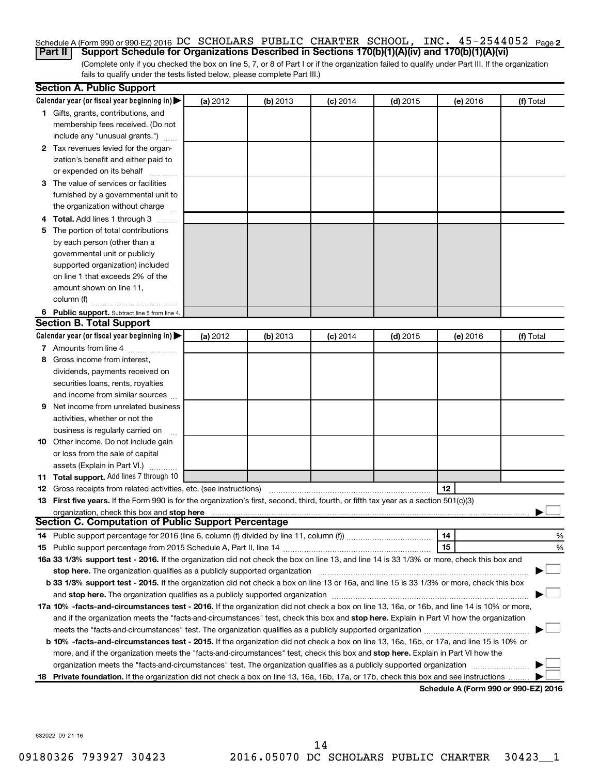### Schedule A (Form 990 or 990-EZ) 2016 DC SCHOLARS PUBLIC CHARTER SCHOOL, INC.  $45$  –  $2544052$  Page 2 **Part II Support Schedule for Organizations Described in Sections 170(b)(1)(A)(iv) and 170(b)(1)(A)(vi)**

(Complete only if you checked the box on line 5, 7, or 8 of Part I or if the organization failed to qualify under Part III. If the organization fails to qualify under the tests listed below, please complete Part III.)

|    | <b>Section A. Public Support</b>                                                                                                           |          |          |            |            |          |                                      |
|----|--------------------------------------------------------------------------------------------------------------------------------------------|----------|----------|------------|------------|----------|--------------------------------------|
|    | Calendar year (or fiscal year beginning in)                                                                                                | (a) 2012 | (b) 2013 | $(c)$ 2014 | $(d)$ 2015 | (e) 2016 | (f) Total                            |
|    | 1 Gifts, grants, contributions, and                                                                                                        |          |          |            |            |          |                                      |
|    | membership fees received. (Do not                                                                                                          |          |          |            |            |          |                                      |
|    | include any "unusual grants.")                                                                                                             |          |          |            |            |          |                                      |
|    | 2 Tax revenues levied for the organ-                                                                                                       |          |          |            |            |          |                                      |
|    | ization's benefit and either paid to                                                                                                       |          |          |            |            |          |                                      |
|    | or expended on its behalf                                                                                                                  |          |          |            |            |          |                                      |
|    | 3 The value of services or facilities                                                                                                      |          |          |            |            |          |                                      |
|    | furnished by a governmental unit to                                                                                                        |          |          |            |            |          |                                      |
|    | the organization without charge                                                                                                            |          |          |            |            |          |                                      |
|    | 4 Total. Add lines 1 through 3                                                                                                             |          |          |            |            |          |                                      |
| 5. | The portion of total contributions                                                                                                         |          |          |            |            |          |                                      |
|    | by each person (other than a                                                                                                               |          |          |            |            |          |                                      |
|    | governmental unit or publicly                                                                                                              |          |          |            |            |          |                                      |
|    | supported organization) included                                                                                                           |          |          |            |            |          |                                      |
|    | on line 1 that exceeds 2% of the                                                                                                           |          |          |            |            |          |                                      |
|    | amount shown on line 11,                                                                                                                   |          |          |            |            |          |                                      |
|    | column (f)                                                                                                                                 |          |          |            |            |          |                                      |
|    | 6 Public support. Subtract line 5 from line 4.                                                                                             |          |          |            |            |          |                                      |
|    | <b>Section B. Total Support</b>                                                                                                            |          |          |            |            |          |                                      |
|    | Calendar year (or fiscal year beginning in)                                                                                                | (a) 2012 | (b) 2013 | $(c)$ 2014 | $(d)$ 2015 | (e) 2016 | (f) Total                            |
|    | 7 Amounts from line 4                                                                                                                      |          |          |            |            |          |                                      |
| 8  | Gross income from interest,                                                                                                                |          |          |            |            |          |                                      |
|    | dividends, payments received on                                                                                                            |          |          |            |            |          |                                      |
|    | securities loans, rents, royalties                                                                                                         |          |          |            |            |          |                                      |
|    | and income from similar sources                                                                                                            |          |          |            |            |          |                                      |
| 9. | Net income from unrelated business                                                                                                         |          |          |            |            |          |                                      |
|    | activities, whether or not the                                                                                                             |          |          |            |            |          |                                      |
|    | business is regularly carried on                                                                                                           |          |          |            |            |          |                                      |
|    | 10 Other income. Do not include gain                                                                                                       |          |          |            |            |          |                                      |
|    | or loss from the sale of capital                                                                                                           |          |          |            |            |          |                                      |
|    | assets (Explain in Part VI.)                                                                                                               |          |          |            |            |          |                                      |
|    | 11 Total support. Add lines 7 through 10                                                                                                   |          |          |            |            |          |                                      |
|    | <b>12</b> Gross receipts from related activities, etc. (see instructions)                                                                  |          |          |            |            | 12       |                                      |
|    | 13 First five years. If the Form 990 is for the organization's first, second, third, fourth, or fifth tax year as a section 501(c)(3)      |          |          |            |            |          |                                      |
|    | organization, check this box and stop here                                                                                                 |          |          |            |            |          |                                      |
|    | <b>Section C. Computation of Public Support Percentage</b>                                                                                 |          |          |            |            |          |                                      |
|    |                                                                                                                                            |          |          |            |            | 14       | %                                    |
|    |                                                                                                                                            |          |          |            |            | 15       | %                                    |
|    | 16a 33 1/3% support test - 2016. If the organization did not check the box on line 13, and line 14 is 33 1/3% or more, check this box and  |          |          |            |            |          |                                      |
|    | stop here. The organization qualifies as a publicly supported organization matchinary material content and the                             |          |          |            |            |          |                                      |
|    | b 33 1/3% support test - 2015. If the organization did not check a box on line 13 or 16a, and line 15 is 33 1/3% or more, check this box   |          |          |            |            |          |                                      |
|    |                                                                                                                                            |          |          |            |            |          |                                      |
|    | 17a 10% -facts-and-circumstances test - 2016. If the organization did not check a box on line 13, 16a, or 16b, and line 14 is 10% or more, |          |          |            |            |          |                                      |
|    | and if the organization meets the "facts-and-circumstances" test, check this box and stop here. Explain in Part VI how the organization    |          |          |            |            |          |                                      |
|    |                                                                                                                                            |          |          |            |            |          |                                      |
|    | b 10% -facts-and-circumstances test - 2015. If the organization did not check a box on line 13, 16a, 16b, or 17a, and line 15 is 10% or    |          |          |            |            |          |                                      |
|    | more, and if the organization meets the "facts-and-circumstances" test, check this box and stop here. Explain in Part VI how the           |          |          |            |            |          |                                      |
|    | organization meets the "facts-and-circumstances" test. The organization qualifies as a publicly supported organization                     |          |          |            |            |          |                                      |
|    | 18 Private foundation. If the organization did not check a box on line 13, 16a, 16b, 17a, or 17b, check this box and see instructions      |          |          |            |            |          |                                      |
|    |                                                                                                                                            |          |          |            |            |          | Cahadula A (Faum 000 av 000 EZ) 0046 |

**Schedule A (Form 990 or 990-EZ) 2016**

632022 09-21-16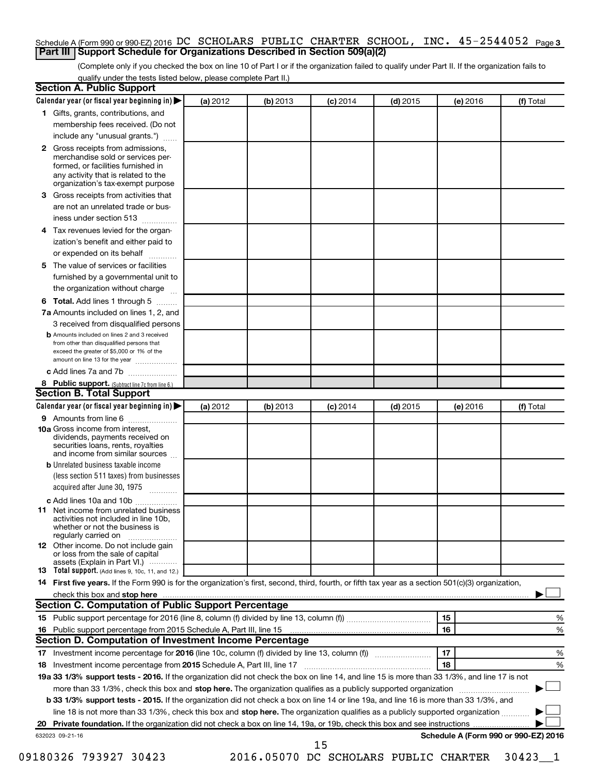### Schedule A (Form 990 or 990-EZ) 2016 DC SCHOLARS PUBLIC CHARTER SCHOOL, INC.  $45$  –  $2544052$  Page 3 **Part III Support Schedule for Organizations Described in Section 509(a)(2)**

(Complete only if you checked the box on line 10 of Part I or if the organization failed to qualify under Part II. If the organization fails to qualify under the tests listed below, please complete Part II.)

| <b>Section A. Public Support</b>                                                                                                                                                 |          |          |            |            |          |                                      |
|----------------------------------------------------------------------------------------------------------------------------------------------------------------------------------|----------|----------|------------|------------|----------|--------------------------------------|
| Calendar year (or fiscal year beginning in)                                                                                                                                      | (a) 2012 | (b) 2013 | $(c)$ 2014 | $(d)$ 2015 | (e) 2016 | (f) Total                            |
| 1 Gifts, grants, contributions, and                                                                                                                                              |          |          |            |            |          |                                      |
| membership fees received. (Do not                                                                                                                                                |          |          |            |            |          |                                      |
| include any "unusual grants.")                                                                                                                                                   |          |          |            |            |          |                                      |
| 2 Gross receipts from admissions,<br>merchandise sold or services per-<br>formed, or facilities furnished in<br>any activity that is related to the                              |          |          |            |            |          |                                      |
| organization's tax-exempt purpose                                                                                                                                                |          |          |            |            |          |                                      |
| <b>3</b> Gross receipts from activities that                                                                                                                                     |          |          |            |            |          |                                      |
| are not an unrelated trade or bus-                                                                                                                                               |          |          |            |            |          |                                      |
| iness under section 513                                                                                                                                                          |          |          |            |            |          |                                      |
| 4 Tax revenues levied for the organ-<br>ization's benefit and either paid to                                                                                                     |          |          |            |            |          |                                      |
| or expended on its behalf                                                                                                                                                        |          |          |            |            |          |                                      |
| 5 The value of services or facilities                                                                                                                                            |          |          |            |            |          |                                      |
| furnished by a governmental unit to                                                                                                                                              |          |          |            |            |          |                                      |
| the organization without charge                                                                                                                                                  |          |          |            |            |          |                                      |
| <b>6 Total.</b> Add lines 1 through 5                                                                                                                                            |          |          |            |            |          |                                      |
| 7a Amounts included on lines 1, 2, and                                                                                                                                           |          |          |            |            |          |                                      |
| 3 received from disqualified persons                                                                                                                                             |          |          |            |            |          |                                      |
| <b>b</b> Amounts included on lines 2 and 3 received<br>from other than disqualified persons that<br>exceed the greater of \$5,000 or 1% of the<br>amount on line 13 for the year |          |          |            |            |          |                                      |
| c Add lines 7a and 7b                                                                                                                                                            |          |          |            |            |          |                                      |
| 8 Public support. (Subtract line 7c from line 6.)                                                                                                                                |          |          |            |            |          |                                      |
| <b>Section B. Total Support</b>                                                                                                                                                  |          |          |            |            |          |                                      |
| Calendar year (or fiscal year beginning in)                                                                                                                                      | (a) 2012 | (b) 2013 | $(c)$ 2014 | $(d)$ 2015 | (e) 2016 | (f) Total                            |
| <b>9</b> Amounts from line 6                                                                                                                                                     |          |          |            |            |          |                                      |
| <b>10a</b> Gross income from interest,<br>dividends, payments received on<br>securities loans, rents, royalties<br>and income from similar sources                               |          |          |            |            |          |                                      |
| <b>b</b> Unrelated business taxable income                                                                                                                                       |          |          |            |            |          |                                      |
| (less section 511 taxes) from businesses<br>acquired after June 30, 1975                                                                                                         |          |          |            |            |          |                                      |
| c Add lines 10a and 10b                                                                                                                                                          |          |          |            |            |          |                                      |
| <b>11</b> Net income from unrelated business<br>activities not included in line 10b.<br>whether or not the business is<br>regularly carried on                                   |          |          |            |            |          |                                      |
| <b>12</b> Other income. Do not include gain<br>or loss from the sale of capital<br>assets (Explain in Part VI.)                                                                  |          |          |            |            |          |                                      |
| <b>13</b> Total support. (Add lines 9, 10c, 11, and 12.)                                                                                                                         |          |          |            |            |          |                                      |
| 14 First five years. If the Form 990 is for the organization's first, second, third, fourth, or fifth tax year as a section 501(c)(3) organization,                              |          |          |            |            |          |                                      |
|                                                                                                                                                                                  |          |          |            |            |          |                                      |
| Section C. Computation of Public Support Percentage                                                                                                                              |          |          |            |            |          |                                      |
|                                                                                                                                                                                  |          |          |            |            | 15       | ℅                                    |
| 16 Public support percentage from 2015 Schedule A, Part III, line 15                                                                                                             |          |          |            |            | 16       | %                                    |
| Section D. Computation of Investment Income Percentage                                                                                                                           |          |          |            |            |          |                                      |
|                                                                                                                                                                                  |          |          |            |            | 17       | %                                    |
| 18 Investment income percentage from 2015 Schedule A, Part III, line 17                                                                                                          |          |          |            |            | 18       | %                                    |
| 19a 33 1/3% support tests - 2016. If the organization did not check the box on line 14, and line 15 is more than 33 1/3%, and line 17 is not                                     |          |          |            |            |          |                                      |
| more than 33 1/3%, check this box and stop here. The organization qualifies as a publicly supported organization                                                                 |          |          |            |            |          |                                      |
| b 33 1/3% support tests - 2015. If the organization did not check a box on line 14 or line 19a, and line 16 is more than 33 1/3%, and                                            |          |          |            |            |          |                                      |
| line 18 is not more than 33 1/3%, check this box and stop here. The organization qualifies as a publicly supported organization                                                  |          |          |            |            |          |                                      |
|                                                                                                                                                                                  |          |          |            |            |          |                                      |
| 632023 09-21-16                                                                                                                                                                  |          |          |            |            |          | Schedule A (Form 990 or 990-EZ) 2016 |
|                                                                                                                                                                                  |          |          | 15         |            |          |                                      |

09180326 793927 30423 2016.05070 DC SCHOLARS PUBLIC CHARTER 30423\_\_1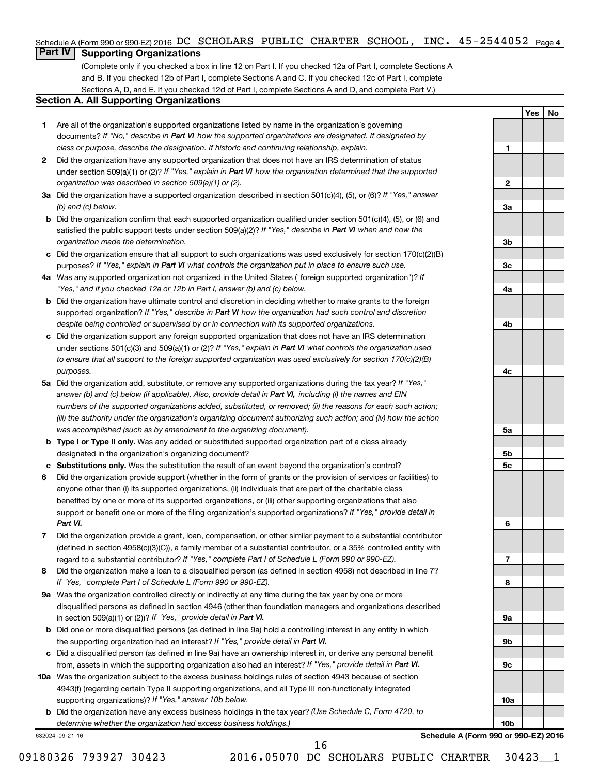### Schedule A (Form 990 or 990-EZ) 2016 DC SCHOLARS PUBLIC CHARTER SCHOOL, INC.  $45$  –  $2544052$  Page 4

### **Part IV Supporting Organizations**

(Complete only if you checked a box in line 12 on Part I. If you checked 12a of Part I, complete Sections A and B. If you checked 12b of Part I, complete Sections A and C. If you checked 12c of Part I, complete Sections A, D, and E. If you checked 12d of Part I, complete Sections A and D, and complete Part V.)

### **Section A. All Supporting Organizations**

- **1** Are all of the organization's supported organizations listed by name in the organization's governing documents? If "No," describe in Part VI how the supported organizations are designated. If designated by *class or purpose, describe the designation. If historic and continuing relationship, explain.*
- **2** Did the organization have any supported organization that does not have an IRS determination of status under section 509(a)(1) or (2)? If "Yes," explain in Part VI how the organization determined that the supported *organization was described in section 509(a)(1) or (2).*
- **3a** Did the organization have a supported organization described in section 501(c)(4), (5), or (6)? If "Yes," answer *(b) and (c) below.*
- **b** Did the organization confirm that each supported organization qualified under section 501(c)(4), (5), or (6) and satisfied the public support tests under section 509(a)(2)? If "Yes," describe in Part VI when and how the *organization made the determination.*
- **c** Did the organization ensure that all support to such organizations was used exclusively for section 170(c)(2)(B) purposes? If "Yes," explain in Part VI what controls the organization put in place to ensure such use.
- **4 a** *If* Was any supported organization not organized in the United States ("foreign supported organization")? *"Yes," and if you checked 12a or 12b in Part I, answer (b) and (c) below.*
- **b** Did the organization have ultimate control and discretion in deciding whether to make grants to the foreign supported organization? If "Yes," describe in Part VI how the organization had such control and discretion *despite being controlled or supervised by or in connection with its supported organizations.*
- **c** Did the organization support any foreign supported organization that does not have an IRS determination under sections 501(c)(3) and 509(a)(1) or (2)? If "Yes," explain in Part VI what controls the organization used *to ensure that all support to the foreign supported organization was used exclusively for section 170(c)(2)(B) purposes.*
- **5a** Did the organization add, substitute, or remove any supported organizations during the tax year? If "Yes," answer (b) and (c) below (if applicable). Also, provide detail in Part VI, including (i) the names and EIN *numbers of the supported organizations added, substituted, or removed; (ii) the reasons for each such action; (iii) the authority under the organization's organizing document authorizing such action; and (iv) how the action was accomplished (such as by amendment to the organizing document).*
- **b** Type I or Type II only. Was any added or substituted supported organization part of a class already designated in the organization's organizing document?
- **c Substitutions only.**  Was the substitution the result of an event beyond the organization's control?
- **6** Did the organization provide support (whether in the form of grants or the provision of services or facilities) to support or benefit one or more of the filing organization's supported organizations? If "Yes," provide detail in anyone other than (i) its supported organizations, (ii) individuals that are part of the charitable class benefited by one or more of its supported organizations, or (iii) other supporting organizations that also *Part VI.*
- **7** Did the organization provide a grant, loan, compensation, or other similar payment to a substantial contributor regard to a substantial contributor? If "Yes," complete Part I of Schedule L (Form 990 or 990-EZ). (defined in section 4958(c)(3)(C)), a family member of a substantial contributor, or a 35% controlled entity with
- **8** Did the organization make a loan to a disqualified person (as defined in section 4958) not described in line 7? *If "Yes," complete Part I of Schedule L (Form 990 or 990-EZ).*
- **9 a** Was the organization controlled directly or indirectly at any time during the tax year by one or more in section 509(a)(1) or (2))? If "Yes," provide detail in Part VI. disqualified persons as defined in section 4946 (other than foundation managers and organizations described
- **b** Did one or more disqualified persons (as defined in line 9a) hold a controlling interest in any entity in which the supporting organization had an interest? If "Yes," provide detail in Part VI.
- **c** Did a disqualified person (as defined in line 9a) have an ownership interest in, or derive any personal benefit from, assets in which the supporting organization also had an interest? If "Yes," provide detail in Part VI.
- **10 a** Was the organization subject to the excess business holdings rules of section 4943 because of section supporting organizations)? If "Yes," answer 10b below. 4943(f) (regarding certain Type II supporting organizations, and all Type III non-functionally integrated
	- **b** Did the organization have any excess business holdings in the tax year? (Use Schedule C, Form 4720, to *determine whether the organization had excess business holdings.)*

632024 09-21-16

**Schedule A (Form 990 or 990-EZ) 2016**

**Yes No**

**1**

**2**

**3a**

**3b**

**3c**

**4a**

**4b**

**4c**

**5a**

**5b 5c**

**6**

**7**

**8**

**9a**

**9b**

**9c**

**10a**

**10b**

09180326 793927 30423 2016.05070 DC SCHOLARS PUBLIC CHARTER 30423 1

16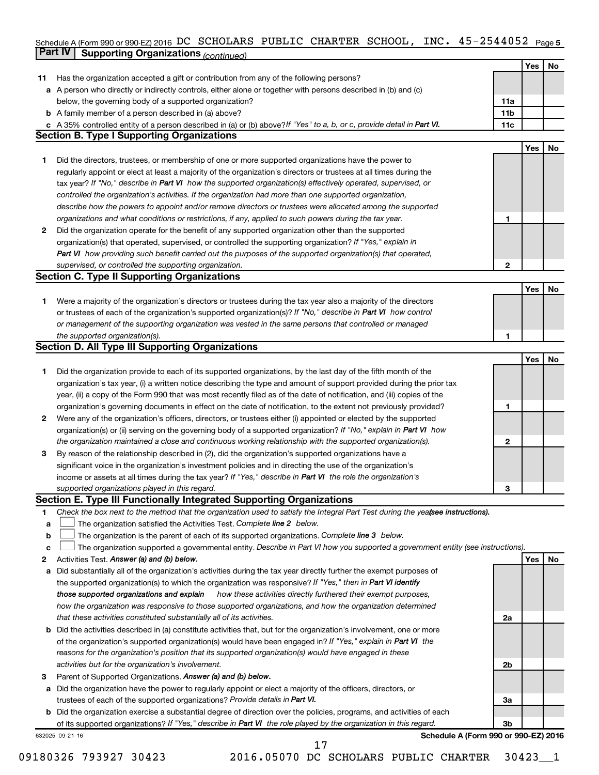### Schedule A (Form 990 or 990-EZ) 2016 DC SCHOLARS PUBLIC CHARTER SCHOOL, INC。 4 5-Z544U5Z Page 5 **Part IV Supporting Organizations** *(continued)* DC SCHOLARS PUBLIC CHARTER SCHOOL, INC. 45-2544052

|              | continued of same and recontinued.                                                                                              |              |     |           |
|--------------|---------------------------------------------------------------------------------------------------------------------------------|--------------|-----|-----------|
|              |                                                                                                                                 |              | Yes | No        |
| 11           | Has the organization accepted a gift or contribution from any of the following persons?                                         |              |     |           |
| а            | A person who directly or indirectly controls, either alone or together with persons described in (b) and (c)                    |              |     |           |
|              | below, the governing body of a supported organization?                                                                          | 11a          |     |           |
| b            | A family member of a person described in (a) above?                                                                             | 11b          |     |           |
|              | c A 35% controlled entity of a person described in (a) or (b) above? If "Yes" to a, b, or c, provide detail in Part VI.         | 11c          |     |           |
|              | <b>Section B. Type I Supporting Organizations</b>                                                                               |              |     |           |
|              |                                                                                                                                 |              | Yes | <b>No</b> |
| 1.           | Did the directors, trustees, or membership of one or more supported organizations have the power to                             |              |     |           |
|              | regularly appoint or elect at least a majority of the organization's directors or trustees at all times during the              |              |     |           |
|              | tax year? If "No," describe in Part VI how the supported organization(s) effectively operated, supervised, or                   |              |     |           |
|              | controlled the organization's activities. If the organization had more than one supported organization,                         |              |     |           |
|              | describe how the powers to appoint and/or remove directors or trustees were allocated among the supported                       |              |     |           |
|              | organizations and what conditions or restrictions, if any, applied to such powers during the tax year.                          | 1            |     |           |
| $\mathbf{2}$ | Did the organization operate for the benefit of any supported organization other than the supported                             |              |     |           |
|              | organization(s) that operated, supervised, or controlled the supporting organization? If "Yes," explain in                      |              |     |           |
|              | Part VI how providing such benefit carried out the purposes of the supported organization(s) that operated,                     |              |     |           |
|              | supervised, or controlled the supporting organization.                                                                          | 2            |     |           |
|              | <b>Section C. Type II Supporting Organizations</b>                                                                              |              |     |           |
|              |                                                                                                                                 |              | Yes | <b>No</b> |
| 1.           | Were a majority of the organization's directors or trustees during the tax year also a majority of the directors                |              |     |           |
|              | or trustees of each of the organization's supported organization(s)? If "No," describe in Part VI how control                   |              |     |           |
|              | or management of the supporting organization was vested in the same persons that controlled or managed                          |              |     |           |
|              | the supported organization(s).                                                                                                  | 1            |     |           |
|              | <b>Section D. All Type III Supporting Organizations</b>                                                                         |              |     |           |
|              |                                                                                                                                 |              | Yes | No        |
| 1.           | Did the organization provide to each of its supported organizations, by the last day of the fifth month of the                  |              |     |           |
|              | organization's tax year, (i) a written notice describing the type and amount of support provided during the prior tax           |              |     |           |
|              | year, (ii) a copy of the Form 990 that was most recently filed as of the date of notification, and (iii) copies of the          |              |     |           |
|              | organization's governing documents in effect on the date of notification, to the extent not previously provided?                | 1            |     |           |
| 2            | Were any of the organization's officers, directors, or trustees either (i) appointed or elected by the supported                |              |     |           |
|              | organization(s) or (ii) serving on the governing body of a supported organization? If "No," explain in Part VI how              |              |     |           |
|              |                                                                                                                                 | $\mathbf{2}$ |     |           |
|              | the organization maintained a close and continuous working relationship with the supported organization(s).                     |              |     |           |
| З            | By reason of the relationship described in (2), did the organization's supported organizations have a                           |              |     |           |
|              | significant voice in the organization's investment policies and in directing the use of the organization's                      |              |     |           |
|              | income or assets at all times during the tax year? If "Yes," describe in Part VI the role the organization's                    |              |     |           |
|              | supported organizations played in this regard.                                                                                  | з            |     |           |
|              | Section E. Type III Functionally Integrated Supporting Organizations                                                            |              |     |           |
| 1            | Check the box next to the method that the organization used to satisfy the Integral Part Test during the yealsee instructions). |              |     |           |
| a            | The organization satisfied the Activities Test. Complete line 2 below.                                                          |              |     |           |
| b            | The organization is the parent of each of its supported organizations. Complete line 3 below.                                   |              |     |           |
| c            | The organization supported a governmental entity. Describe in Part VI how you supported a government entity (see instructions). |              |     |           |
| 2            | Activities Test. Answer (a) and (b) below.                                                                                      |              | Yes | No        |
| а            | Did substantially all of the organization's activities during the tax year directly further the exempt purposes of              |              |     |           |
|              | the supported organization(s) to which the organization was responsive? If "Yes," then in Part VI identify                      |              |     |           |
|              | those supported organizations and explain<br>how these activities directly furthered their exempt purposes,                     |              |     |           |
|              | how the organization was responsive to those supported organizations, and how the organization determined                       |              |     |           |
|              | that these activities constituted substantially all of its activities.                                                          | 2a           |     |           |
| b            | Did the activities described in (a) constitute activities that, but for the organization's involvement, one or more             |              |     |           |
|              | of the organization's supported organization(s) would have been engaged in? If "Yes," explain in Part VI the                    |              |     |           |
|              | reasons for the organization's position that its supported organization(s) would have engaged in these                          |              |     |           |
|              | activities but for the organization's involvement.                                                                              | 2b           |     |           |
| 3            | Parent of Supported Organizations. Answer (a) and (b) below.                                                                    |              |     |           |
| a            | Did the organization have the power to regularly appoint or elect a majority of the officers, directors, or                     |              |     |           |
|              | trustees of each of the supported organizations? Provide details in Part VI.                                                    | За           |     |           |
| b            | Did the organization exercise a substantial degree of direction over the policies, programs, and activities of each             |              |     |           |
|              | of its supported organizations? If "Yes," describe in Part VI the role played by the organization in this regard.               | 3b           |     |           |
|              | Schedule A (Form 990 or 990-EZ) 2016<br>632025 09-21-16                                                                         |              |     |           |
|              | 17                                                                                                                              |              |     |           |

09180326 793927 30423 2016.05070 DC SCHOLARS PUBLIC CHARTER 30423\_\_1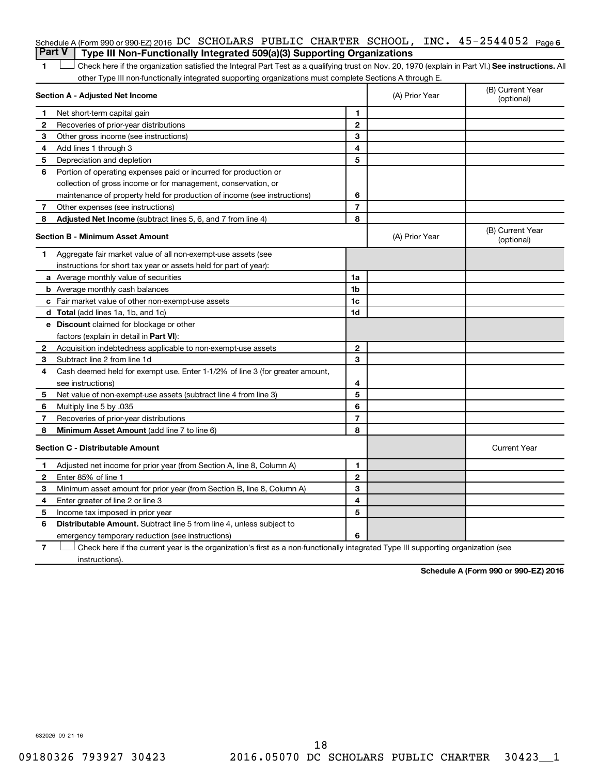| Schedule A (Form 990 or 990-EZ) 2016 DC SCHOLARS PUBLIC CHARTER SCHOOL, INC. $45-2544052$ Page 6 |  |  |  |  |
|--------------------------------------------------------------------------------------------------|--|--|--|--|
| <b>Part V</b>   Type III Non-Functionally Integrated 509(a)(3) Supporting Organizations          |  |  |  |  |

1 **Letter See instructions.** All Check here if the organization satisfied the Integral Part Test as a qualifying trust on Nov. 20, 1970 (explain in Part VI.) See instructions. All other Type III non-functionally integrated supporting organizations must complete Sections A through E.

|    | Section A - Adjusted Net Income                                              | (A) Prior Year | (B) Current Year<br>(optional) |                                |
|----|------------------------------------------------------------------------------|----------------|--------------------------------|--------------------------------|
| 1  | Net short-term capital gain                                                  | 1              |                                |                                |
| 2  | Recoveries of prior-year distributions                                       | 2              |                                |                                |
| 3  | Other gross income (see instructions)                                        | 3              |                                |                                |
| 4  | Add lines 1 through 3                                                        | 4              |                                |                                |
| 5  | Depreciation and depletion                                                   | 5              |                                |                                |
| 6  | Portion of operating expenses paid or incurred for production or             |                |                                |                                |
|    | collection of gross income or for management, conservation, or               |                |                                |                                |
|    | maintenance of property held for production of income (see instructions)     | 6              |                                |                                |
| 7  | Other expenses (see instructions)                                            | $\overline{7}$ |                                |                                |
| 8  | Adjusted Net Income (subtract lines 5, 6, and 7 from line 4)                 | 8              |                                |                                |
|    | <b>Section B - Minimum Asset Amount</b>                                      |                | (A) Prior Year                 | (B) Current Year<br>(optional) |
| 1. | Aggregate fair market value of all non-exempt-use assets (see                |                |                                |                                |
|    | instructions for short tax year or assets held for part of year):            |                |                                |                                |
|    | a Average monthly value of securities                                        | 1a             |                                |                                |
|    | <b>b</b> Average monthly cash balances                                       | 1b             |                                |                                |
|    | c Fair market value of other non-exempt-use assets                           | 1c             |                                |                                |
|    | d Total (add lines 1a, 1b, and 1c)                                           | 1d             |                                |                                |
|    | e Discount claimed for blockage or other                                     |                |                                |                                |
|    | factors (explain in detail in Part VI):                                      |                |                                |                                |
| 2  | Acquisition indebtedness applicable to non-exempt-use assets                 | $\mathbf{2}$   |                                |                                |
| З  | Subtract line 2 from line 1d                                                 | 3              |                                |                                |
| 4  | Cash deemed held for exempt use. Enter 1-1/2% of line 3 (for greater amount, |                |                                |                                |
|    | see instructions)                                                            | 4              |                                |                                |
| 5  | Net value of non-exempt-use assets (subtract line 4 from line 3)             | 5              |                                |                                |
| 6  | Multiply line 5 by .035                                                      | 6              |                                |                                |
| 7  | Recoveries of prior-year distributions                                       | $\overline{7}$ |                                |                                |
| 8  | Minimum Asset Amount (add line 7 to line 6)                                  | 8              |                                |                                |
|    | <b>Section C - Distributable Amount</b>                                      |                |                                | <b>Current Year</b>            |
| 1  | Adjusted net income for prior year (from Section A, line 8, Column A)        | 1              |                                |                                |
| 2  | Enter 85% of line 1                                                          | $\overline{2}$ |                                |                                |
| 3  | Minimum asset amount for prior year (from Section B, line 8, Column A)       | 3              |                                |                                |
| 4  | Enter greater of line 2 or line 3                                            | 4              |                                |                                |
| 5  | Income tax imposed in prior year                                             | 5              |                                |                                |
| 6  | <b>Distributable Amount.</b> Subtract line 5 from line 4, unless subject to  |                |                                |                                |
|    | emergency temporary reduction (see instructions)                             | 6              |                                |                                |
|    |                                                                              |                |                                |                                |

**7** Check here if the current year is the organization's first as a non-functionally integrated Type III supporting organization (see † instructions).

**Schedule A (Form 990 or 990-EZ) 2016**

632026 09-21-16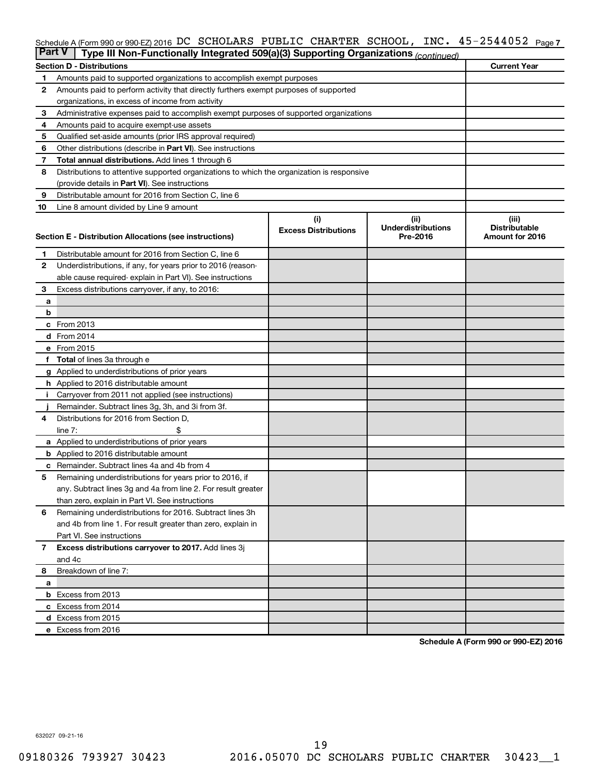### Schedule A (Form 990 or 990-EZ) 2016 DC SCHOLARS PUBLIC CHARTER SCHOOL, INC.  $45$  –  $2544052$  Page 7

| <b>Part V</b><br>Type III Non-Functionally Integrated 509(a)(3) Supporting Organizations (continued) |                                                                                             |                             |                                       |                                         |  |  |  |  |
|------------------------------------------------------------------------------------------------------|---------------------------------------------------------------------------------------------|-----------------------------|---------------------------------------|-----------------------------------------|--|--|--|--|
|                                                                                                      | <b>Section D - Distributions</b>                                                            |                             |                                       | <b>Current Year</b>                     |  |  |  |  |
| 1                                                                                                    | Amounts paid to supported organizations to accomplish exempt purposes                       |                             |                                       |                                         |  |  |  |  |
| 2                                                                                                    | Amounts paid to perform activity that directly furthers exempt purposes of supported        |                             |                                       |                                         |  |  |  |  |
|                                                                                                      | organizations, in excess of income from activity                                            |                             |                                       |                                         |  |  |  |  |
| 3                                                                                                    | Administrative expenses paid to accomplish exempt purposes of supported organizations       |                             |                                       |                                         |  |  |  |  |
| 4                                                                                                    | Amounts paid to acquire exempt-use assets                                                   |                             |                                       |                                         |  |  |  |  |
| 5                                                                                                    | Qualified set-aside amounts (prior IRS approval required)                                   |                             |                                       |                                         |  |  |  |  |
| 6                                                                                                    | Other distributions (describe in Part VI). See instructions                                 |                             |                                       |                                         |  |  |  |  |
| 7                                                                                                    | <b>Total annual distributions.</b> Add lines 1 through 6                                    |                             |                                       |                                         |  |  |  |  |
| 8                                                                                                    | Distributions to attentive supported organizations to which the organization is responsive  |                             |                                       |                                         |  |  |  |  |
|                                                                                                      | (provide details in Part VI). See instructions                                              |                             |                                       |                                         |  |  |  |  |
| 9                                                                                                    | Distributable amount for 2016 from Section C, line 6                                        |                             |                                       |                                         |  |  |  |  |
| 10                                                                                                   | Line 8 amount divided by Line 9 amount                                                      |                             |                                       |                                         |  |  |  |  |
|                                                                                                      |                                                                                             | (i)                         | (ii)                                  | (iii)                                   |  |  |  |  |
|                                                                                                      | Section E - Distribution Allocations (see instructions)                                     | <b>Excess Distributions</b> | <b>Underdistributions</b><br>Pre-2016 | <b>Distributable</b><br>Amount for 2016 |  |  |  |  |
|                                                                                                      |                                                                                             |                             |                                       |                                         |  |  |  |  |
| 1                                                                                                    | Distributable amount for 2016 from Section C, line 6                                        |                             |                                       |                                         |  |  |  |  |
| $\mathbf{2}$                                                                                         | Underdistributions, if any, for years prior to 2016 (reason-                                |                             |                                       |                                         |  |  |  |  |
|                                                                                                      | able cause required- explain in Part VI). See instructions                                  |                             |                                       |                                         |  |  |  |  |
| 3                                                                                                    | Excess distributions carryover, if any, to 2016:                                            |                             |                                       |                                         |  |  |  |  |
| а                                                                                                    |                                                                                             |                             |                                       |                                         |  |  |  |  |
| b                                                                                                    |                                                                                             |                             |                                       |                                         |  |  |  |  |
|                                                                                                      | c From 2013                                                                                 |                             |                                       |                                         |  |  |  |  |
|                                                                                                      | <b>d</b> From 2014                                                                          |                             |                                       |                                         |  |  |  |  |
|                                                                                                      | e From 2015                                                                                 |                             |                                       |                                         |  |  |  |  |
|                                                                                                      | f Total of lines 3a through e                                                               |                             |                                       |                                         |  |  |  |  |
|                                                                                                      | <b>g</b> Applied to underdistributions of prior years                                       |                             |                                       |                                         |  |  |  |  |
|                                                                                                      | <b>h</b> Applied to 2016 distributable amount                                               |                             |                                       |                                         |  |  |  |  |
|                                                                                                      | Carryover from 2011 not applied (see instructions)                                          |                             |                                       |                                         |  |  |  |  |
| 4                                                                                                    | Remainder. Subtract lines 3g, 3h, and 3i from 3f.<br>Distributions for 2016 from Section D, |                             |                                       |                                         |  |  |  |  |
|                                                                                                      | $line 7$ :                                                                                  |                             |                                       |                                         |  |  |  |  |
|                                                                                                      | a Applied to underdistributions of prior years                                              |                             |                                       |                                         |  |  |  |  |
|                                                                                                      | <b>b</b> Applied to 2016 distributable amount                                               |                             |                                       |                                         |  |  |  |  |
| с                                                                                                    | Remainder. Subtract lines 4a and 4b from 4                                                  |                             |                                       |                                         |  |  |  |  |
| 5                                                                                                    | Remaining underdistributions for years prior to 2016, if                                    |                             |                                       |                                         |  |  |  |  |
|                                                                                                      | any. Subtract lines 3g and 4a from line 2. For result greater                               |                             |                                       |                                         |  |  |  |  |
|                                                                                                      | than zero, explain in Part VI. See instructions                                             |                             |                                       |                                         |  |  |  |  |
| 6                                                                                                    | Remaining underdistributions for 2016. Subtract lines 3h                                    |                             |                                       |                                         |  |  |  |  |
|                                                                                                      | and 4b from line 1. For result greater than zero, explain in                                |                             |                                       |                                         |  |  |  |  |
|                                                                                                      | Part VI. See instructions                                                                   |                             |                                       |                                         |  |  |  |  |
| $\overline{7}$                                                                                       | Excess distributions carryover to 2017. Add lines 3j                                        |                             |                                       |                                         |  |  |  |  |
|                                                                                                      | and 4c                                                                                      |                             |                                       |                                         |  |  |  |  |
| 8                                                                                                    | Breakdown of line 7:                                                                        |                             |                                       |                                         |  |  |  |  |
| a                                                                                                    |                                                                                             |                             |                                       |                                         |  |  |  |  |
|                                                                                                      | <b>b</b> Excess from 2013                                                                   |                             |                                       |                                         |  |  |  |  |
|                                                                                                      | c Excess from 2014                                                                          |                             |                                       |                                         |  |  |  |  |
|                                                                                                      | d Excess from 2015                                                                          |                             |                                       |                                         |  |  |  |  |
|                                                                                                      | e Excess from 2016                                                                          |                             |                                       |                                         |  |  |  |  |

**Schedule A (Form 990 or 990-EZ) 2016**

632027 09-21-16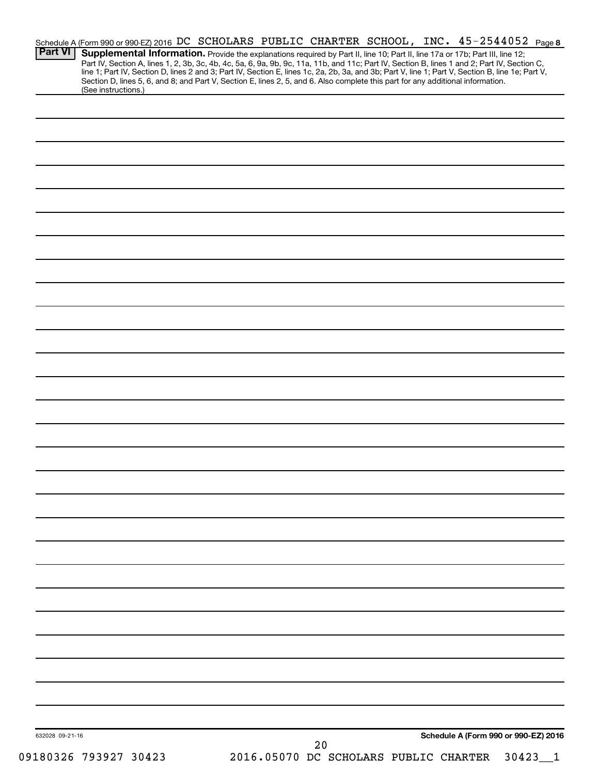| <b>Part VI</b>  | Schedule A (Form 990 or 990-EZ) 2016 DC SCHOLARS PUBLIC CHARTER SCHOOL, INC. 45-2544052 Page 8                                                                                                                                                                                                                                                                                                                                    |  |                                       |  |                                      |
|-----------------|-----------------------------------------------------------------------------------------------------------------------------------------------------------------------------------------------------------------------------------------------------------------------------------------------------------------------------------------------------------------------------------------------------------------------------------|--|---------------------------------------|--|--------------------------------------|
|                 | Supplemental Information. Provide the explanations required by Part II, line 10; Part II, line 17a or 17b; Part III, line 12;<br>Part IV, Section A, lines 1, 2, 3b, 3c, 4b, 4c, 5a, 6, 9a, 9b, 9c, 11a, 11b, and 11c; Part IV, Section B, lines 1 and 2; Part IV, Section C,<br>line 1; Part IV, Section D, lines 2 and 3; Part IV, Section E, lines 1c, 2a, 2b, 3a, and 3b; Part V, line 1; Part V, Section B, line 1e; Part V, |  |                                       |  |                                      |
|                 | Section D, lines 5, 6, and 8; and Part V, Section E, lines 2, 5, and 6. Also complete this part for any additional information.<br>(See instructions.)                                                                                                                                                                                                                                                                            |  |                                       |  |                                      |
|                 |                                                                                                                                                                                                                                                                                                                                                                                                                                   |  |                                       |  |                                      |
|                 |                                                                                                                                                                                                                                                                                                                                                                                                                                   |  |                                       |  |                                      |
|                 |                                                                                                                                                                                                                                                                                                                                                                                                                                   |  |                                       |  |                                      |
|                 |                                                                                                                                                                                                                                                                                                                                                                                                                                   |  |                                       |  |                                      |
|                 |                                                                                                                                                                                                                                                                                                                                                                                                                                   |  |                                       |  |                                      |
|                 |                                                                                                                                                                                                                                                                                                                                                                                                                                   |  |                                       |  |                                      |
|                 |                                                                                                                                                                                                                                                                                                                                                                                                                                   |  |                                       |  |                                      |
|                 |                                                                                                                                                                                                                                                                                                                                                                                                                                   |  |                                       |  |                                      |
|                 |                                                                                                                                                                                                                                                                                                                                                                                                                                   |  |                                       |  |                                      |
|                 |                                                                                                                                                                                                                                                                                                                                                                                                                                   |  |                                       |  |                                      |
|                 |                                                                                                                                                                                                                                                                                                                                                                                                                                   |  |                                       |  |                                      |
|                 |                                                                                                                                                                                                                                                                                                                                                                                                                                   |  |                                       |  |                                      |
|                 |                                                                                                                                                                                                                                                                                                                                                                                                                                   |  |                                       |  |                                      |
|                 |                                                                                                                                                                                                                                                                                                                                                                                                                                   |  |                                       |  |                                      |
|                 |                                                                                                                                                                                                                                                                                                                                                                                                                                   |  |                                       |  |                                      |
|                 |                                                                                                                                                                                                                                                                                                                                                                                                                                   |  |                                       |  |                                      |
|                 |                                                                                                                                                                                                                                                                                                                                                                                                                                   |  |                                       |  |                                      |
|                 |                                                                                                                                                                                                                                                                                                                                                                                                                                   |  |                                       |  |                                      |
|                 |                                                                                                                                                                                                                                                                                                                                                                                                                                   |  |                                       |  |                                      |
|                 |                                                                                                                                                                                                                                                                                                                                                                                                                                   |  |                                       |  |                                      |
|                 |                                                                                                                                                                                                                                                                                                                                                                                                                                   |  |                                       |  |                                      |
|                 |                                                                                                                                                                                                                                                                                                                                                                                                                                   |  |                                       |  |                                      |
|                 |                                                                                                                                                                                                                                                                                                                                                                                                                                   |  |                                       |  |                                      |
|                 |                                                                                                                                                                                                                                                                                                                                                                                                                                   |  |                                       |  |                                      |
|                 |                                                                                                                                                                                                                                                                                                                                                                                                                                   |  |                                       |  |                                      |
|                 |                                                                                                                                                                                                                                                                                                                                                                                                                                   |  |                                       |  |                                      |
|                 |                                                                                                                                                                                                                                                                                                                                                                                                                                   |  |                                       |  |                                      |
|                 |                                                                                                                                                                                                                                                                                                                                                                                                                                   |  |                                       |  |                                      |
|                 |                                                                                                                                                                                                                                                                                                                                                                                                                                   |  |                                       |  |                                      |
|                 |                                                                                                                                                                                                                                                                                                                                                                                                                                   |  |                                       |  |                                      |
|                 |                                                                                                                                                                                                                                                                                                                                                                                                                                   |  |                                       |  |                                      |
|                 |                                                                                                                                                                                                                                                                                                                                                                                                                                   |  |                                       |  |                                      |
|                 |                                                                                                                                                                                                                                                                                                                                                                                                                                   |  |                                       |  |                                      |
|                 |                                                                                                                                                                                                                                                                                                                                                                                                                                   |  |                                       |  |                                      |
| 632028 09-21-16 |                                                                                                                                                                                                                                                                                                                                                                                                                                   |  | 20                                    |  | Schedule A (Form 990 or 990-EZ) 2016 |
|                 | 09180326 793927 30423                                                                                                                                                                                                                                                                                                                                                                                                             |  | 2016.05070 DC SCHOLARS PUBLIC CHARTER |  | $30423 - 1$                          |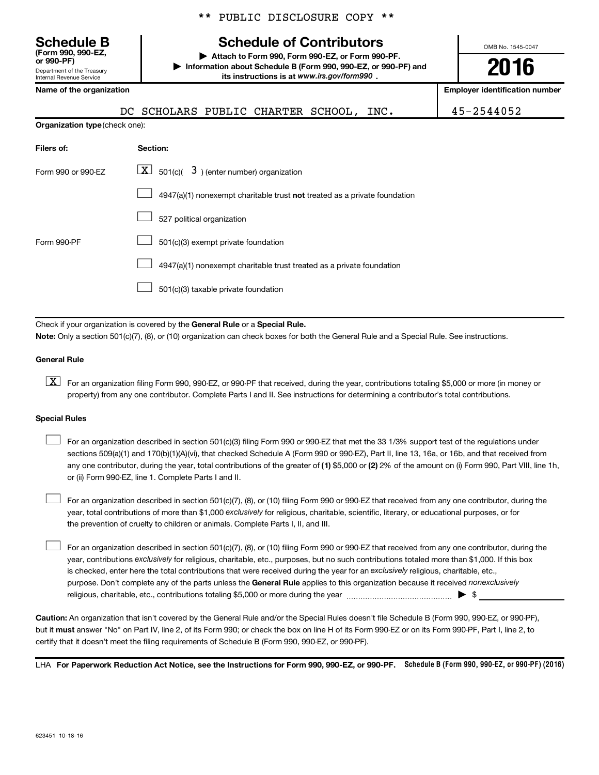\*\* PUBLIC DISCLOSURE COPY \*\*

## **Schedule B Schedule of Contributors**

**or 990-PF) | Attach to Form 990, Form 990-EZ, or Form 990-PF. | Information about Schedule B (Form 990, 990-EZ, or 990-PF) and its instructions is at www.irs.gov/form990.** *www.irs.gov/form990*

OMB No. 1545-0047

# **2016**

**Employer identification number** 

45-2544052

| Department of the Treasury<br>Internal Revenue Service | its instructions is at www.irs.gov/form990, |
|--------------------------------------------------------|---------------------------------------------|
| Name of the organization                               |                                             |
|                                                        | DC SCHOLARS PUBLIC CHARTER SCHOOL,<br>INC.  |
| <b>Organization type (check one):</b>                  |                                             |
| Filers of:                                             | Section:                                    |
| Form 990 or 990-EZ                                     | 501(c)<br>) (enter number) organization     |

|             | $4947(a)(1)$ nonexempt charitable trust <b>not</b> treated as a private foundation |
|-------------|------------------------------------------------------------------------------------|
|             | 527 political organization                                                         |
| Form 990-PF | 501(c)(3) exempt private foundation                                                |
|             | 4947(a)(1) nonexempt charitable trust treated as a private foundation              |
|             | 501(c)(3) taxable private foundation                                               |

Check if your organization is covered by the General Rule or a Special Rule. **Note:**  Only a section 501(c)(7), (8), or (10) organization can check boxes for both the General Rule and a Special Rule. See instructions.

### **General Rule**

**(Form 990, 990-EZ,**

**K** For an organization filing Form 990, 990-EZ, or 990-PF that received, during the year, contributions totaling \$5,000 or more (in money or property) from any one contributor. Complete Parts I and II. See instructions for determining a contributor's total contributions.

### **Special Rules**

 $\Box$ 

any one contributor, during the year, total contributions of the greater of **(1)** \$5,000 or **(2)** 2% of the amount on (i) Form 990, Part VIII, line 1h, For an organization described in section 501(c)(3) filing Form 990 or 990-EZ that met the 33 1/3% support test of the regulations under sections 509(a)(1) and 170(b)(1)(A)(vi), that checked Schedule A (Form 990 or 990-EZ), Part II, line 13, 16a, or 16b, and that received from or (ii) Form 990-EZ, line 1. Complete Parts I and II.  $\Box$ 

year, total contributions of more than \$1,000 *exclusively* for religious, charitable, scientific, literary, or educational purposes, or for For an organization described in section 501(c)(7), (8), or (10) filing Form 990 or 990-EZ that received from any one contributor, during the the prevention of cruelty to children or animals. Complete Parts I, II, and III.  $\Box$ 

purpose. Don't complete any of the parts unless the General Rule applies to this organization because it received nonexclusively year, contributions exclusively for religious, charitable, etc., purposes, but no such contributions totaled more than \$1,000. If this box is checked, enter here the total contributions that were received during the year for an exclusively religious, charitable, etc., For an organization described in section 501(c)(7), (8), or (10) filing Form 990 or 990-EZ that received from any one contributor, during the religious, charitable, etc., contributions totaling \$5,000 or more during the year  $\ldots$  $\ldots$  $\ldots$  $\ldots$  $\ldots$  $\ldots$ 

**Caution:**  An organization that isn't covered by the General Rule and/or the Special Rules doesn't file Schedule B (Form 990, 990-EZ, or 990-PF),  **must** but it answer "No" on Part IV, line 2, of its Form 990; or check the box on line H of its Form 990-EZ or on its Form 990-PF, Part I, line 2, to certify that it doesn't meet the filing requirements of Schedule B (Form 990, 990-EZ, or 990-PF).

LHA For Paperwork Reduction Act Notice, see the Instructions for Form 990, 990-EZ, or 990-PF. Schedule B (Form 990, 990-EZ, or 990-PF) (2016)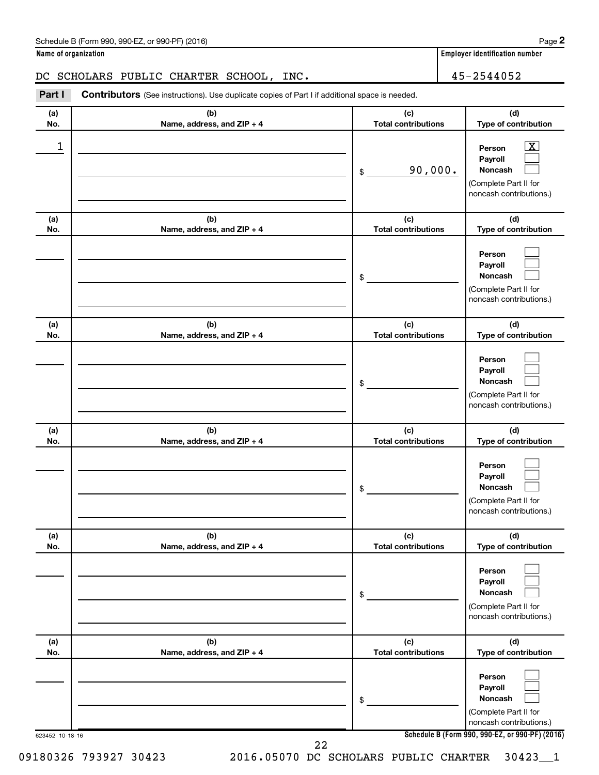| Schedule B (Form 990, 990-EZ, or 990-PF) (2016)<br>$\sqrt{2}$ , $\sqrt{2}$ , $\sqrt{2}$ , $\sqrt{2}$ , $\sqrt{2}$ | Page |
|-------------------------------------------------------------------------------------------------------------------|------|
|-------------------------------------------------------------------------------------------------------------------|------|

### DC SCHOLARS PUBLIC CHARTER SCHOOL, INC. 45-2544052

**Part I** Contributors (See instructions). Use duplicate copies of Part I if additional space is needed.

| (a)<br>No.      | (b)<br>Name, address, and ZIP + 4 | (c)<br><b>Total contributions</b> | (d)<br>Type of contribution                                                                                                         |
|-----------------|-----------------------------------|-----------------------------------|-------------------------------------------------------------------------------------------------------------------------------------|
| 1               |                                   | 90,000.<br>\$                     | $\overline{\textbf{X}}$<br>Person<br>Payroll<br><b>Noncash</b><br>(Complete Part II for<br>noncash contributions.)                  |
| (a)<br>No.      | (b)<br>Name, address, and ZIP + 4 | (c)<br><b>Total contributions</b> | (d)<br>Type of contribution                                                                                                         |
|                 |                                   | \$                                | Person<br>Payroll<br><b>Noncash</b><br>(Complete Part II for<br>noncash contributions.)                                             |
| (a)<br>No.      | (b)<br>Name, address, and ZIP + 4 | (c)<br><b>Total contributions</b> | (d)<br>Type of contribution                                                                                                         |
|                 |                                   | \$                                | Person<br>Payroll<br><b>Noncash</b><br>(Complete Part II for<br>noncash contributions.)                                             |
| (a)<br>No.      | (b)<br>Name, address, and ZIP + 4 | (c)<br><b>Total contributions</b> | (d)<br>Type of contribution                                                                                                         |
|                 |                                   | \$                                | Person<br>Payroll<br><b>Noncash</b><br>(Complete Part II for<br>noncash contributions.)                                             |
| (a)<br>No.      | (b)<br>Name, address, and ZIP + 4 | (c)<br><b>Total contributions</b> | (d)<br>Type of contribution                                                                                                         |
|                 |                                   | \$                                | Person<br>Payroll<br>Noncash<br>(Complete Part II for<br>noncash contributions.)                                                    |
| (a)<br>No.      | (b)<br>Name, address, and ZIP + 4 | (c)<br><b>Total contributions</b> | (d)<br>Type of contribution                                                                                                         |
| 623452 10-18-16 |                                   | \$                                | Person<br>Payroll<br>Noncash<br>(Complete Part II for<br>noncash contributions.)<br>Schedule B (Form 990, 990-EZ, or 990-PF) (2016) |
|                 |                                   | 22                                |                                                                                                                                     |

09180326 793927 30423 2016.05070 DC SCHOLARS PUBLIC CHARTER 30423\_\_1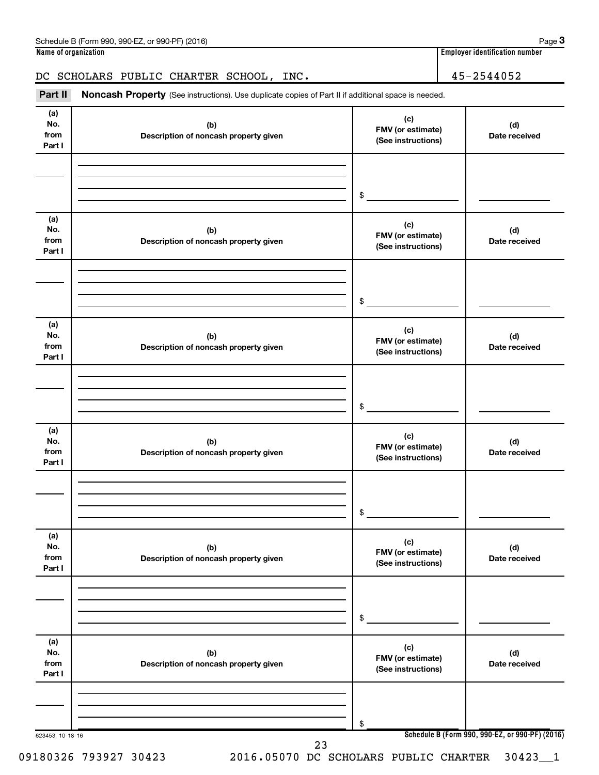### DC SCHOLARS PUBLIC CHARTER SCHOOL, INC. 45-2544052

Part II Noncash Property (See instructions). Use duplicate copies of Part II if additional space is needed.

| (a)<br>No.<br>from<br>Part I | (b)<br>Description of noncash property given | (c)<br>FMV (or estimate)<br>(See instructions) | (d)<br>Date received                            |
|------------------------------|----------------------------------------------|------------------------------------------------|-------------------------------------------------|
|                              |                                              |                                                |                                                 |
|                              |                                              | \$                                             |                                                 |
| (a)<br>No.<br>from<br>Part I | (b)<br>Description of noncash property given | (c)<br>FMV (or estimate)<br>(See instructions) | (d)<br>Date received                            |
|                              |                                              |                                                |                                                 |
|                              |                                              | \$                                             |                                                 |
| (a)<br>No.<br>from<br>Part I | (b)<br>Description of noncash property given | (c)<br>FMV (or estimate)<br>(See instructions) | (d)<br>Date received                            |
|                              |                                              |                                                |                                                 |
|                              |                                              | \$                                             |                                                 |
| (a)<br>No.<br>from<br>Part I | (b)<br>Description of noncash property given | (c)<br>FMV (or estimate)<br>(See instructions) | (d)<br>Date received                            |
|                              |                                              |                                                |                                                 |
|                              |                                              | \$                                             |                                                 |
| (a)<br>No.<br>from<br>Part I | (b)<br>Description of noncash property given | (c)<br>FMV (or estimate)<br>(See instructions) | (d)<br>Date received                            |
|                              |                                              |                                                |                                                 |
|                              |                                              | \$                                             |                                                 |
| (a)<br>No.<br>from<br>Part I | (b)<br>Description of noncash property given | (c)<br>FMV (or estimate)<br>(See instructions) | (d)<br>Date received                            |
|                              |                                              |                                                |                                                 |
| 623453 10-18-16              |                                              | \$                                             | Schedule B (Form 990, 990-EZ, or 990-PF) (2016) |

09180326 793927 30423 2016.05070 DC SCHOLARS PUBLIC CHARTER 30423 1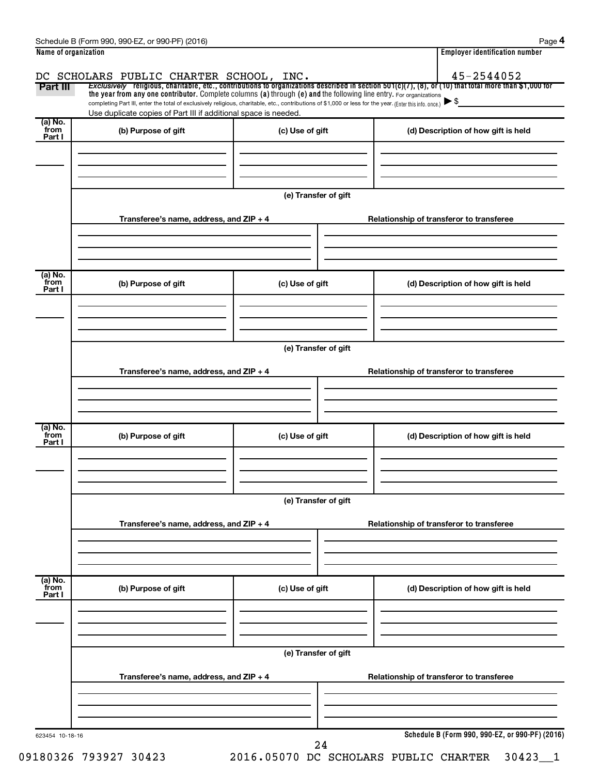| Part III                   | DC SCHOLARS PUBLIC CHARTER SCHOOL, INC.<br>Exclusively religious, charitable, etc., contributions to organizations described in section $501(c)(7)$ , (8), or (10) that total more than \$1,000 for                                                                             |                      |                                          | 45-2544052                                      |  |  |  |  |  |
|----------------------------|---------------------------------------------------------------------------------------------------------------------------------------------------------------------------------------------------------------------------------------------------------------------------------|----------------------|------------------------------------------|-------------------------------------------------|--|--|--|--|--|
|                            | the year from any one contributor. Complete columns (a) through (e) and the following line entry. For organizations<br>completing Part III, enter the total of exclusively religious, charitable, etc., contributions of \$1,000 or less for the year. (Enter this info. once.) |                      |                                          | $\blacktriangleright$ \$                        |  |  |  |  |  |
|                            | Use duplicate copies of Part III if additional space is needed.                                                                                                                                                                                                                 |                      |                                          |                                                 |  |  |  |  |  |
| (a) No.<br>from            | (b) Purpose of gift                                                                                                                                                                                                                                                             | (c) Use of gift      |                                          | (d) Description of how gift is held             |  |  |  |  |  |
| Part I                     |                                                                                                                                                                                                                                                                                 |                      |                                          |                                                 |  |  |  |  |  |
|                            |                                                                                                                                                                                                                                                                                 |                      |                                          |                                                 |  |  |  |  |  |
|                            |                                                                                                                                                                                                                                                                                 | (e) Transfer of gift |                                          |                                                 |  |  |  |  |  |
|                            | Transferee's name, address, and ZIP + 4                                                                                                                                                                                                                                         |                      |                                          | Relationship of transferor to transferee        |  |  |  |  |  |
|                            |                                                                                                                                                                                                                                                                                 |                      |                                          |                                                 |  |  |  |  |  |
| (a) No.<br>`from           | (b) Purpose of gift                                                                                                                                                                                                                                                             | (c) Use of gift      |                                          | (d) Description of how gift is held             |  |  |  |  |  |
| Part I                     |                                                                                                                                                                                                                                                                                 |                      |                                          |                                                 |  |  |  |  |  |
|                            |                                                                                                                                                                                                                                                                                 |                      |                                          |                                                 |  |  |  |  |  |
|                            | (e) Transfer of gift                                                                                                                                                                                                                                                            |                      |                                          |                                                 |  |  |  |  |  |
|                            | Transferee's name, address, and ZIP + 4                                                                                                                                                                                                                                         |                      | Relationship of transferor to transferee |                                                 |  |  |  |  |  |
|                            |                                                                                                                                                                                                                                                                                 |                      |                                          |                                                 |  |  |  |  |  |
| (a) No.<br>`from<br>Part I | (b) Purpose of gift                                                                                                                                                                                                                                                             | (c) Use of gift      |                                          | (d) Description of how gift is held             |  |  |  |  |  |
|                            |                                                                                                                                                                                                                                                                                 |                      |                                          |                                                 |  |  |  |  |  |
|                            | (e) Transfer of gift                                                                                                                                                                                                                                                            |                      |                                          |                                                 |  |  |  |  |  |
|                            | Transferee's name, address, and ZIP + 4                                                                                                                                                                                                                                         |                      |                                          | Relationship of transferor to transferee        |  |  |  |  |  |
|                            |                                                                                                                                                                                                                                                                                 |                      |                                          |                                                 |  |  |  |  |  |
| (a) No.<br>from<br>Part I  | (b) Purpose of gift                                                                                                                                                                                                                                                             | (c) Use of gift      |                                          | (d) Description of how gift is held             |  |  |  |  |  |
|                            |                                                                                                                                                                                                                                                                                 |                      |                                          |                                                 |  |  |  |  |  |
|                            |                                                                                                                                                                                                                                                                                 | (e) Transfer of gift |                                          |                                                 |  |  |  |  |  |
|                            | Transferee's name, address, and ZIP + 4                                                                                                                                                                                                                                         |                      |                                          | Relationship of transferor to transferee        |  |  |  |  |  |
|                            |                                                                                                                                                                                                                                                                                 |                      |                                          |                                                 |  |  |  |  |  |
| 623454 10-18-16            |                                                                                                                                                                                                                                                                                 | 24                   |                                          | Schedule B (Form 990, 990-EZ, or 990-PF) (2016) |  |  |  |  |  |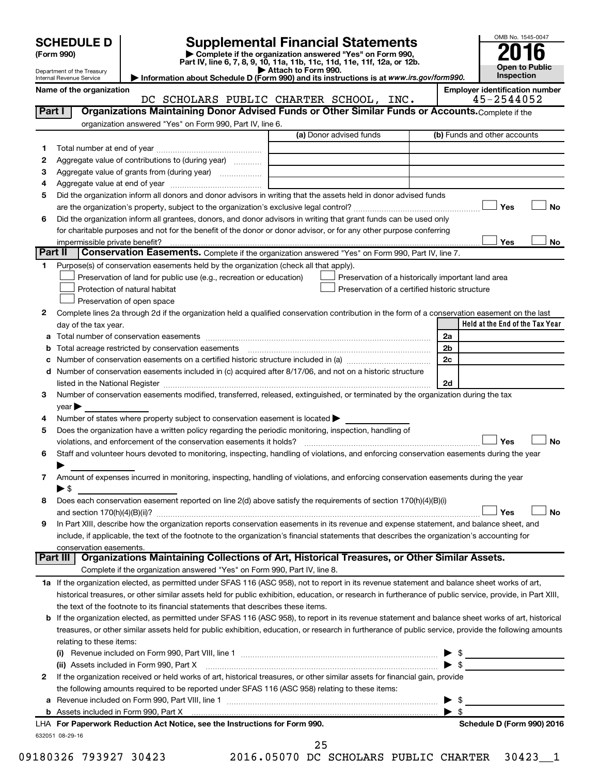| <b>SCHEDULE D</b> |  |
|-------------------|--|
|                   |  |

Department of the Treasury Internal Revenue Service

# **SCHEDULE D Supplemental Financial Statements**<br> **Form 990 2016**<br> **Part IV** line 6.7.8.9.10, 11a, 11b, 11d, 11d, 11d, 11d, 11d, 12a, 0r, 12b

**(Form 990) | Complete if the organization answered "Yes" on Form 990, Part IV, line 6, 7, 8, 9, 10, 11a, 11b, 11c, 11d, 11e, 11f, 12a, or 12b.**

**| Attach to Form 990. | Information about Schedule D (Form 990) and its instructions is at**  *www.irs.gov/form990.*



|         | Name of the organization                                                                                                                                                                                                       | DC SCHOLARS PUBLIC CHARTER SCHOOL, INC. | <b>Employer identification number</b><br>45-2544052 |
|---------|--------------------------------------------------------------------------------------------------------------------------------------------------------------------------------------------------------------------------------|-----------------------------------------|-----------------------------------------------------|
| Part I  | Organizations Maintaining Donor Advised Funds or Other Similar Funds or Accounts. Complete if the                                                                                                                              |                                         |                                                     |
|         | organization answered "Yes" on Form 990, Part IV, line 6.                                                                                                                                                                      |                                         |                                                     |
|         |                                                                                                                                                                                                                                | (a) Donor advised funds                 | (b) Funds and other accounts                        |
|         |                                                                                                                                                                                                                                |                                         |                                                     |
| 1       |                                                                                                                                                                                                                                |                                         |                                                     |
| 2       | Aggregate value of contributions to (during year)                                                                                                                                                                              |                                         |                                                     |
| 3       | Aggregate value of grants from (during year)                                                                                                                                                                                   |                                         |                                                     |
| 4       |                                                                                                                                                                                                                                |                                         |                                                     |
| 5       | Did the organization inform all donors and donor advisors in writing that the assets held in donor advised funds                                                                                                               |                                         |                                                     |
|         |                                                                                                                                                                                                                                |                                         | <b>No</b><br>Yes                                    |
| 6       | Did the organization inform all grantees, donors, and donor advisors in writing that grant funds can be used only                                                                                                              |                                         |                                                     |
|         | for charitable purposes and not for the benefit of the donor or donor advisor, or for any other purpose conferring                                                                                                             |                                         |                                                     |
|         | impermissible private benefit?                                                                                                                                                                                                 |                                         | Yes<br>No                                           |
| Part II | Conservation Easements. Complete if the organization answered "Yes" on Form 990, Part IV, line 7.                                                                                                                              |                                         |                                                     |
| 1       | Purpose(s) of conservation easements held by the organization (check all that apply).                                                                                                                                          |                                         |                                                     |
|         | Preservation of land for public use (e.g., recreation or education)                                                                                                                                                            |                                         | Preservation of a historically important land area  |
|         | Protection of natural habitat                                                                                                                                                                                                  |                                         | Preservation of a certified historic structure      |
|         | Preservation of open space                                                                                                                                                                                                     |                                         |                                                     |
| 2       | Complete lines 2a through 2d if the organization held a qualified conservation contribution in the form of a conservation easement on the last                                                                                 |                                         |                                                     |
|         | day of the tax year.                                                                                                                                                                                                           |                                         | Held at the End of the Tax Year                     |
| а       |                                                                                                                                                                                                                                |                                         | 2a                                                  |
| b       | Total acreage restricted by conservation easements manufactured acreage restricted by conservation easements                                                                                                                   |                                         | 2b                                                  |
| с       |                                                                                                                                                                                                                                |                                         | 2c                                                  |
|         | d Number of conservation easements included in (c) acquired after 8/17/06, and not on a historic structure                                                                                                                     |                                         |                                                     |
|         | listed in the National Register [11] matter and the National Register [11] matter is not all the National Register [11] matter is not all the National Register [11] matter is not all the National Register [11] matter is no |                                         | 2d                                                  |
| 3       | Number of conservation easements modified, transferred, released, extinguished, or terminated by the organization during the tax                                                                                               |                                         |                                                     |
|         | year                                                                                                                                                                                                                           |                                         |                                                     |
|         | Number of states where property subject to conservation easement is located $\blacktriangleright$                                                                                                                              |                                         |                                                     |
| 4       |                                                                                                                                                                                                                                |                                         |                                                     |
| 5       | Does the organization have a written policy regarding the periodic monitoring, inspection, handling of                                                                                                                         |                                         |                                                     |
|         | violations, and enforcement of the conservation easements it holds? [11] matter conservation and enforcement of the conservation easements it holds? [11] matter conservation easements it holds? [11] matter conservation ent |                                         | Yes<br><b>No</b>                                    |
| 6       | Staff and volunteer hours devoted to monitoring, inspecting, handling of violations, and enforcing conservation easements during the year                                                                                      |                                         |                                                     |
|         |                                                                                                                                                                                                                                |                                         |                                                     |
| 7       | Amount of expenses incurred in monitoring, inspecting, handling of violations, and enforcing conservation easements during the year                                                                                            |                                         |                                                     |
|         | $\blacktriangleright$ \$                                                                                                                                                                                                       |                                         |                                                     |
| 8       | Does each conservation easement reported on line 2(d) above satisfy the requirements of section 170(h)(4)(B)(i)                                                                                                                |                                         |                                                     |
|         |                                                                                                                                                                                                                                |                                         | Yes<br>No                                           |
|         | In Part XIII, describe how the organization reports conservation easements in its revenue and expense statement, and balance sheet, and                                                                                        |                                         |                                                     |
|         | include, if applicable, the text of the footnote to the organization's financial statements that describes the organization's accounting for                                                                                   |                                         |                                                     |
|         | conservation easements.                                                                                                                                                                                                        |                                         |                                                     |
|         | Organizations Maintaining Collections of Art, Historical Treasures, or Other Similar Assets.<br>Part III                                                                                                                       |                                         |                                                     |
|         | Complete if the organization answered "Yes" on Form 990, Part IV, line 8.                                                                                                                                                      |                                         |                                                     |
|         | 1a If the organization elected, as permitted under SFAS 116 (ASC 958), not to report in its revenue statement and balance sheet works of art,                                                                                  |                                         |                                                     |
|         | historical treasures, or other similar assets held for public exhibition, education, or research in furtherance of public service, provide, in Part XIII,                                                                      |                                         |                                                     |
|         | the text of the footnote to its financial statements that describes these items.                                                                                                                                               |                                         |                                                     |
|         | b If the organization elected, as permitted under SFAS 116 (ASC 958), to report in its revenue statement and balance sheet works of art, historical                                                                            |                                         |                                                     |
|         | treasures, or other similar assets held for public exhibition, education, or research in furtherance of public service, provide the following amounts                                                                          |                                         |                                                     |
|         | relating to these items:                                                                                                                                                                                                       |                                         |                                                     |
|         |                                                                                                                                                                                                                                |                                         | $\triangleright$ \$                                 |
|         | (ii) Assets included in Form 990, Part X                                                                                                                                                                                       |                                         | $\blacktriangleright$ \$                            |
| 2       | If the organization received or held works of art, historical treasures, or other similar assets for financial gain, provide                                                                                                   |                                         |                                                     |
|         | the following amounts required to be reported under SFAS 116 (ASC 958) relating to these items:                                                                                                                                |                                         |                                                     |
|         |                                                                                                                                                                                                                                |                                         |                                                     |
| а       |                                                                                                                                                                                                                                |                                         | - \$                                                |
|         |                                                                                                                                                                                                                                |                                         | \$                                                  |
|         | LHA For Paperwork Reduction Act Notice, see the Instructions for Form 990.                                                                                                                                                     |                                         | Schedule D (Form 990) 2016                          |
|         | 632051 08-29-16                                                                                                                                                                                                                | $\sim$ $\sim$                           |                                                     |

|         | э                     |  |
|---------|-----------------------|--|
| ◠<br>., | $\tilde{\phantom{a}}$ |  |

09180326 793927 30423 2016.05070 DC SCHOLARS PUBLIC CHARTER 30423\_\_1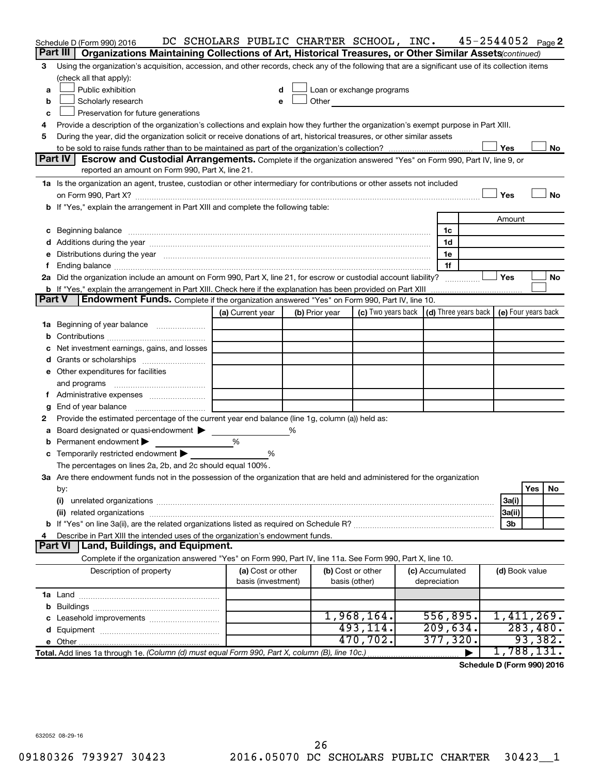|    | Schedule D (Form 990) 2016                                                                                                                                                                                                            | DC SCHOLARS PUBLIC CHARTER SCHOOL, INC. |   |                |                                                                                                                                                                                                                                      |                      | $45 - 2544052$ Page 2 |                |          |    |
|----|---------------------------------------------------------------------------------------------------------------------------------------------------------------------------------------------------------------------------------------|-----------------------------------------|---|----------------|--------------------------------------------------------------------------------------------------------------------------------------------------------------------------------------------------------------------------------------|----------------------|-----------------------|----------------|----------|----|
|    | Part III<br>Organizations Maintaining Collections of Art, Historical Treasures, or Other Similar Assets (continued)                                                                                                                   |                                         |   |                |                                                                                                                                                                                                                                      |                      |                       |                |          |    |
| 3  | Using the organization's acquisition, accession, and other records, check any of the following that are a significant use of its collection items                                                                                     |                                         |   |                |                                                                                                                                                                                                                                      |                      |                       |                |          |    |
|    | (check all that apply):                                                                                                                                                                                                               |                                         |   |                |                                                                                                                                                                                                                                      |                      |                       |                |          |    |
| a  | Public exhibition                                                                                                                                                                                                                     | d                                       |   |                | Loan or exchange programs                                                                                                                                                                                                            |                      |                       |                |          |    |
| b  | Scholarly research                                                                                                                                                                                                                    | е                                       |   |                | Other <u>the contract of the contract of the contract of the contract of the contract of the contract of the contract of the contract of the contract of the contract of the contract of the contract of the contract of the con</u> |                      |                       |                |          |    |
| c  | Preservation for future generations                                                                                                                                                                                                   |                                         |   |                |                                                                                                                                                                                                                                      |                      |                       |                |          |    |
| 4  | Provide a description of the organization's collections and explain how they further the organization's exempt purpose in Part XIII.                                                                                                  |                                         |   |                |                                                                                                                                                                                                                                      |                      |                       |                |          |    |
| 5  | During the year, did the organization solicit or receive donations of art, historical treasures, or other similar assets                                                                                                              |                                         |   |                |                                                                                                                                                                                                                                      |                      |                       |                |          |    |
|    |                                                                                                                                                                                                                                       |                                         |   |                |                                                                                                                                                                                                                                      |                      |                       | Yes            |          | No |
|    | <b>Part IV</b><br><b>Escrow and Custodial Arrangements.</b> Complete if the organization answered "Yes" on Form 990, Part IV, line 9, or                                                                                              |                                         |   |                |                                                                                                                                                                                                                                      |                      |                       |                |          |    |
|    | reported an amount on Form 990, Part X, line 21.                                                                                                                                                                                      |                                         |   |                |                                                                                                                                                                                                                                      |                      |                       |                |          |    |
|    | 1a Is the organization an agent, trustee, custodian or other intermediary for contributions or other assets not included                                                                                                              |                                         |   |                |                                                                                                                                                                                                                                      |                      |                       |                |          |    |
|    |                                                                                                                                                                                                                                       |                                         |   |                |                                                                                                                                                                                                                                      |                      |                       | Yes            |          | No |
|    | b If "Yes," explain the arrangement in Part XIII and complete the following table:                                                                                                                                                    |                                         |   |                |                                                                                                                                                                                                                                      |                      |                       |                |          |    |
|    |                                                                                                                                                                                                                                       |                                         |   |                |                                                                                                                                                                                                                                      |                      |                       | Amount         |          |    |
| c  | Beginning balance www.communication.com/multiplication.com/multiplication.com/multiplication.com/multiplicatio                                                                                                                        |                                         |   |                |                                                                                                                                                                                                                                      | 1c                   |                       |                |          |    |
|    |                                                                                                                                                                                                                                       |                                         |   |                |                                                                                                                                                                                                                                      | 1d                   |                       |                |          |    |
| е  | Distributions during the year manufactured and continuum control of the year manufactured and control of the year manufactured and control of the year manufactured and control of the state of the state of the state of the         |                                         |   |                |                                                                                                                                                                                                                                      | 1e                   |                       |                |          |    |
| f. |                                                                                                                                                                                                                                       |                                         |   |                |                                                                                                                                                                                                                                      | 1f                   |                       | Yes            |          |    |
|    | 2a Did the organization include an amount on Form 990, Part X, line 21, for escrow or custodial account liability?                                                                                                                    |                                         |   |                |                                                                                                                                                                                                                                      |                      |                       |                |          | No |
|    | <b>b</b> If "Yes," explain the arrangement in Part XIII. Check here if the explanation has been provided on Part XIII<br>Part V<br><b>Endowment Funds.</b> Complete if the organization answered "Yes" on Form 990, Part IV, line 10. |                                         |   |                |                                                                                                                                                                                                                                      |                      |                       |                |          |    |
|    |                                                                                                                                                                                                                                       | (a) Current year                        |   | (b) Prior year | (c) Two years back $\vert$ (d) Three years back $\vert$ (e) Four years back                                                                                                                                                          |                      |                       |                |          |    |
| 1a | Beginning of year balance <i>manumman</i>                                                                                                                                                                                             |                                         |   |                |                                                                                                                                                                                                                                      |                      |                       |                |          |    |
| b  |                                                                                                                                                                                                                                       |                                         |   |                |                                                                                                                                                                                                                                      |                      |                       |                |          |    |
|    | Net investment earnings, gains, and losses                                                                                                                                                                                            |                                         |   |                |                                                                                                                                                                                                                                      |                      |                       |                |          |    |
| d  |                                                                                                                                                                                                                                       |                                         |   |                |                                                                                                                                                                                                                                      |                      |                       |                |          |    |
|    | e Other expenditures for facilities                                                                                                                                                                                                   |                                         |   |                |                                                                                                                                                                                                                                      |                      |                       |                |          |    |
|    | and programs                                                                                                                                                                                                                          |                                         |   |                |                                                                                                                                                                                                                                      |                      |                       |                |          |    |
| Ť. |                                                                                                                                                                                                                                       |                                         |   |                |                                                                                                                                                                                                                                      |                      |                       |                |          |    |
| g  | End of year balance                                                                                                                                                                                                                   |                                         |   |                |                                                                                                                                                                                                                                      |                      |                       |                |          |    |
| 2  | Provide the estimated percentage of the current year end balance (line 1g, column (a)) held as:                                                                                                                                       |                                         |   |                |                                                                                                                                                                                                                                      |                      |                       |                |          |    |
| а  | Board designated or quasi-endowment                                                                                                                                                                                                   |                                         | ℅ |                |                                                                                                                                                                                                                                      |                      |                       |                |          |    |
|    | Permanent endowment                                                                                                                                                                                                                   | %                                       |   |                |                                                                                                                                                                                                                                      |                      |                       |                |          |    |
|    | c Temporarily restricted endowment $\blacktriangleright$                                                                                                                                                                              | %                                       |   |                |                                                                                                                                                                                                                                      |                      |                       |                |          |    |
|    | The percentages on lines 2a, 2b, and 2c should equal 100%.                                                                                                                                                                            |                                         |   |                |                                                                                                                                                                                                                                      |                      |                       |                |          |    |
|    | 3a Are there endowment funds not in the possession of the organization that are held and administered for the organization                                                                                                            |                                         |   |                |                                                                                                                                                                                                                                      |                      |                       |                |          |    |
|    | by:                                                                                                                                                                                                                                   |                                         |   |                |                                                                                                                                                                                                                                      |                      |                       |                | Yes      | No |
|    | (i)                                                                                                                                                                                                                                   |                                         |   |                |                                                                                                                                                                                                                                      |                      |                       | 3a(i)          |          |    |
|    |                                                                                                                                                                                                                                       |                                         |   |                |                                                                                                                                                                                                                                      |                      |                       | 3a(ii)         |          |    |
|    |                                                                                                                                                                                                                                       |                                         |   |                |                                                                                                                                                                                                                                      |                      |                       | 3b             |          |    |
| 4  | Describe in Part XIII the intended uses of the organization's endowment funds.                                                                                                                                                        |                                         |   |                |                                                                                                                                                                                                                                      |                      |                       |                |          |    |
|    | <b>Part VI</b><br>Land, Buildings, and Equipment.                                                                                                                                                                                     |                                         |   |                |                                                                                                                                                                                                                                      |                      |                       |                |          |    |
|    | Complete if the organization answered "Yes" on Form 990, Part IV, line 11a. See Form 990, Part X, line 10.                                                                                                                            |                                         |   |                |                                                                                                                                                                                                                                      |                      |                       |                |          |    |
|    | Description of property                                                                                                                                                                                                               | (a) Cost or other                       |   |                | (b) Cost or other                                                                                                                                                                                                                    | (c) Accumulated      |                       | (d) Book value |          |    |
|    |                                                                                                                                                                                                                                       | basis (investment)                      |   |                | basis (other)                                                                                                                                                                                                                        | depreciation         |                       |                |          |    |
|    |                                                                                                                                                                                                                                       |                                         |   |                |                                                                                                                                                                                                                                      |                      |                       |                |          |    |
|    |                                                                                                                                                                                                                                       |                                         |   |                | 1,968,164.                                                                                                                                                                                                                           |                      |                       |                |          |    |
|    |                                                                                                                                                                                                                                       |                                         |   |                | 493,114.                                                                                                                                                                                                                             | 556,895.<br>209,634. |                       | 1,411,269.     | 283,480. |    |
|    |                                                                                                                                                                                                                                       |                                         |   |                | 470,702.                                                                                                                                                                                                                             | 377, 320.            |                       |                | 93,382.  |    |
|    |                                                                                                                                                                                                                                       |                                         |   |                |                                                                                                                                                                                                                                      |                      |                       | 1,788,131.     |          |    |
|    | Total. Add lines 1a through 1e. (Column (d) must equal Form 990, Part X, column (B), line 10c.)                                                                                                                                       |                                         |   |                |                                                                                                                                                                                                                                      |                      |                       |                |          |    |

**Schedule D (Form 990) 2016**

632052 08-29-16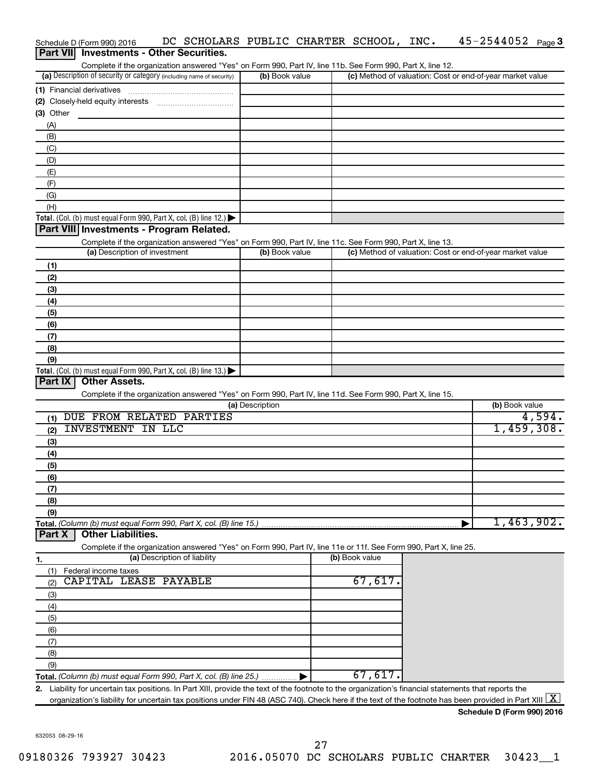| Schedule D (Form 990) 2016                                                                                        | DC SCHOLARS PUBLIC CHARTER SCHOOL, INC. |                | $45 - 2544052$ Page 3                                     |        |
|-------------------------------------------------------------------------------------------------------------------|-----------------------------------------|----------------|-----------------------------------------------------------|--------|
| Part VII Investments - Other Securities.                                                                          |                                         |                |                                                           |        |
| Complete if the organization answered "Yes" on Form 990, Part IV, line 11b. See Form 990, Part X, line 12.        |                                         |                |                                                           |        |
| (a) Description of security or category (including name of security)                                              | (b) Book value                          |                | (c) Method of valuation: Cost or end-of-year market value |        |
| (1) Financial derivatives                                                                                         |                                         |                |                                                           |        |
|                                                                                                                   |                                         |                |                                                           |        |
| $(3)$ Other                                                                                                       |                                         |                |                                                           |        |
| (A)                                                                                                               |                                         |                |                                                           |        |
| (B)                                                                                                               |                                         |                |                                                           |        |
| (C)                                                                                                               |                                         |                |                                                           |        |
| (D)                                                                                                               |                                         |                |                                                           |        |
| (E)                                                                                                               |                                         |                |                                                           |        |
| (F)                                                                                                               |                                         |                |                                                           |        |
| (G)                                                                                                               |                                         |                |                                                           |        |
| (H)                                                                                                               |                                         |                |                                                           |        |
| Total. (Col. (b) must equal Form 990, Part X, col. (B) line 12.) $\blacktriangleright$                            |                                         |                |                                                           |        |
| Part VIII Investments - Program Related.                                                                          |                                         |                |                                                           |        |
| Complete if the organization answered "Yes" on Form 990, Part IV, line 11c. See Form 990, Part X, line 13.        |                                         |                |                                                           |        |
| (a) Description of investment                                                                                     | (b) Book value                          |                | (c) Method of valuation: Cost or end-of-year market value |        |
| (1)                                                                                                               |                                         |                |                                                           |        |
| (2)                                                                                                               |                                         |                |                                                           |        |
| (3)                                                                                                               |                                         |                |                                                           |        |
| (4)                                                                                                               |                                         |                |                                                           |        |
| (5)                                                                                                               |                                         |                |                                                           |        |
| (6)                                                                                                               |                                         |                |                                                           |        |
| (7)                                                                                                               |                                         |                |                                                           |        |
| (8)                                                                                                               |                                         |                |                                                           |        |
| (9)                                                                                                               |                                         |                |                                                           |        |
| Total. (Col. (b) must equal Form 990, Part X, col. (B) line 13.)                                                  |                                         |                |                                                           |        |
| Part IX<br><b>Other Assets.</b>                                                                                   |                                         |                |                                                           |        |
| Complete if the organization answered "Yes" on Form 990, Part IV, line 11d. See Form 990, Part X, line 15.        |                                         |                |                                                           |        |
|                                                                                                                   | (a) Description                         |                | (b) Book value                                            |        |
| DUE FROM RELATED PARTIES<br>(1)                                                                                   |                                         |                |                                                           | 4,594. |
| <b>INVESTMENT IN LLC</b><br>(2)                                                                                   |                                         |                | 1,459,308.                                                |        |
| (3)                                                                                                               |                                         |                |                                                           |        |
| (4)                                                                                                               |                                         |                |                                                           |        |
| (5)                                                                                                               |                                         |                |                                                           |        |
| (6)                                                                                                               |                                         |                |                                                           |        |
| (7)                                                                                                               |                                         |                |                                                           |        |
| (8)                                                                                                               |                                         |                |                                                           |        |
| (9)                                                                                                               |                                         |                |                                                           |        |
| Total. (Column (b) must equal Form 990, Part X, col. (B) line 15.).                                               |                                         |                | 1,463,902.                                                |        |
| <b>Other Liabilities.</b><br>Part X                                                                               |                                         |                |                                                           |        |
| Complete if the organization answered "Yes" on Form 990, Part IV, line 11e or 11f. See Form 990, Part X, line 25. |                                         |                |                                                           |        |
| (a) Description of liability<br>1.                                                                                |                                         | (b) Book value |                                                           |        |
| Federal income taxes<br>(1)                                                                                       |                                         |                |                                                           |        |
| CAPITAL LEASE PAYABLE<br>(2)                                                                                      |                                         | 67,617.        |                                                           |        |
| (3)                                                                                                               |                                         |                |                                                           |        |
| (4)                                                                                                               |                                         |                |                                                           |        |
| (5)                                                                                                               |                                         |                |                                                           |        |
| (6)                                                                                                               |                                         |                |                                                           |        |
| (7)                                                                                                               |                                         |                |                                                           |        |
| (8)                                                                                                               |                                         |                |                                                           |        |
| (9)                                                                                                               |                                         |                |                                                           |        |

**Total.**  *(Column (b) must equal Form 990, Part X, col. (B) line 25.)*  $\blacktriangleright$ 

**2.** Liability for uncertain tax positions. In Part XIII, provide the text of the footnote to the organization's financial statements that reports the organization's liability for uncertain tax positions under FIN 48 (ASC 740). Check here if the text of the footnote has been provided in Part XIII  $\boxed{\text{X}}$ 

**Schedule D (Form 990) 2016**

632053 08-29-16

67,617.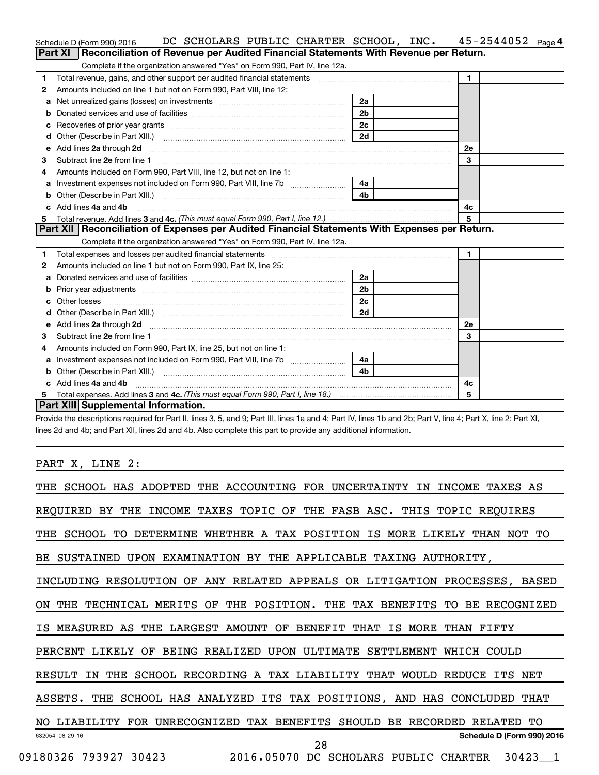|    | DC SCHOLARS PUBLIC CHARTER SCHOOL, INC.<br>Schedule D (Form 990) 2016                                                                                                                                                          |                |                | 45-2544052 | Page 4 |
|----|--------------------------------------------------------------------------------------------------------------------------------------------------------------------------------------------------------------------------------|----------------|----------------|------------|--------|
|    | Reconciliation of Revenue per Audited Financial Statements With Revenue per Return.<br>Part XI                                                                                                                                 |                |                |            |        |
|    | Complete if the organization answered "Yes" on Form 990, Part IV, line 12a.                                                                                                                                                    |                |                |            |        |
| 1  | Total revenue, gains, and other support per audited financial statements [11] [11] Total revenue, gains, and other support per audited financial statements                                                                    |                | $\blacksquare$ |            |        |
| 2  | Amounts included on line 1 but not on Form 990, Part VIII, line 12:                                                                                                                                                            |                |                |            |        |
| a  | Net unrealized gains (losses) on investments [111] [12] matter contracts and the unrealized gains (losses) on investments [11] matter contracts and the unrealized gains (losses) on investments [11] matter contracts and the | 2a             |                |            |        |
|    |                                                                                                                                                                                                                                | 2 <sub>b</sub> |                |            |        |
|    |                                                                                                                                                                                                                                | 2 <sub>c</sub> |                |            |        |
| d  |                                                                                                                                                                                                                                | 2d             |                |            |        |
| е  | Add lines 2a through 2d                                                                                                                                                                                                        |                | 2е             |            |        |
| 3  |                                                                                                                                                                                                                                |                | 3              |            |        |
| 4  | Amounts included on Form 990, Part VIII, line 12, but not on line 1:                                                                                                                                                           |                |                |            |        |
|    |                                                                                                                                                                                                                                | 4a             |                |            |        |
| b  | Other (Describe in Part XIII.) <b>Construction Contract Construction</b> Chemistry Chemistry Chemistry Chemistry Chemistry                                                                                                     | 4 <sub>b</sub> |                |            |        |
| c. | Add lines 4a and 4b                                                                                                                                                                                                            |                | 4с             |            |        |
|    |                                                                                                                                                                                                                                |                | $\overline{5}$ |            |        |
|    | Part XII   Reconciliation of Expenses per Audited Financial Statements With Expenses per Return.                                                                                                                               |                |                |            |        |
|    | Complete if the organization answered "Yes" on Form 990, Part IV, line 12a.                                                                                                                                                    |                |                |            |        |
| 1  |                                                                                                                                                                                                                                |                | $\blacksquare$ |            |        |
| 2  | Amounts included on line 1 but not on Form 990, Part IX, line 25:                                                                                                                                                              |                |                |            |        |
| a  |                                                                                                                                                                                                                                | 2a             |                |            |        |
| b  |                                                                                                                                                                                                                                | 2 <sub>b</sub> |                |            |        |
| с  |                                                                                                                                                                                                                                | 2c             |                |            |        |
| d  |                                                                                                                                                                                                                                | 2d             |                |            |        |
| е  |                                                                                                                                                                                                                                |                | <b>2e</b>      |            |        |
| 3  |                                                                                                                                                                                                                                |                | 3              |            |        |
| 4  | Amounts included on Form 990, Part IX, line 25, but not on line 1:                                                                                                                                                             |                |                |            |        |
| а  |                                                                                                                                                                                                                                | -4a l          |                |            |        |
| b  |                                                                                                                                                                                                                                | 4b             |                |            |        |
|    | Add lines 4a and 4b                                                                                                                                                                                                            |                | 4c             |            |        |
|    |                                                                                                                                                                                                                                |                | 5              |            |        |
|    | Part XIII Supplemental Information.                                                                                                                                                                                            |                |                |            |        |

Provide the descriptions required for Part II, lines 3, 5, and 9; Part III, lines 1a and 4; Part IV, lines 1b and 2b; Part V, line 4; Part X, line 2; Part XI, lines 2d and 4b; and Part XII, lines 2d and 4b. Also complete this part to provide any additional information.

PART X, LINE 2:

| THE SCHOOL HAS ADOPTED THE ACCOUNTING FOR UNCERTAINTY IN<br><b>INCOME</b><br>TAXES | AS      |
|------------------------------------------------------------------------------------|---------|
| INCOME TAXES TOPIC OF THE FASB ASC. THIS TOPIC REQUIRES<br>REOUIRED BY THE         |         |
| THE SCHOOL TO<br>DETERMINE WHETHER A TAX POSITION IS MORE LIKELY THAN NOT TO       |         |
| BE SUSTAINED UPON EXAMINATION BY THE APPLICABLE TAXING AUTHORITY,                  |         |
| INCLUDING RESOLUTION OF ANY RELATED APPEALS OR LITIGATION PROCESSES, BASED         |         |
| ON THE TECHNICAL MERITS OF THE POSITION. THE TAX BENEFITS TO BE RECOGNIZED         |         |
| MEASURED AS THE LARGEST AMOUNT OF BENEFIT THAT IS MORE THAN FIFTY                  |         |
| BEING REALIZED UPON ULTIMATE SETTLEMENT WHICH COULD<br>PERCENT LIKELY OF           |         |
| THE SCHOOL RECORDING A TAX LIABILITY THAT WOULD REDUCE ITS NET<br>RESULT IN        |         |
| THE SCHOOL HAS ANALYZED ITS TAX POSITIONS, AND HAS CONCLUDED THAT<br>ASSETS.       |         |
| NO LIABILITY FOR UNRECOGNIZED TAX BENEFITS<br>SHOULD BE RECORDED RELATED           | TО      |
| Schedule D (Form 990) 2016<br>632054 08-29-16<br>28                                |         |
| 2016.05070 DC SCHOLARS PUBLIC CHARTER<br>09180326 793927 30423                     | 30423 1 |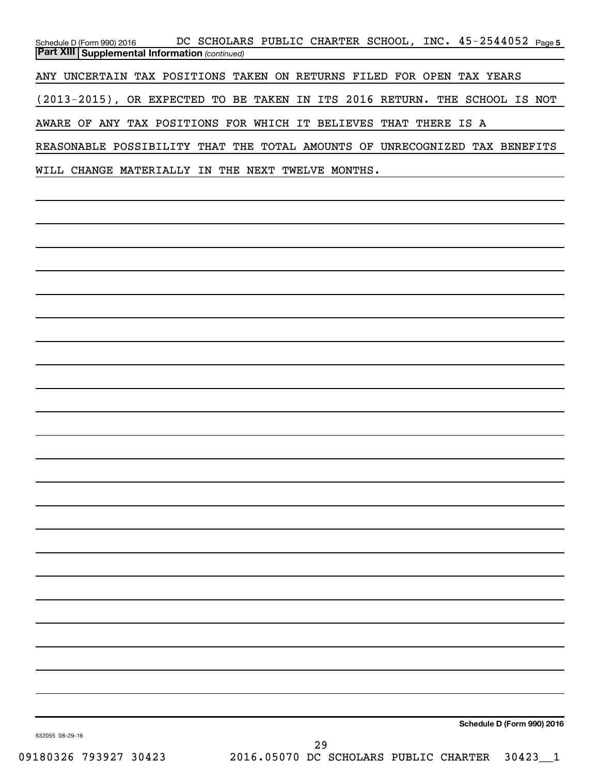Schedule D (Form 990) 2016 DC SCHOLARS PUBLIC CHARTER SCHOOL, INC.  $45$ –25 $44052$   $_{\sf Page\,5}$ *(continued)* **Part XIII Supplemental Information**  ANY UNCERTAIN TAX POSITIONS TAKEN ON RETURNS FILED FOR OPEN TAX YEARS (2013-2015), OR EXPECTED TO BE TAKEN IN ITS 2016 RETURN. THE SCHOOL IS NOT AWARE OF ANY TAX POSITIONS FOR WHICH IT BELIEVES THAT THERE IS A REASONABLE POSSIBILITY THAT THE TOTAL AMOUNTS OF UNRECOGNIZED TAX BENEFITS WILL CHANGE MATERIALLY IN THE NEXT TWELVE MONTHS.

**Schedule D (Form 990) 2016**

632055 08-29-16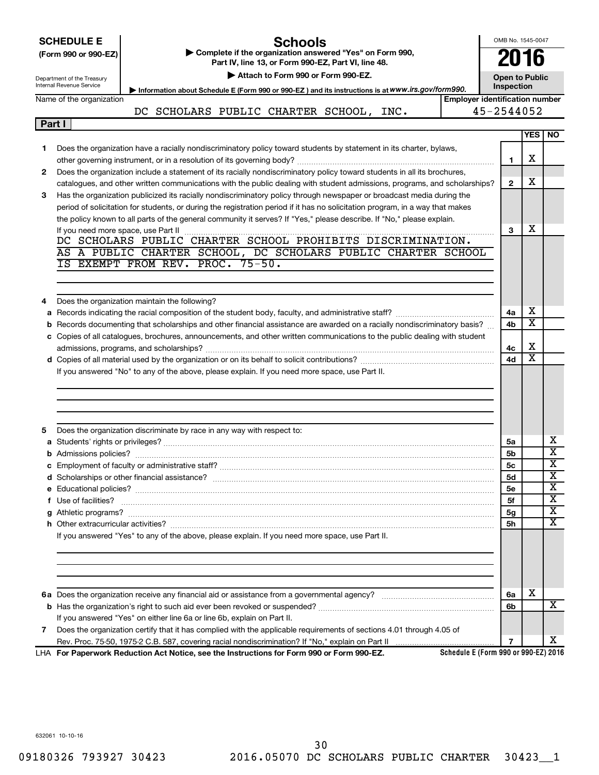|   | <b>SCHEDULE E</b><br>(Form 990 or 990-EZ)<br>Department of the Treasury<br>Internal Revenue Service<br>Name of the organization | Schools<br>Complete if the organization answered "Yes" on Form 990,<br>Part IV, line 13, or Form 990-EZ, Part VI, line 48.<br>Attach to Form 990 or Form 990-EZ.<br>Information about Schedule E (Form 990 or 990-EZ) and its instructions is at WWW.irs.gov/form990.<br><b>Employer identification number</b> | OMB No. 1545-0047<br>2016<br><b>Open to Public</b><br>Inspection |                         |                            |
|---|---------------------------------------------------------------------------------------------------------------------------------|----------------------------------------------------------------------------------------------------------------------------------------------------------------------------------------------------------------------------------------------------------------------------------------------------------------|------------------------------------------------------------------|-------------------------|----------------------------|
|   |                                                                                                                                 | DC SCHOLARS PUBLIC CHARTER SCHOOL, INC.                                                                                                                                                                                                                                                                        | 45-2544052                                                       |                         |                            |
|   | Part I                                                                                                                          |                                                                                                                                                                                                                                                                                                                |                                                                  |                         |                            |
|   |                                                                                                                                 |                                                                                                                                                                                                                                                                                                                |                                                                  | <b>YES</b>              | NO.                        |
| 1 |                                                                                                                                 | Does the organization have a racially nondiscriminatory policy toward students by statement in its charter, bylaws,                                                                                                                                                                                            |                                                                  |                         |                            |
|   |                                                                                                                                 |                                                                                                                                                                                                                                                                                                                | 1                                                                | х                       |                            |
| 2 |                                                                                                                                 | Does the organization include a statement of its racially nondiscriminatory policy toward students in all its brochures,<br>catalogues, and other written communications with the public dealing with student admissions, programs, and scholarships?                                                          | $\mathbf{2}$                                                     | x                       |                            |
| 3 |                                                                                                                                 | Has the organization publicized its racially nondiscriminatory policy through newspaper or broadcast media during the                                                                                                                                                                                          |                                                                  |                         |                            |
|   |                                                                                                                                 | period of solicitation for students, or during the registration period if it has no solicitation program, in a way that makes                                                                                                                                                                                  |                                                                  |                         |                            |
|   |                                                                                                                                 | the policy known to all parts of the general community it serves? If "Yes," please describe. If "No," please explain.                                                                                                                                                                                          |                                                                  |                         |                            |
|   |                                                                                                                                 |                                                                                                                                                                                                                                                                                                                | 3                                                                | x                       |                            |
|   |                                                                                                                                 | AS A PUBLIC CHARTER SCHOOL, DC SCHOLARS PUBLIC CHARTER SCHOOL                                                                                                                                                                                                                                                  |                                                                  |                         |                            |
|   |                                                                                                                                 | IS EXEMPT FROM REV. PROC. 75-50.                                                                                                                                                                                                                                                                               |                                                                  |                         |                            |
|   |                                                                                                                                 |                                                                                                                                                                                                                                                                                                                |                                                                  |                         |                            |
|   |                                                                                                                                 |                                                                                                                                                                                                                                                                                                                |                                                                  |                         |                            |
| 4 |                                                                                                                                 | Does the organization maintain the following?                                                                                                                                                                                                                                                                  |                                                                  |                         |                            |
|   |                                                                                                                                 |                                                                                                                                                                                                                                                                                                                | 4a                                                               | х                       |                            |
|   |                                                                                                                                 | b Records documenting that scholarships and other financial assistance are awarded on a racially nondiscriminatory basis?                                                                                                                                                                                      | 4b                                                               | х                       |                            |
|   |                                                                                                                                 | c Copies of all catalogues, brochures, announcements, and other written communications to the public dealing with student                                                                                                                                                                                      |                                                                  | х                       |                            |
|   |                                                                                                                                 |                                                                                                                                                                                                                                                                                                                | 4c<br>4d                                                         | $\overline{\mathbf{X}}$ |                            |
|   |                                                                                                                                 | If you answered "No" to any of the above, please explain. If you need more space, use Part II.                                                                                                                                                                                                                 |                                                                  |                         |                            |
|   |                                                                                                                                 |                                                                                                                                                                                                                                                                                                                |                                                                  |                         |                            |
|   |                                                                                                                                 |                                                                                                                                                                                                                                                                                                                |                                                                  |                         |                            |
|   |                                                                                                                                 |                                                                                                                                                                                                                                                                                                                |                                                                  |                         |                            |
|   |                                                                                                                                 |                                                                                                                                                                                                                                                                                                                |                                                                  |                         |                            |
| 5 |                                                                                                                                 | Does the organization discriminate by race in any way with respect to:                                                                                                                                                                                                                                         |                                                                  |                         |                            |
|   |                                                                                                                                 |                                                                                                                                                                                                                                                                                                                | 5a                                                               |                         | х<br>$\overline{\text{x}}$ |
|   |                                                                                                                                 |                                                                                                                                                                                                                                                                                                                | 5b                                                               |                         | x                          |
|   |                                                                                                                                 |                                                                                                                                                                                                                                                                                                                | 5c<br>5d                                                         |                         | x                          |
|   |                                                                                                                                 |                                                                                                                                                                                                                                                                                                                | 5е                                                               |                         | X                          |
|   |                                                                                                                                 |                                                                                                                                                                                                                                                                                                                | 5f                                                               |                         | x                          |
|   |                                                                                                                                 |                                                                                                                                                                                                                                                                                                                | 5g                                                               |                         | X                          |
|   |                                                                                                                                 |                                                                                                                                                                                                                                                                                                                | <b>5h</b>                                                        |                         | $\overline{\textbf{x}}$    |
|   |                                                                                                                                 | If you answered "Yes" to any of the above, please explain. If you need more space, use Part II.                                                                                                                                                                                                                |                                                                  |                         |                            |
|   |                                                                                                                                 |                                                                                                                                                                                                                                                                                                                |                                                                  |                         |                            |
|   |                                                                                                                                 |                                                                                                                                                                                                                                                                                                                |                                                                  |                         |                            |
|   |                                                                                                                                 |                                                                                                                                                                                                                                                                                                                |                                                                  |                         |                            |
|   |                                                                                                                                 |                                                                                                                                                                                                                                                                                                                | 6a                                                               | х                       |                            |
|   |                                                                                                                                 |                                                                                                                                                                                                                                                                                                                | 6b                                                               |                         | x                          |
|   |                                                                                                                                 | If you answered "Yes" on either line 6a or line 6b, explain on Part II.                                                                                                                                                                                                                                        |                                                                  |                         |                            |
| 7 |                                                                                                                                 | Does the organization certify that it has complied with the applicable requirements of sections 4.01 through 4.05 of                                                                                                                                                                                           |                                                                  |                         |                            |
|   |                                                                                                                                 |                                                                                                                                                                                                                                                                                                                | $\overline{7}$                                                   |                         | х                          |
|   |                                                                                                                                 | Schedule E (Form 990 or 990-EZ) 2016<br>LHA For Paperwork Reduction Act Notice, see the Instructions for Form 990 or Form 990-EZ.                                                                                                                                                                              |                                                                  |                         |                            |

632061 10-10-16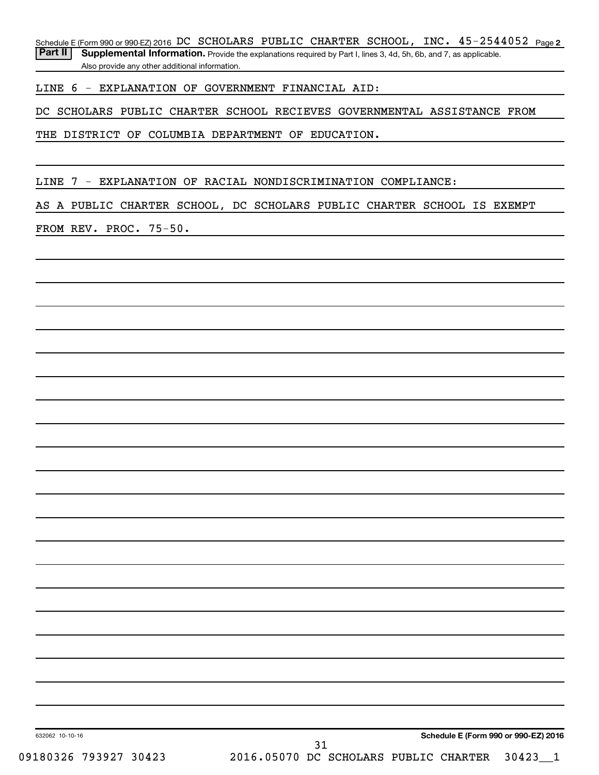Schedule E (Form 990 or 990-EZ) 2016 DC SCHOLARS PUBLIC CHARTER SCHOOL, INC.  $45$  –  $2544052$  Page 2

Part II | Supplemental Information. Provide the explanations required by Part I, lines 3, 4d, 5h, 6b, and 7, as applicable. Also provide any other additional information.

LINE 6 - EXPLANATION OF GOVERNMENT FINANCIAL AID:

DC SCHOLARS PUBLIC CHARTER SCHOOL RECIEVES GOVERNMENTAL ASSISTANCE FROM

THE DISTRICT OF COLUMBIA DEPARTMENT OF EDUCATION.

LINE 7 - EXPLANATION OF RACIAL NONDISCRIMINATION COMPLIANCE:

AS A PUBLIC CHARTER SCHOOL, DC SCHOLARS PUBLIC CHARTER SCHOOL IS EXEMPT

FROM REV. PROC. 75-50.

**Schedule E (Form 990 or 990-EZ) 2016**

632062 10-10-16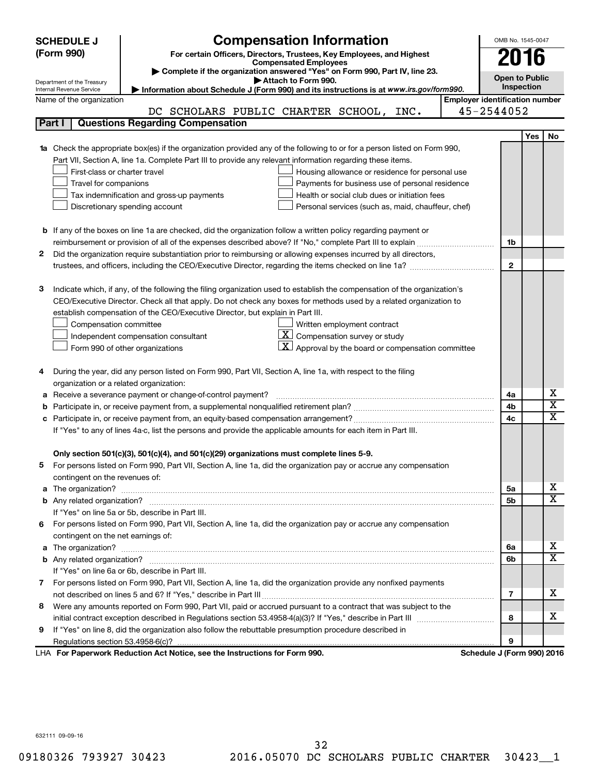| <b>SCHEDULE J</b>                                                                                                        | <b>Compensation Information</b>                                                                                                            |                                       | OMB No. 1545-0047 |            |                         |  |  |
|--------------------------------------------------------------------------------------------------------------------------|--------------------------------------------------------------------------------------------------------------------------------------------|---------------------------------------|-------------------|------------|-------------------------|--|--|
| (Form 990)<br>For certain Officers, Directors, Trustees, Key Employees, and Highest                                      |                                                                                                                                            |                                       |                   |            |                         |  |  |
|                                                                                                                          | 2016<br><b>Compensated Employees</b>                                                                                                       |                                       |                   |            |                         |  |  |
|                                                                                                                          | Complete if the organization answered "Yes" on Form 990, Part IV, line 23.<br><b>Open to Public</b><br>Attach to Form 990.                 |                                       |                   |            |                         |  |  |
| Internal Revenue Service                                                                                                 | Department of the Treasury<br><b>Inspection</b><br>Information about Schedule J (Form 990) and its instructions is at www.irs.gov/form990. |                                       |                   |            |                         |  |  |
| Name of the organization                                                                                                 |                                                                                                                                            | <b>Employer identification number</b> |                   |            |                         |  |  |
|                                                                                                                          | DC SCHOLARS PUBLIC CHARTER SCHOOL, INC.                                                                                                    | 45-2544052                            |                   |            |                         |  |  |
| Part I                                                                                                                   | <b>Questions Regarding Compensation</b>                                                                                                    |                                       |                   |            |                         |  |  |
|                                                                                                                          |                                                                                                                                            |                                       |                   | <b>Yes</b> | No                      |  |  |
|                                                                                                                          | Check the appropriate box(es) if the organization provided any of the following to or for a person listed on Form 990,                     |                                       |                   |            |                         |  |  |
|                                                                                                                          | Part VII, Section A, line 1a. Complete Part III to provide any relevant information regarding these items.                                 |                                       |                   |            |                         |  |  |
| First-class or charter travel                                                                                            | Housing allowance or residence for personal use                                                                                            |                                       |                   |            |                         |  |  |
| Travel for companions                                                                                                    | Payments for business use of personal residence                                                                                            |                                       |                   |            |                         |  |  |
|                                                                                                                          | Health or social club dues or initiation fees<br>Tax indemnification and gross-up payments                                                 |                                       |                   |            |                         |  |  |
|                                                                                                                          | Discretionary spending account<br>Personal services (such as, maid, chauffeur, chef)                                                       |                                       |                   |            |                         |  |  |
|                                                                                                                          |                                                                                                                                            |                                       |                   |            |                         |  |  |
|                                                                                                                          | <b>b</b> If any of the boxes on line 1a are checked, did the organization follow a written policy regarding payment or                     |                                       |                   |            |                         |  |  |
|                                                                                                                          |                                                                                                                                            |                                       | 1b                |            |                         |  |  |
| 2                                                                                                                        | Did the organization require substantiation prior to reimbursing or allowing expenses incurred by all directors,                           |                                       |                   |            |                         |  |  |
|                                                                                                                          |                                                                                                                                            |                                       | $\mathbf{2}$      |            |                         |  |  |
|                                                                                                                          |                                                                                                                                            |                                       |                   |            |                         |  |  |
| З                                                                                                                        | Indicate which, if any, of the following the filing organization used to establish the compensation of the organization's                  |                                       |                   |            |                         |  |  |
|                                                                                                                          | CEO/Executive Director. Check all that apply. Do not check any boxes for methods used by a related organization to                         |                                       |                   |            |                         |  |  |
|                                                                                                                          | establish compensation of the CEO/Executive Director, but explain in Part III.                                                             |                                       |                   |            |                         |  |  |
| Compensation committee                                                                                                   | Written employment contract                                                                                                                |                                       |                   |            |                         |  |  |
|                                                                                                                          | $ \mathbf{X} $ Compensation survey or study<br>Independent compensation consultant                                                         |                                       |                   |            |                         |  |  |
|                                                                                                                          | $\lfloor \underline{X} \rfloor$ Approval by the board or compensation committee<br>Form 990 of other organizations                         |                                       |                   |            |                         |  |  |
|                                                                                                                          |                                                                                                                                            |                                       |                   |            |                         |  |  |
| 4                                                                                                                        | During the year, did any person listed on Form 990, Part VII, Section A, line 1a, with respect to the filing                               |                                       |                   |            |                         |  |  |
|                                                                                                                          | organization or a related organization:                                                                                                    |                                       |                   |            | х                       |  |  |
| а                                                                                                                        | Receive a severance payment or change-of-control payment?                                                                                  |                                       | 4a<br>4b          |            | $\overline{\mathbf{X}}$ |  |  |
| b                                                                                                                        |                                                                                                                                            |                                       |                   |            | X                       |  |  |
| 4c<br>с<br>If "Yes" to any of lines 4a-c, list the persons and provide the applicable amounts for each item in Part III. |                                                                                                                                            |                                       |                   |            |                         |  |  |
|                                                                                                                          |                                                                                                                                            |                                       |                   |            |                         |  |  |
|                                                                                                                          | Only section 501(c)(3), 501(c)(4), and 501(c)(29) organizations must complete lines 5-9.                                                   |                                       |                   |            |                         |  |  |
|                                                                                                                          | For persons listed on Form 990, Part VII, Section A, line 1a, did the organization pay or accrue any compensation                          |                                       |                   |            |                         |  |  |
| contingent on the revenues of:                                                                                           |                                                                                                                                            |                                       |                   |            |                         |  |  |
| a                                                                                                                        |                                                                                                                                            |                                       | 5a                |            | x                       |  |  |
|                                                                                                                          |                                                                                                                                            |                                       | 5b                |            | X                       |  |  |
|                                                                                                                          | If "Yes" on line 5a or 5b, describe in Part III.                                                                                           |                                       |                   |            |                         |  |  |
|                                                                                                                          | 6 For persons listed on Form 990, Part VII, Section A, line 1a, did the organization pay or accrue any compensation                        |                                       |                   |            |                         |  |  |
| contingent on the net earnings of:                                                                                       |                                                                                                                                            |                                       |                   |            |                         |  |  |
| a                                                                                                                        | The organization? <b>With the organization</b> ? <b>With the organization with the organization? With the organization?</b>                |                                       | 6a                |            | x                       |  |  |
|                                                                                                                          |                                                                                                                                            |                                       | 6b                |            | х                       |  |  |
|                                                                                                                          | If "Yes" on line 6a or 6b, describe in Part III.                                                                                           |                                       |                   |            |                         |  |  |
| 7 For persons listed on Form 990, Part VII, Section A, line 1a, did the organization provide any nonfixed payments       |                                                                                                                                            |                                       |                   |            |                         |  |  |
| 7                                                                                                                        |                                                                                                                                            |                                       |                   |            |                         |  |  |
| 8                                                                                                                        | Were any amounts reported on Form 990, Part VII, paid or accrued pursuant to a contract that was subject to the                            |                                       |                   |            |                         |  |  |
|                                                                                                                          |                                                                                                                                            |                                       | 8                 |            | х                       |  |  |
| 9                                                                                                                        | If "Yes" on line 8, did the organization also follow the rebuttable presumption procedure described in                                     |                                       |                   |            |                         |  |  |
|                                                                                                                          |                                                                                                                                            |                                       | 9                 |            |                         |  |  |
|                                                                                                                          | LHA For Paperwork Reduction Act Notice, see the Instructions for Form 990.                                                                 | Schedule J (Form 990) 2016            |                   |            |                         |  |  |

632111 09-09-16

09180326 793927 30423 2016.05070 DC SCHOLARS PUBLIC CHARTER 30423 1 32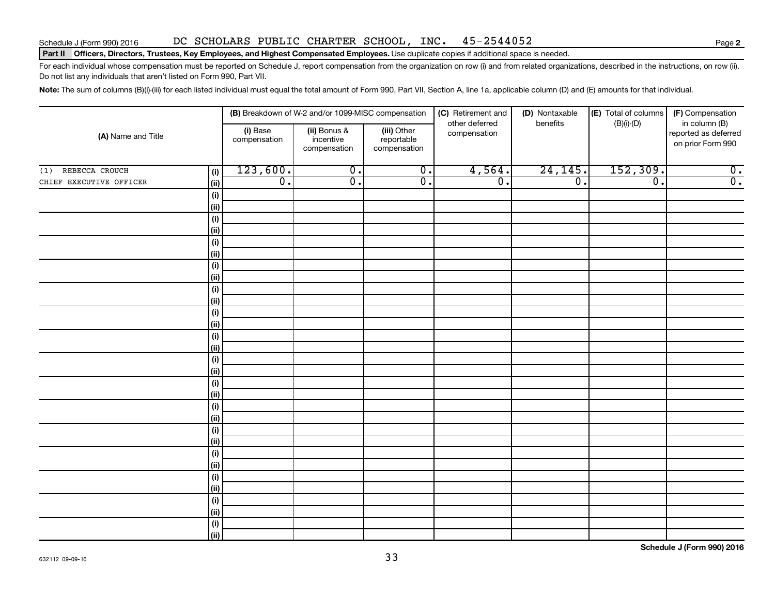### Schedule J (Form 990) 2016 DC SCHOLARS PUBLIC CHARTER SCHOOL, INC. 45-2544052 Page

### Part II | Officers, Directors, Trustees, Key Employees, and Highest Compensated Employees. Use duplicate copies if additional space is needed.

For each individual whose compensation must be reported on Schedule J, report compensation from the organization on row (i) and from related organizations, described in the instructions, on row (ii). Do not list any individuals that aren't listed on Form 990, Part VII.

Note: The sum of columns (B)(i)-(iii) for each listed individual must equal the total amount of Form 990, Part VII, Section A, line 1a, applicable column (D) and (E) amounts for that individual.

| (A) Name and Title      |              | (B) Breakdown of W-2 and/or 1099-MISC compensation |                                           |                                           | (C) Retirement and             | (D) Nontaxable<br>benefits | (E) Total of columns | (F) Compensation                                           |
|-------------------------|--------------|----------------------------------------------------|-------------------------------------------|-------------------------------------------|--------------------------------|----------------------------|----------------------|------------------------------------------------------------|
|                         |              | (i) Base<br>compensation                           | (ii) Bonus &<br>incentive<br>compensation | (iii) Other<br>reportable<br>compensation | other deferred<br>compensation |                            | $(B)(i)-(D)$         | in column (B)<br>reported as deferred<br>on prior Form 990 |
| (1) REBECCA CROUCH      | (i)          | 123,600.                                           | $\overline{0}$ .                          | $\overline{\mathbf{0}}$ .                 | 4,564.                         | 24, 145.                   | 152, 309.            | $\overline{0}$ .                                           |
| CHIEF EXECUTIVE OFFICER | $\vert$ (ii) | $\overline{0}$ .                                   | $\overline{0}$ .                          | $\overline{0}$ .                          | $\overline{0}$ .               | $\overline{0}$ .           | $\overline{0}$ .     | $\overline{0}$ .                                           |
|                         | (i)          |                                                    |                                           |                                           |                                |                            |                      |                                                            |
|                         | (ii)         |                                                    |                                           |                                           |                                |                            |                      |                                                            |
|                         | (i)          |                                                    |                                           |                                           |                                |                            |                      |                                                            |
|                         | $\vert$ (ii) |                                                    |                                           |                                           |                                |                            |                      |                                                            |
|                         | (i)          |                                                    |                                           |                                           |                                |                            |                      |                                                            |
|                         | $\vert$ (ii) |                                                    |                                           |                                           |                                |                            |                      |                                                            |
|                         | (i)          |                                                    |                                           |                                           |                                |                            |                      |                                                            |
|                         | $\vert$ (ii) |                                                    |                                           |                                           |                                |                            |                      |                                                            |
|                         | (i)          |                                                    |                                           |                                           |                                |                            |                      |                                                            |
|                         | $\vert$ (ii) |                                                    |                                           |                                           |                                |                            |                      |                                                            |
|                         | (i)          |                                                    |                                           |                                           |                                |                            |                      |                                                            |
|                         | (ii)         |                                                    |                                           |                                           |                                |                            |                      |                                                            |
|                         | (i)          |                                                    |                                           |                                           |                                |                            |                      |                                                            |
|                         | (ii)         |                                                    |                                           |                                           |                                |                            |                      |                                                            |
|                         | (i)<br>(ii)  |                                                    |                                           |                                           |                                |                            |                      |                                                            |
|                         | (i)          |                                                    |                                           |                                           |                                |                            |                      |                                                            |
|                         | (ii)         |                                                    |                                           |                                           |                                |                            |                      |                                                            |
|                         | (i)          |                                                    |                                           |                                           |                                |                            |                      |                                                            |
|                         | $\vert$ (ii) |                                                    |                                           |                                           |                                |                            |                      |                                                            |
|                         | (i)          |                                                    |                                           |                                           |                                |                            |                      |                                                            |
|                         | (ii)         |                                                    |                                           |                                           |                                |                            |                      |                                                            |
|                         | (i)          |                                                    |                                           |                                           |                                |                            |                      |                                                            |
|                         | (ii)         |                                                    |                                           |                                           |                                |                            |                      |                                                            |
|                         | (i)          |                                                    |                                           |                                           |                                |                            |                      |                                                            |
|                         | (ii)         |                                                    |                                           |                                           |                                |                            |                      |                                                            |
|                         | (i)          |                                                    |                                           |                                           |                                |                            |                      |                                                            |
|                         | (i)          |                                                    |                                           |                                           |                                |                            |                      |                                                            |
|                         | (i)          |                                                    |                                           |                                           |                                |                            |                      |                                                            |
|                         | (iii)        |                                                    |                                           |                                           |                                |                            |                      |                                                            |

**Schedule J (Form 990) 2016**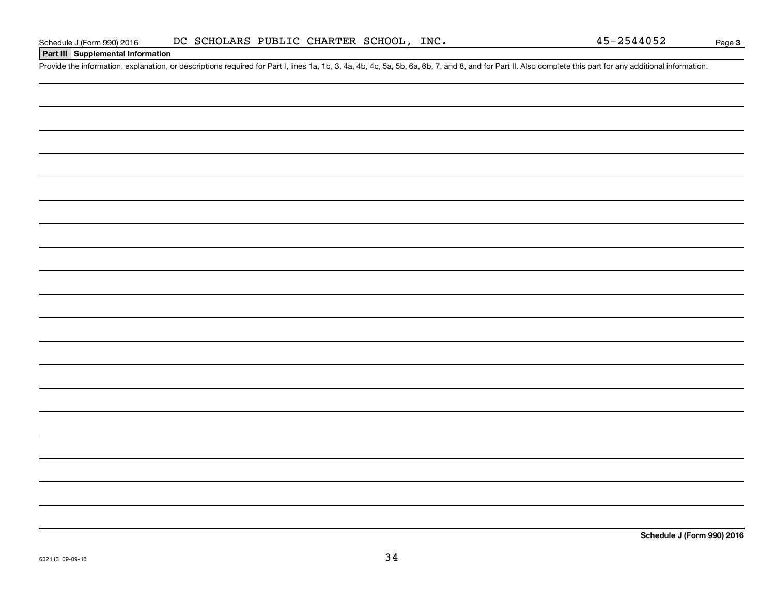### **Part III Supplemental Information**

Provide the information, explanation, or descriptions required for Part I, lines 1a, 1b, 3, 4a, 4b, 4c, 5a, 5b, 6a, 6b, 7, and 8, and for Part II. Also complete this part for any additional information.

**Schedule J (Form 990) 2016**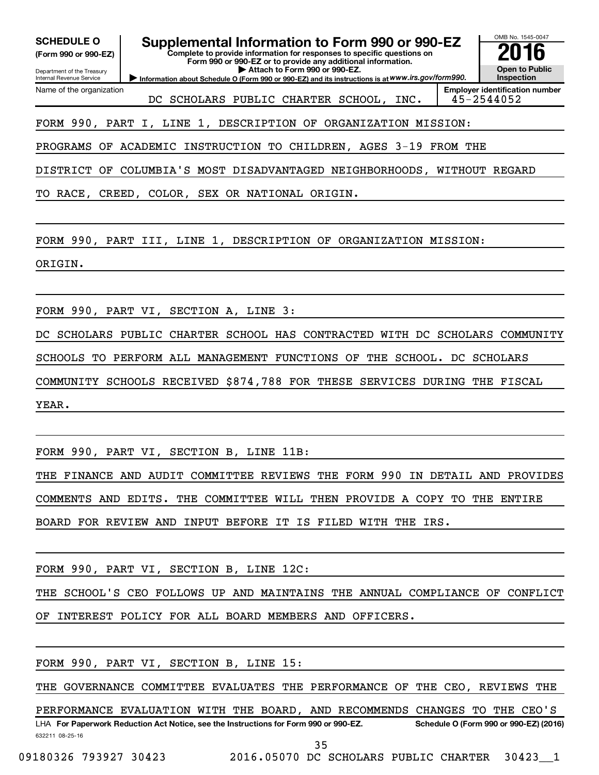| <b>Employer identification number</b><br>DC SCHOLARS PUBLIC CHARTER SCHOOL, INC.<br>45-2544052<br>FORM 990, PART I, LINE 1, DESCRIPTION OF ORGANIZATION MISSION:<br>PROGRAMS OF ACADEMIC INSTRUCTION TO CHILDREN, AGES 3-19 FROM THE<br>DISTRICT OF COLUMBIA'S MOST DISADVANTAGED NEIGHBORHOODS, WITHOUT REGARD<br>TO RACE, CREED, COLOR, SEX OR NATIONAL ORIGIN.<br>FORM 990, PART III, LINE 1, DESCRIPTION OF ORGANIZATION MISSION:<br>ORIGIN.<br>FORM 990, PART VI, SECTION A, LINE 3:<br>DC SCHOLARS PUBLIC CHARTER SCHOOL HAS CONTRACTED WITH DC SCHOLARS COMMUNITY<br>SCHOOLS TO PERFORM ALL MANAGEMENT FUNCTIONS OF THE SCHOOL. DC SCHOLARS<br>COMMUNITY SCHOOLS RECEIVED \$874,788 FOR THESE SERVICES DURING THE FISCAL<br>YEAR.<br>FORM 990, PART VI, SECTION B, LINE 11B:<br>COMMENTS AND EDITS. THE COMMITTEE WILL THEN PROVIDE A COPY TO THE ENTIRE<br>BOARD FOR REVIEW AND INPUT BEFORE IT IS FILED WITH THE IRS.<br>FORM 990, PART VI, SECTION B, LINE 12C:<br>OF INTEREST POLICY FOR ALL BOARD MEMBERS AND OFFICERS.<br>FORM 990, PART VI, SECTION B, LINE 15:<br>THE GOVERNANCE COMMITTEE EVALUATES THE PERFORMANCE OF THE CEO, REVIEWS THE<br>PERFORMANCE EVALUATION WITH THE BOARD, AND RECOMMENDS CHANGES TO THE CEO'S<br>LHA For Paperwork Reduction Act Notice, see the Instructions for Form 990 or 990-EZ.<br>632211 08-25-16 | <b>SCHEDULE O</b><br>(Form 990 or 990-EZ)<br>Department of the Treasury<br>Internal Revenue Service | Information about Schedule O (Form 990 or 990-EZ) and its instructions is at WWW.irs.gov/form990. | Attach to Form 990 or 990-EZ. | Supplemental Information to Form 990 or 990-EZ<br>Complete to provide information for responses to specific questions on<br>Form 990 or 990-EZ or to provide any additional information. |  | OMB No. 1545-0047<br><b>Open to Public</b><br>Inspection |
|------------------------------------------------------------------------------------------------------------------------------------------------------------------------------------------------------------------------------------------------------------------------------------------------------------------------------------------------------------------------------------------------------------------------------------------------------------------------------------------------------------------------------------------------------------------------------------------------------------------------------------------------------------------------------------------------------------------------------------------------------------------------------------------------------------------------------------------------------------------------------------------------------------------------------------------------------------------------------------------------------------------------------------------------------------------------------------------------------------------------------------------------------------------------------------------------------------------------------------------------------------------------------------------------------------------------------------------------------|-----------------------------------------------------------------------------------------------------|---------------------------------------------------------------------------------------------------|-------------------------------|------------------------------------------------------------------------------------------------------------------------------------------------------------------------------------------|--|----------------------------------------------------------|
| THE FINANCE AND AUDIT COMMITTEE REVIEWS THE FORM 990 IN DETAIL AND PROVIDES<br>THE SCHOOL'S CEO FOLLOWS UP AND MAINTAINS THE ANNUAL COMPLIANCE OF CONFLICT<br>Schedule O (Form 990 or 990-EZ) (2016)                                                                                                                                                                                                                                                                                                                                                                                                                                                                                                                                                                                                                                                                                                                                                                                                                                                                                                                                                                                                                                                                                                                                                 | Name of the organization                                                                            |                                                                                                   |                               |                                                                                                                                                                                          |  |                                                          |
|                                                                                                                                                                                                                                                                                                                                                                                                                                                                                                                                                                                                                                                                                                                                                                                                                                                                                                                                                                                                                                                                                                                                                                                                                                                                                                                                                      |                                                                                                     |                                                                                                   |                               |                                                                                                                                                                                          |  |                                                          |
|                                                                                                                                                                                                                                                                                                                                                                                                                                                                                                                                                                                                                                                                                                                                                                                                                                                                                                                                                                                                                                                                                                                                                                                                                                                                                                                                                      |                                                                                                     |                                                                                                   |                               |                                                                                                                                                                                          |  |                                                          |
|                                                                                                                                                                                                                                                                                                                                                                                                                                                                                                                                                                                                                                                                                                                                                                                                                                                                                                                                                                                                                                                                                                                                                                                                                                                                                                                                                      |                                                                                                     |                                                                                                   |                               |                                                                                                                                                                                          |  |                                                          |
|                                                                                                                                                                                                                                                                                                                                                                                                                                                                                                                                                                                                                                                                                                                                                                                                                                                                                                                                                                                                                                                                                                                                                                                                                                                                                                                                                      |                                                                                                     |                                                                                                   |                               |                                                                                                                                                                                          |  |                                                          |
|                                                                                                                                                                                                                                                                                                                                                                                                                                                                                                                                                                                                                                                                                                                                                                                                                                                                                                                                                                                                                                                                                                                                                                                                                                                                                                                                                      |                                                                                                     |                                                                                                   |                               |                                                                                                                                                                                          |  |                                                          |
|                                                                                                                                                                                                                                                                                                                                                                                                                                                                                                                                                                                                                                                                                                                                                                                                                                                                                                                                                                                                                                                                                                                                                                                                                                                                                                                                                      |                                                                                                     |                                                                                                   |                               |                                                                                                                                                                                          |  |                                                          |
|                                                                                                                                                                                                                                                                                                                                                                                                                                                                                                                                                                                                                                                                                                                                                                                                                                                                                                                                                                                                                                                                                                                                                                                                                                                                                                                                                      |                                                                                                     |                                                                                                   |                               |                                                                                                                                                                                          |  |                                                          |
|                                                                                                                                                                                                                                                                                                                                                                                                                                                                                                                                                                                                                                                                                                                                                                                                                                                                                                                                                                                                                                                                                                                                                                                                                                                                                                                                                      |                                                                                                     |                                                                                                   |                               |                                                                                                                                                                                          |  |                                                          |
|                                                                                                                                                                                                                                                                                                                                                                                                                                                                                                                                                                                                                                                                                                                                                                                                                                                                                                                                                                                                                                                                                                                                                                                                                                                                                                                                                      |                                                                                                     |                                                                                                   |                               |                                                                                                                                                                                          |  |                                                          |
|                                                                                                                                                                                                                                                                                                                                                                                                                                                                                                                                                                                                                                                                                                                                                                                                                                                                                                                                                                                                                                                                                                                                                                                                                                                                                                                                                      |                                                                                                     |                                                                                                   |                               |                                                                                                                                                                                          |  |                                                          |
|                                                                                                                                                                                                                                                                                                                                                                                                                                                                                                                                                                                                                                                                                                                                                                                                                                                                                                                                                                                                                                                                                                                                                                                                                                                                                                                                                      |                                                                                                     |                                                                                                   |                               |                                                                                                                                                                                          |  |                                                          |
|                                                                                                                                                                                                                                                                                                                                                                                                                                                                                                                                                                                                                                                                                                                                                                                                                                                                                                                                                                                                                                                                                                                                                                                                                                                                                                                                                      |                                                                                                     |                                                                                                   |                               |                                                                                                                                                                                          |  |                                                          |
|                                                                                                                                                                                                                                                                                                                                                                                                                                                                                                                                                                                                                                                                                                                                                                                                                                                                                                                                                                                                                                                                                                                                                                                                                                                                                                                                                      |                                                                                                     |                                                                                                   |                               |                                                                                                                                                                                          |  |                                                          |
|                                                                                                                                                                                                                                                                                                                                                                                                                                                                                                                                                                                                                                                                                                                                                                                                                                                                                                                                                                                                                                                                                                                                                                                                                                                                                                                                                      |                                                                                                     |                                                                                                   |                               |                                                                                                                                                                                          |  |                                                          |
|                                                                                                                                                                                                                                                                                                                                                                                                                                                                                                                                                                                                                                                                                                                                                                                                                                                                                                                                                                                                                                                                                                                                                                                                                                                                                                                                                      |                                                                                                     |                                                                                                   |                               |                                                                                                                                                                                          |  |                                                          |
|                                                                                                                                                                                                                                                                                                                                                                                                                                                                                                                                                                                                                                                                                                                                                                                                                                                                                                                                                                                                                                                                                                                                                                                                                                                                                                                                                      |                                                                                                     |                                                                                                   |                               |                                                                                                                                                                                          |  |                                                          |
|                                                                                                                                                                                                                                                                                                                                                                                                                                                                                                                                                                                                                                                                                                                                                                                                                                                                                                                                                                                                                                                                                                                                                                                                                                                                                                                                                      |                                                                                                     |                                                                                                   |                               |                                                                                                                                                                                          |  |                                                          |
|                                                                                                                                                                                                                                                                                                                                                                                                                                                                                                                                                                                                                                                                                                                                                                                                                                                                                                                                                                                                                                                                                                                                                                                                                                                                                                                                                      |                                                                                                     |                                                                                                   |                               |                                                                                                                                                                                          |  |                                                          |
|                                                                                                                                                                                                                                                                                                                                                                                                                                                                                                                                                                                                                                                                                                                                                                                                                                                                                                                                                                                                                                                                                                                                                                                                                                                                                                                                                      |                                                                                                     |                                                                                                   |                               |                                                                                                                                                                                          |  |                                                          |
|                                                                                                                                                                                                                                                                                                                                                                                                                                                                                                                                                                                                                                                                                                                                                                                                                                                                                                                                                                                                                                                                                                                                                                                                                                                                                                                                                      |                                                                                                     |                                                                                                   |                               |                                                                                                                                                                                          |  |                                                          |
|                                                                                                                                                                                                                                                                                                                                                                                                                                                                                                                                                                                                                                                                                                                                                                                                                                                                                                                                                                                                                                                                                                                                                                                                                                                                                                                                                      |                                                                                                     |                                                                                                   |                               | 35                                                                                                                                                                                       |  |                                                          |

09180326 793927 30423 2016.05070 DC SCHOLARS PUBLIC CHARTER 30423 1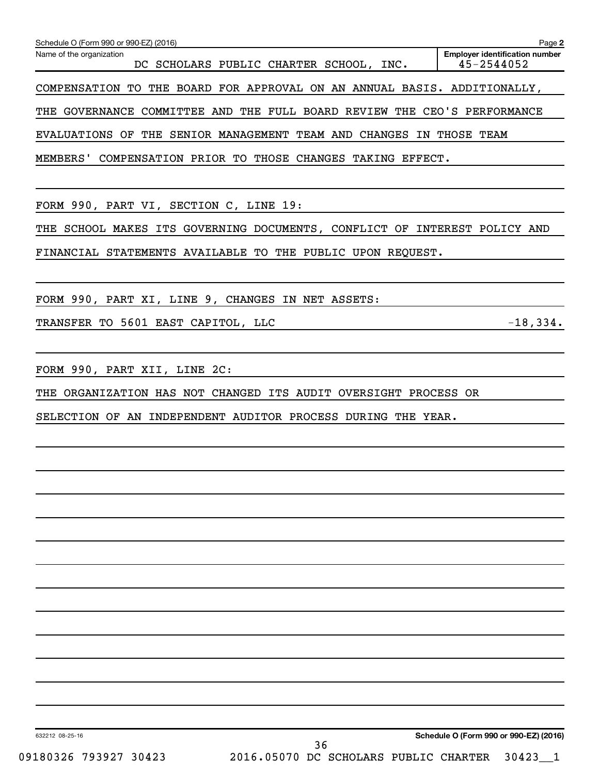|                                                                                                               | Page 2                                              |
|---------------------------------------------------------------------------------------------------------------|-----------------------------------------------------|
| Schedule O (Form 990 or 990-EZ) (2016)<br>Name of the organization<br>DC SCHOLARS PUBLIC CHARTER SCHOOL, INC. | <b>Employer identification number</b><br>45-2544052 |
| COMPENSATION TO THE BOARD FOR APPROVAL ON AN ANNUAL BASIS. ADDITIONALLY,                                      |                                                     |
| THE GOVERNANCE COMMITTEE AND THE FULL BOARD REVIEW THE CEO'S PERFORMANCE                                      |                                                     |
| EVALUATIONS OF THE SENIOR MANAGEMENT TEAM AND CHANGES IN THOSE TEAM                                           |                                                     |
| MEMBERS' COMPENSATION PRIOR TO THOSE CHANGES TAKING EFFECT.                                                   |                                                     |
| FORM 990, PART VI, SECTION C, LINE 19:                                                                        |                                                     |
| THE SCHOOL MAKES ITS GOVERNING DOCUMENTS, CONFLICT OF INTEREST POLICY AND                                     |                                                     |
| FINANCIAL STATEMENTS AVAILABLE TO THE PUBLIC UPON REQUEST.                                                    |                                                     |
| FORM 990, PART XI, LINE 9, CHANGES IN NET ASSETS:                                                             |                                                     |
| TRANSFER TO 5601 EAST CAPITOL, LLC                                                                            | $-18,334.$                                          |
| FORM 990, PART XII, LINE 2C:                                                                                  |                                                     |
| THE ORGANIZATION HAS NOT CHANGED ITS AUDIT OVERSIGHT PROCESS OR                                               |                                                     |
| SELECTION OF AN INDEPENDENT AUDITOR PROCESS DURING THE YEAR.                                                  |                                                     |
|                                                                                                               |                                                     |
|                                                                                                               |                                                     |
|                                                                                                               |                                                     |
|                                                                                                               |                                                     |
|                                                                                                               |                                                     |
|                                                                                                               |                                                     |
|                                                                                                               |                                                     |
|                                                                                                               |                                                     |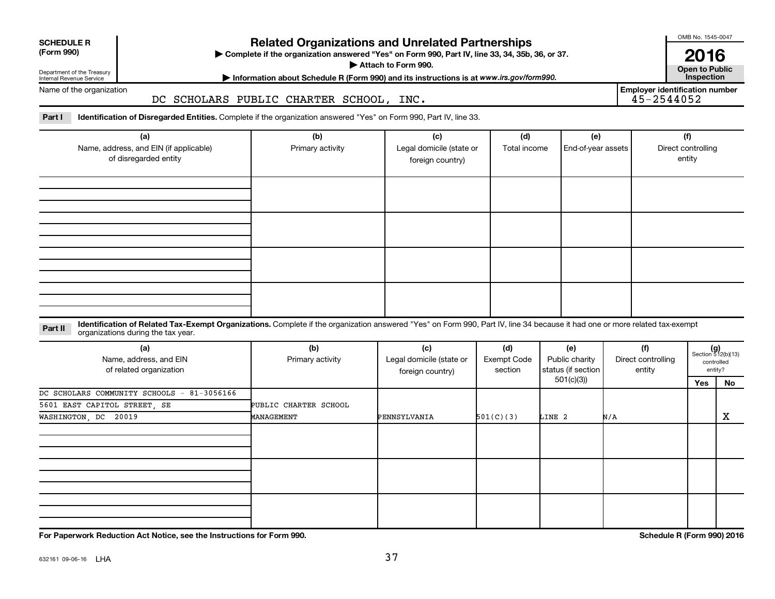| <b>SCHEDULE R</b> |
|-------------------|
|                   |

Department of the Treasury Internal Revenue Service

### **Related Organizations and Unrelated Partnerships**

**(Form 990) Complete if the organization answered "Yes" on Form 990, Part IV, line 33, 34, 35b, 36, or 37.** |

**Attach to Form 990. Contract to Public** 

**Most Information about Schedule R (Form 990) and its instructions is at www.irs.gov/form990.** This pection

Name of the organization

### DC SCHOLARS PUBLIC CHARTER SCHOOL, INC.

Part I ldentification of Disregarded Entities. Complete if the organization answered "Yes" on Form 990, Part IV, line 33.

| (a)<br>Name, address, and EIN (if applicable)<br>of disregarded entity | (b)<br>Primary activity | (c)<br>Legal domicile (state or<br>foreign country) | (d)<br>Total income | (e)<br>End-of-year assets | (f)<br>Direct controlling<br>entity |
|------------------------------------------------------------------------|-------------------------|-----------------------------------------------------|---------------------|---------------------------|-------------------------------------|
|                                                                        |                         |                                                     |                     |                           |                                     |
|                                                                        |                         |                                                     |                     |                           |                                     |
|                                                                        |                         |                                                     |                     |                           |                                     |
|                                                                        |                         |                                                     |                     |                           |                                     |

### **Part II** Identification of Related Tax-Exempt Organizations. Complete if the organization answered "Yes" on Form 990, Part IV, line 34 because it had one or more related tax-exempt<br>Complete it is a series of the two wears organizations during the tax year.

| (a)<br>Name, address, and EIN<br>of related organization | (b)<br>Primary activity | (c)<br>Legal domicile (state or<br>foreign country) | (d)<br>Exempt Code<br>section | (e)<br>Public charity<br>status (if section | (f)<br>Direct controlling<br>entity |     | $(g)$<br>Section 512(b)(13)<br>controlled<br>entity? |
|----------------------------------------------------------|-------------------------|-----------------------------------------------------|-------------------------------|---------------------------------------------|-------------------------------------|-----|------------------------------------------------------|
|                                                          |                         |                                                     |                               | 501(c)(3))                                  |                                     | Yes | No                                                   |
| DC SCHOLARS COMMUNITY SCHOOLS - 81-3056166               |                         |                                                     |                               |                                             |                                     |     |                                                      |
| 5601 EAST CAPITOL STREET, SE                             | PUBLIC CHARTER SCHOOL   |                                                     |                               |                                             |                                     |     |                                                      |
| WASHINGTON, DC 20019                                     | MANAGEMENT              | PENNSYLVANIA                                        | 501(C)(3)                     | LINE 2                                      | N/A                                 |     | X                                                    |
|                                                          |                         |                                                     |                               |                                             |                                     |     |                                                      |
|                                                          |                         |                                                     |                               |                                             |                                     |     |                                                      |
|                                                          |                         |                                                     |                               |                                             |                                     |     |                                                      |

**For Paperwork Reduction Act Notice, see the Instructions for Form 990. Schedule R (Form 990) 2016**

OMB No. 1545-0047

**2016**<br>Open to Public

**Employer identification number**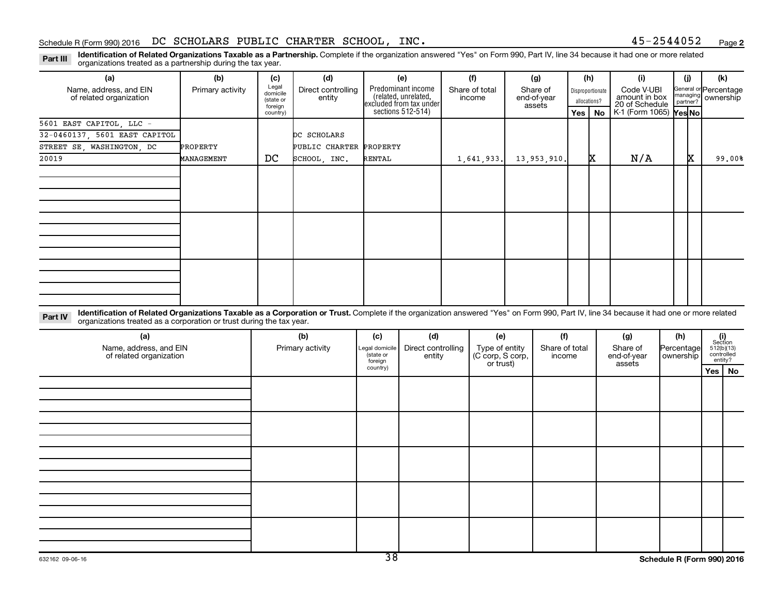**2**

Part III Identification of Related Organizations Taxable as a Partnership. Complete if the organization answered "Yes" on Form 990, Part IV, line 34 because it had one or more related<br>Read to the organizations tracted as a organizations treated as a partnership during the tax year.

| (a)                                                                                                                                                                                                                                                                        | (b)              | (c)                                       | (d)                          |                                                   | (e)                                                                   | (f)                                             | (g)                               |                          | (h) |                                                                                   | (i)                               |                         | (i) | (k)                                                          |
|----------------------------------------------------------------------------------------------------------------------------------------------------------------------------------------------------------------------------------------------------------------------------|------------------|-------------------------------------------|------------------------------|---------------------------------------------------|-----------------------------------------------------------------------|-------------------------------------------------|-----------------------------------|--------------------------|-----|-----------------------------------------------------------------------------------|-----------------------------------|-------------------------|-----|--------------------------------------------------------------|
| Name, address, and EIN<br>of related organization                                                                                                                                                                                                                          | Primary activity | Legal<br>domicile<br>(state or<br>foreign | Direct controlling<br>entity |                                                   | Predominant income<br>(related, unrelated,<br>excluded from tax under | Share of total<br>income                        | Share of<br>end-of-year<br>assets |                          |     | Code V-UBI<br>Disproportionate<br>amount in box<br>allocations?<br>20 of Schedule |                                   |                         |     | General or Percentage<br>managing ownership                  |
|                                                                                                                                                                                                                                                                            |                  | country)                                  |                              |                                                   | sections 512-514)                                                     |                                                 |                                   |                          | Yes | <b>No</b>                                                                         | K-1 (Form 1065) Yes No            |                         |     |                                                              |
| 5601 EAST CAPITOL, LLC -                                                                                                                                                                                                                                                   |                  |                                           |                              |                                                   |                                                                       |                                                 |                                   |                          |     |                                                                                   |                                   |                         |     |                                                              |
| 32-0460137, 5601 EAST CAPITOL                                                                                                                                                                                                                                              |                  |                                           | DC SCHOLARS                  |                                                   |                                                                       |                                                 |                                   |                          |     |                                                                                   |                                   |                         |     |                                                              |
| STREET SE WASHINGTON DC                                                                                                                                                                                                                                                    | PROPERTY         |                                           | PUBLIC CHARTER PROPERTY      |                                                   |                                                                       |                                                 |                                   |                          |     |                                                                                   |                                   |                         |     |                                                              |
| 20019                                                                                                                                                                                                                                                                      | MANAGEMENT       | DC                                        | SCHOOL, INC.                 | <b>RENTAL</b>                                     |                                                                       | 1,641,933.                                      | 13,953,910.                       |                          |     | x                                                                                 | N/A                               |                         | X.  | 99.00%                                                       |
|                                                                                                                                                                                                                                                                            |                  |                                           |                              |                                                   |                                                                       |                                                 |                                   |                          |     |                                                                                   |                                   |                         |     |                                                              |
|                                                                                                                                                                                                                                                                            |                  |                                           |                              |                                                   |                                                                       |                                                 |                                   |                          |     |                                                                                   |                                   |                         |     |                                                              |
|                                                                                                                                                                                                                                                                            |                  |                                           |                              |                                                   |                                                                       |                                                 |                                   |                          |     |                                                                                   |                                   |                         |     |                                                              |
|                                                                                                                                                                                                                                                                            |                  |                                           |                              |                                                   |                                                                       |                                                 |                                   |                          |     |                                                                                   |                                   |                         |     |                                                              |
|                                                                                                                                                                                                                                                                            |                  |                                           |                              |                                                   |                                                                       |                                                 |                                   |                          |     |                                                                                   |                                   |                         |     |                                                              |
|                                                                                                                                                                                                                                                                            |                  |                                           |                              |                                                   |                                                                       |                                                 |                                   |                          |     |                                                                                   |                                   |                         |     |                                                              |
|                                                                                                                                                                                                                                                                            |                  |                                           |                              |                                                   |                                                                       |                                                 |                                   |                          |     |                                                                                   |                                   |                         |     |                                                              |
|                                                                                                                                                                                                                                                                            |                  |                                           |                              |                                                   |                                                                       |                                                 |                                   |                          |     |                                                                                   |                                   |                         |     |                                                              |
|                                                                                                                                                                                                                                                                            |                  |                                           |                              |                                                   |                                                                       |                                                 |                                   |                          |     |                                                                                   |                                   |                         |     |                                                              |
|                                                                                                                                                                                                                                                                            |                  |                                           |                              |                                                   |                                                                       |                                                 |                                   |                          |     |                                                                                   |                                   |                         |     |                                                              |
|                                                                                                                                                                                                                                                                            |                  |                                           |                              |                                                   |                                                                       |                                                 |                                   |                          |     |                                                                                   |                                   |                         |     |                                                              |
|                                                                                                                                                                                                                                                                            |                  |                                           |                              |                                                   |                                                                       |                                                 |                                   |                          |     |                                                                                   |                                   |                         |     |                                                              |
| Identification of Related Organizations Taxable as a Corporation or Trust. Complete if the organization answered "Yes" on Form 990, Part IV, line 34 because it had one or more related<br>Part IV<br>organizations treated as a corporation or trust during the tax year. |                  |                                           |                              |                                                   |                                                                       |                                                 |                                   |                          |     |                                                                                   |                                   |                         |     |                                                              |
| (a)                                                                                                                                                                                                                                                                        |                  |                                           | (b)                          | (c)                                               | (d)                                                                   | (e)                                             |                                   | (f)                      |     |                                                                                   | (g)                               | (h)                     |     | (i)<br>Section                                               |
| Name, address, and EIN<br>of related organization                                                                                                                                                                                                                          |                  |                                           | Primary activity             | Legal domicile<br>state or<br>foreign<br>country) | Direct controlling<br>entity                                          | Type of entity<br>(C corp, S corp,<br>or trust) |                                   | Share of total<br>income |     |                                                                                   | Share of<br>end-of-year<br>assets | Percentage<br>ownership |     | 512(b)(13)<br>controlled<br>entity?<br>$V -$<br>$\mathbf{M}$ |

**Yes No**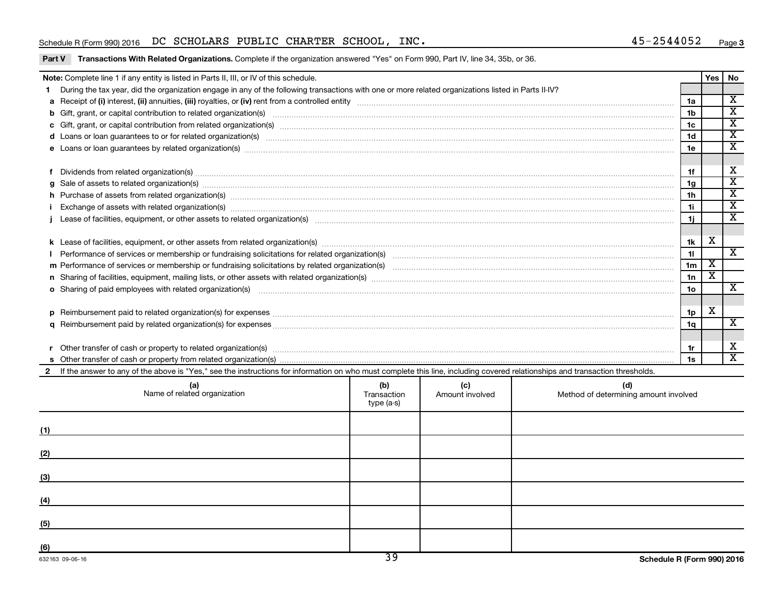### Schedule R (Form 990) 2016 Page DC SCHOLARS PUBLIC CHARTER SCHOOL, INC. 45-2544052

Part V Transactions With Related Organizations. Complete if the organization answered "Yes" on Form 990, Part IV, line 34, 35b, or 36.

|     | Note: Complete line 1 if any entity is listed in Parts II, III, or IV of this schedule.                                                                                                                                        |                                  |                        |                                              |                 | Yes | No                                                 |  |  |
|-----|--------------------------------------------------------------------------------------------------------------------------------------------------------------------------------------------------------------------------------|----------------------------------|------------------------|----------------------------------------------|-----------------|-----|----------------------------------------------------|--|--|
|     | During the tax year, did the organization engage in any of the following transactions with one or more related organizations listed in Parts II-IV?                                                                            |                                  |                        |                                              |                 |     |                                                    |  |  |
|     |                                                                                                                                                                                                                                |                                  |                        |                                              | 1a              |     | $\overline{\mathbf{X}}$                            |  |  |
|     | b Gift, grant, or capital contribution to related organization(s) material contracts and contribution to related organization(s) material contribution to related organization(s) material contribution (s) and contribution ( |                                  |                        |                                              | 1b              |     | $\overline{\texttt{x}}$                            |  |  |
|     | c Gift, grant, or capital contribution from related organization(s) manufaction content to contribution from related organization(s) manufaction content to contribution from related organization(s) manufaction content to c |                                  |                        |                                              | 1 <sub>c</sub>  |     | $\overline{\texttt{x}}$                            |  |  |
|     |                                                                                                                                                                                                                                |                                  |                        |                                              | 1 <sub>d</sub>  |     | $\overline{\mathtt{x}}$                            |  |  |
|     |                                                                                                                                                                                                                                |                                  |                        |                                              | 1e              |     | $\overline{\mathtt{x}}$                            |  |  |
|     |                                                                                                                                                                                                                                |                                  |                        |                                              |                 |     |                                                    |  |  |
|     | 1f                                                                                                                                                                                                                             |                                  |                        |                                              |                 |     |                                                    |  |  |
|     | g Sale of assets to related organization(s) manufactured assembly contained as a set of assets to related organization(s) manufactured assets to related organization(s)                                                       |                                  |                        |                                              | 1g              |     | $\overline{\texttt{x}}$                            |  |  |
|     | h Purchase of assets from related organization(s) manufactured and content to content the content of assets from related organization(s) manufactured and content of the content of the content of the content of the content  |                                  |                        |                                              | 1h              |     | $\overline{\mathtt{x}}$<br>$\overline{\mathtt{x}}$ |  |  |
|     |                                                                                                                                                                                                                                |                                  |                        |                                              |                 |     |                                                    |  |  |
|     |                                                                                                                                                                                                                                |                                  |                        |                                              | 1i.             |     | $\overline{\mathtt{x}}$                            |  |  |
|     |                                                                                                                                                                                                                                |                                  |                        |                                              |                 |     |                                                    |  |  |
|     |                                                                                                                                                                                                                                |                                  |                        |                                              |                 |     |                                                    |  |  |
|     |                                                                                                                                                                                                                                |                                  |                        |                                              |                 |     |                                                    |  |  |
|     |                                                                                                                                                                                                                                |                                  |                        |                                              |                 |     |                                                    |  |  |
|     |                                                                                                                                                                                                                                |                                  |                        |                                              |                 |     |                                                    |  |  |
|     | o Sharing of paid employees with related organization(s) manufactured and content to the content of the content of the content of the content of the content of the content of the content of the content of the content of th |                                  |                        |                                              | 10 <sub>o</sub> |     | $\overline{\textbf{x}}$                            |  |  |
|     |                                                                                                                                                                                                                                |                                  |                        |                                              |                 |     |                                                    |  |  |
|     |                                                                                                                                                                                                                                |                                  |                        |                                              | 1p              | Х   |                                                    |  |  |
|     |                                                                                                                                                                                                                                |                                  |                        |                                              | 1 <sub>a</sub>  |     | $\overline{\textbf{x}}$                            |  |  |
|     |                                                                                                                                                                                                                                |                                  |                        |                                              |                 |     |                                                    |  |  |
|     |                                                                                                                                                                                                                                |                                  |                        |                                              | 1r              |     | х                                                  |  |  |
|     |                                                                                                                                                                                                                                |                                  |                        |                                              | 1s              |     | $\overline{\mathbf{x}}$                            |  |  |
|     | If the answer to any of the above is "Yes," see the instructions for information on who must complete this line, including covered relationships and transaction thresholds.                                                   |                                  |                        |                                              |                 |     |                                                    |  |  |
|     | (a)<br>Name of related organization                                                                                                                                                                                            | (b)<br>Transaction<br>type (a-s) | (c)<br>Amount involved | (d)<br>Method of determining amount involved |                 |     |                                                    |  |  |
| (1) |                                                                                                                                                                                                                                |                                  |                        |                                              |                 |     |                                                    |  |  |
| (2) |                                                                                                                                                                                                                                |                                  |                        |                                              |                 |     |                                                    |  |  |

**(3)**

**(4)**

**(5)**

**(6)**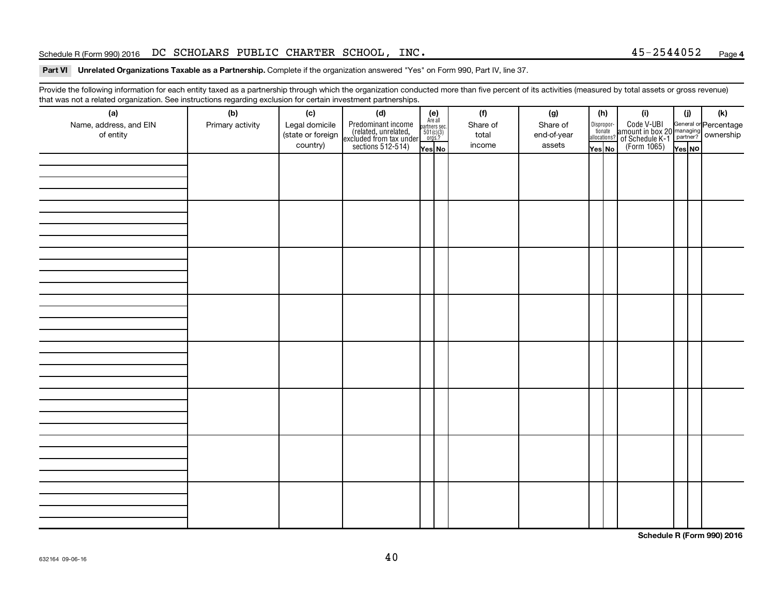### Schedule R (Form 990) 2016 Page DC SCHOLARS PUBLIC CHARTER SCHOOL, INC. 45-2544052

### Part VI Unrelated Organizations Taxable as a Partnership. Complete if the organization answered "Yes" on Form 990, Part IV, line 37.

Provide the following information for each entity taxed as a partnership through which the organization conducted more than five percent of its activities (measured by total assets or gross revenue) that was not a related organization. See instructions regarding exclusion for certain investment partnerships.

| mat mad not a rolated organization. Occ included for regarding excludion for coltain invectment partneremper.<br>(a) | (b)              | (c)                                             | (d)                                                                                        |                                                          | (f)                         | (g)                               |                                  | (h) | (i)                                                                                                 | (j)    | (k) |
|----------------------------------------------------------------------------------------------------------------------|------------------|-------------------------------------------------|--------------------------------------------------------------------------------------------|----------------------------------------------------------|-----------------------------|-----------------------------------|----------------------------------|-----|-----------------------------------------------------------------------------------------------------|--------|-----|
| Name, address, and EIN<br>of entity                                                                                  | Primary activity | Legal domicile<br>(state or foreign<br>country) | Predominant income<br>(related, unrelated,<br>excluded from tax under<br>sections 512-514) | (e)<br>Are all<br>partners sec.<br>$501(c)(3)$<br>orgs.? | Share of<br>total<br>income | Share of<br>end-of-year<br>assets | Disproportionate<br>allocations? |     | Code V-UBI<br>amount in box 20 managing<br>of Schedule K-1<br>(Form 1065)<br>$\sqrt{\text{res}}$ No |        |     |
|                                                                                                                      |                  |                                                 |                                                                                            | Yes No                                                   |                             |                                   | Yes No                           |     |                                                                                                     | Yes NO |     |
|                                                                                                                      |                  |                                                 |                                                                                            |                                                          |                             |                                   |                                  |     |                                                                                                     |        |     |
|                                                                                                                      |                  |                                                 |                                                                                            |                                                          |                             |                                   |                                  |     |                                                                                                     |        |     |
|                                                                                                                      |                  |                                                 |                                                                                            |                                                          |                             |                                   |                                  |     |                                                                                                     |        |     |
|                                                                                                                      |                  |                                                 |                                                                                            |                                                          |                             |                                   |                                  |     |                                                                                                     |        |     |
|                                                                                                                      |                  |                                                 |                                                                                            |                                                          |                             |                                   |                                  |     |                                                                                                     |        |     |
|                                                                                                                      |                  |                                                 |                                                                                            |                                                          |                             |                                   |                                  |     |                                                                                                     |        |     |
|                                                                                                                      |                  |                                                 |                                                                                            |                                                          |                             |                                   |                                  |     |                                                                                                     |        |     |
|                                                                                                                      |                  |                                                 |                                                                                            |                                                          |                             |                                   |                                  |     |                                                                                                     |        |     |
|                                                                                                                      |                  |                                                 |                                                                                            |                                                          |                             |                                   |                                  |     |                                                                                                     |        |     |
|                                                                                                                      |                  |                                                 |                                                                                            |                                                          |                             |                                   |                                  |     |                                                                                                     |        |     |
|                                                                                                                      |                  |                                                 |                                                                                            |                                                          |                             |                                   |                                  |     |                                                                                                     |        |     |
|                                                                                                                      |                  |                                                 |                                                                                            |                                                          |                             |                                   |                                  |     |                                                                                                     |        |     |
|                                                                                                                      |                  |                                                 |                                                                                            |                                                          |                             |                                   |                                  |     |                                                                                                     |        |     |
|                                                                                                                      |                  |                                                 |                                                                                            |                                                          |                             |                                   |                                  |     |                                                                                                     |        |     |
|                                                                                                                      |                  |                                                 |                                                                                            |                                                          |                             |                                   |                                  |     |                                                                                                     |        |     |
|                                                                                                                      |                  |                                                 |                                                                                            |                                                          |                             |                                   |                                  |     |                                                                                                     |        |     |
|                                                                                                                      |                  |                                                 |                                                                                            |                                                          |                             |                                   |                                  |     |                                                                                                     |        |     |
|                                                                                                                      |                  |                                                 |                                                                                            |                                                          |                             |                                   |                                  |     |                                                                                                     |        |     |
|                                                                                                                      |                  |                                                 |                                                                                            |                                                          |                             |                                   |                                  |     |                                                                                                     |        |     |
|                                                                                                                      |                  |                                                 |                                                                                            |                                                          |                             |                                   |                                  |     |                                                                                                     |        |     |
|                                                                                                                      |                  |                                                 |                                                                                            |                                                          |                             |                                   |                                  |     |                                                                                                     |        |     |
|                                                                                                                      |                  |                                                 |                                                                                            |                                                          |                             |                                   |                                  |     |                                                                                                     |        |     |
|                                                                                                                      |                  |                                                 |                                                                                            |                                                          |                             |                                   |                                  |     |                                                                                                     |        |     |
|                                                                                                                      |                  |                                                 |                                                                                            |                                                          |                             |                                   |                                  |     |                                                                                                     |        |     |
|                                                                                                                      |                  |                                                 |                                                                                            |                                                          |                             |                                   |                                  |     |                                                                                                     |        |     |
|                                                                                                                      |                  |                                                 |                                                                                            |                                                          |                             |                                   |                                  |     |                                                                                                     |        |     |
|                                                                                                                      |                  |                                                 |                                                                                            |                                                          |                             |                                   |                                  |     |                                                                                                     |        |     |
|                                                                                                                      |                  |                                                 |                                                                                            |                                                          |                             |                                   |                                  |     |                                                                                                     |        |     |
|                                                                                                                      |                  |                                                 |                                                                                            |                                                          |                             |                                   |                                  |     |                                                                                                     |        |     |
|                                                                                                                      |                  |                                                 |                                                                                            |                                                          |                             |                                   |                                  |     |                                                                                                     |        |     |

**Schedule R (Form 990) 2016**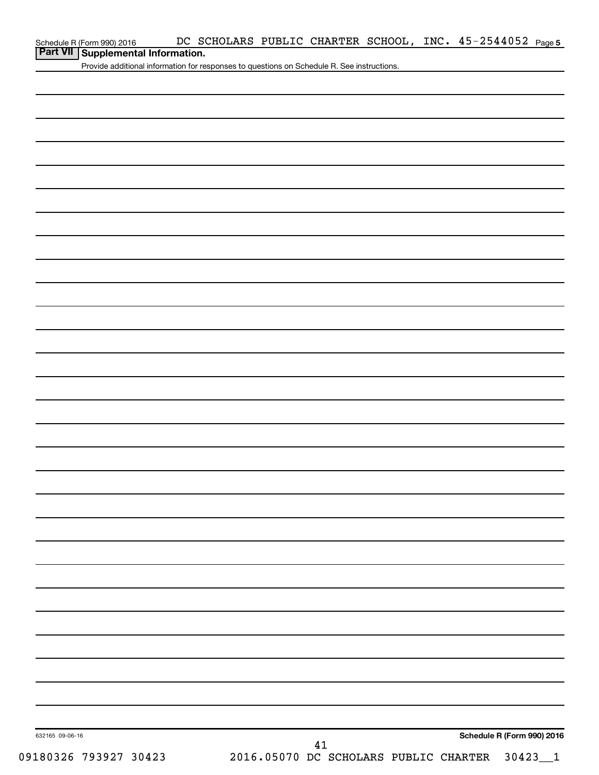| Schedule R (Form 990) 2016 |  |  |
|----------------------------|--|--|
|----------------------------|--|--|

## **Part VII Supplemental Information.**

Provide additional information for responses to questions on Schedule R. See instructions.

| 632165 09-06-16       | Schedule R (Form 990) 2016                           |
|-----------------------|------------------------------------------------------|
|                       | 41                                                   |
| 09180326 793927 30423 | 2016.05070 DC SCHOLARS PUBLIC CHARTER<br>$30423 - 1$ |